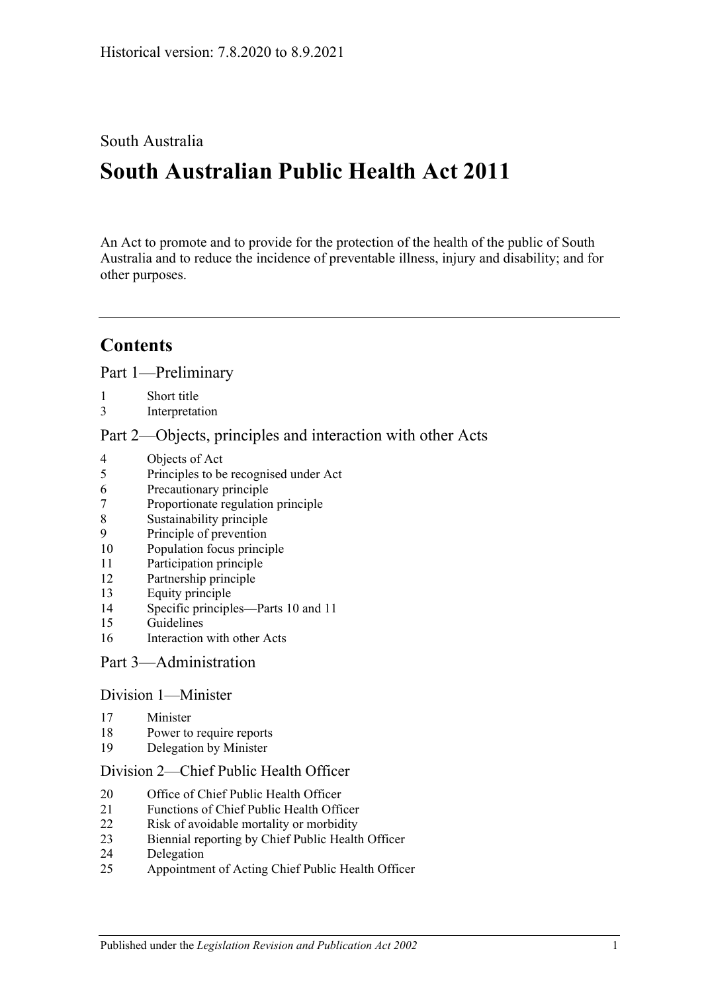## South Australia

# **South Australian Public Health Act 2011**

An Act to promote and to provide for the protection of the health of the public of South Australia and to reduce the incidence of preventable illness, injury and disability; and for other purposes.

## **Contents**

Part [1—Preliminary](#page-4-0)

- [Short title](#page-4-1)
- [Interpretation](#page-4-2)

#### Part [2—Objects, principles and interaction with other Acts](#page-7-0)

- [Objects of Act](#page-7-1)
- [Principles to be recognised under Act](#page-8-0)
- [Precautionary principle](#page-8-1)
- [Proportionate regulation principle](#page-8-2)
- [Sustainability principle](#page-8-3)
- [Principle of prevention](#page-8-4)
- [Population focus principle](#page-8-5)
- [Participation principle](#page-8-6)
- [Partnership principle](#page-9-0)
- [Equity principle](#page-9-1)
- [Specific principles—Parts](#page-9-2) 10 and [11](#page-9-2)
- [Guidelines](#page-10-0)
- [Interaction with other Acts](#page-11-0)

#### Part [3—Administration](#page-11-1)

## Division [1—Minister](#page-11-2)

- [Minister](#page-11-3)
- [Power to require reports](#page-12-0)
- [Delegation by Minister](#page-12-1)

#### Division [2—Chief Public Health Officer](#page-13-0)

- [Office of Chief Public Health Officer](#page-13-1)
- [Functions of Chief Public Health Officer](#page-13-2)
- [Risk of avoidable mortality or morbidity](#page-14-0)
- [Biennial reporting by Chief Public Health Officer](#page-14-1)
- [Delegation](#page-15-0)
- [Appointment of Acting Chief Public Health Officer](#page-15-1)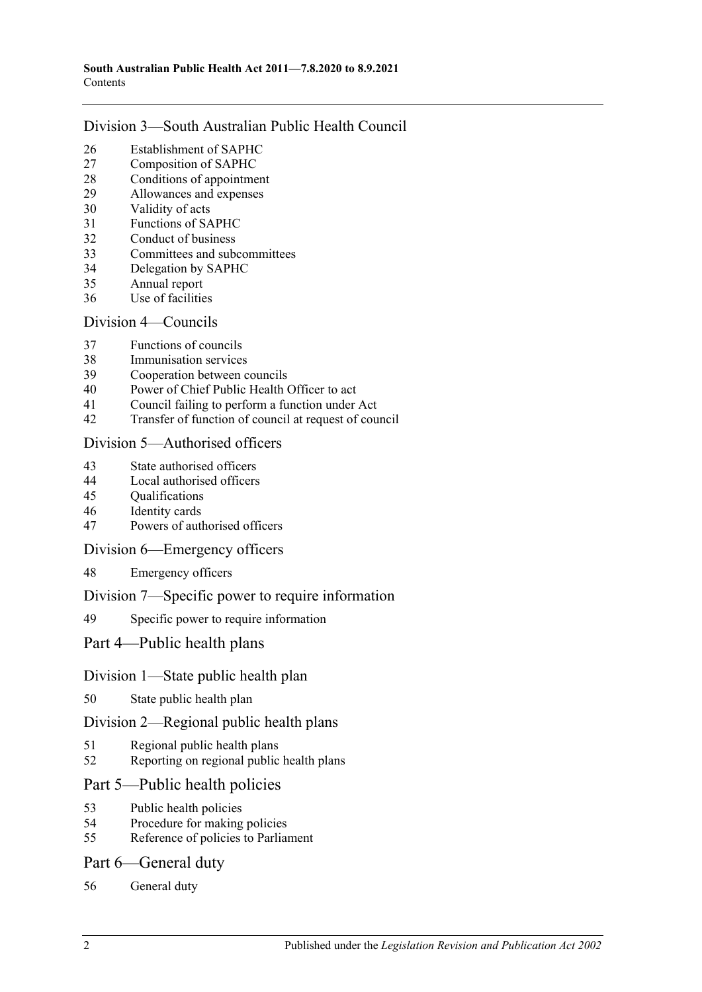#### Division [3—South Australian Public Health Council](#page-15-2)

- [Establishment of SAPHC](#page-15-3)<br>27 Composition of SAPHC
- [Composition of SAPHC](#page-15-4)
- [Conditions of appointment](#page-16-0)
- [Allowances and expenses](#page-17-0)
- [Validity of acts](#page-17-1)
- [Functions of SAPHC](#page-17-2)
- [Conduct of business](#page-17-3)
- [Committees and subcommittees](#page-18-0)
- [Delegation by SAPHC](#page-18-1)
- [Annual report](#page-18-2)
- [Use of facilities](#page-19-0)

## Division [4—Councils](#page-19-1)

- [Functions of councils](#page-19-2)
- [Immunisation services](#page-19-3)
- [Cooperation between councils](#page-19-4)
- [Power of Chief Public Health Officer to act](#page-20-0)
- [Council failing to perform a function under Act](#page-20-1)
- [Transfer of function of council at request of council](#page-21-0)

### Division [5—Authorised officers](#page-22-0)

- [State authorised officers](#page-22-1)
- [Local authorised officers](#page-22-2)
- [Qualifications](#page-23-0)
- [Identity cards](#page-23-1)
- [Powers of authorised officers](#page-24-0)

#### Division [6—Emergency officers](#page-25-0)

[Emergency officers](#page-25-1)

#### Division [7—Specific power to require information](#page-26-0)

[Specific power to require information](#page-26-1)

## Part [4—Public health plans](#page-26-2)

## Division [1—State public health plan](#page-26-3)

[State public health plan](#page-26-4)

#### Division [2—Regional public health plans](#page-28-0)

- [Regional public health plans](#page-28-1)
- [Reporting on regional public health plans](#page-30-0)

## Part [5—Public health policies](#page-31-0)

- [Public health policies](#page-31-1)<br>54 Procedure for making
- [Procedure for making policies](#page-31-2)
- [Reference of policies to Parliament](#page-32-0)

#### Part [6—General duty](#page-32-1)

[General duty](#page-32-2)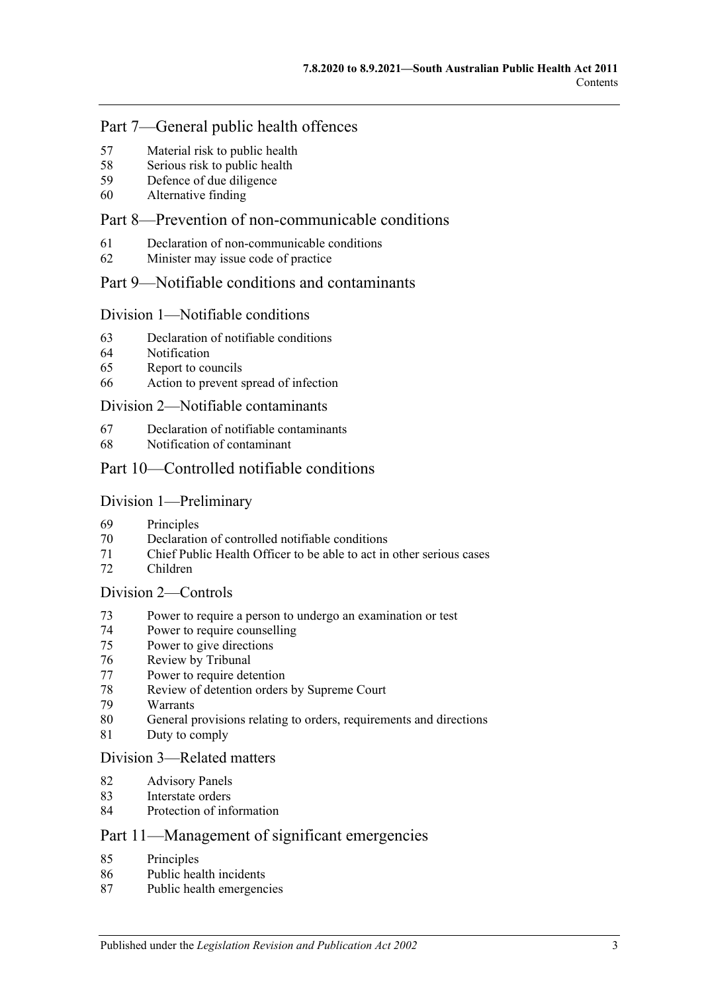## Part [7—General public health offences](#page-33-0)

- [Material risk to public health](#page-33-1)
- [Serious risk to public health](#page-33-2)
- [Defence of due diligence](#page-34-0)
- [Alternative finding](#page-34-1)

## Part [8—Prevention of non-communicable conditions](#page-35-0)

- [Declaration of non-communicable conditions](#page-35-1)
- [Minister may issue code of practice](#page-35-2)

## Part [9—Notifiable conditions and contaminants](#page-36-0)

#### Division [1—Notifiable conditions](#page-36-1)

- [Declaration of notifiable conditions](#page-36-2)
- [Notification](#page-36-3)
- [Report to councils](#page-37-0)
- [Action to prevent spread of infection](#page-38-0)

#### Division [2—Notifiable contaminants](#page-39-0)

- [Declaration of notifiable contaminants](#page-39-1)
- [Notification of contaminant](#page-39-2)

### Part [10—Controlled notifiable conditions](#page-41-0)

#### Division [1—Preliminary](#page-41-1)

- [Principles](#page-41-2)
- Declaration [of controlled notifiable conditions](#page-41-3)
- [Chief Public Health Officer to be able to act in other serious cases](#page-42-0)
- [Children](#page-43-0)

#### Division [2—Controls](#page-43-1)

- [Power to require a person to undergo an examination or test](#page-43-2)
- [Power to require counselling](#page-45-0)
- [Power to give directions](#page-46-0)
- [Review by Tribunal](#page-47-0)
- [Power to require detention](#page-48-0)
- [Review of detention orders by Supreme](#page-50-0) Court
- [Warrants](#page-51-0)
- [General provisions relating to orders, requirements and directions](#page-52-0)
- [Duty to comply](#page-52-1)

#### Division [3—Related matters](#page-52-2)

- [Advisory Panels](#page-52-3)
- [Interstate orders](#page-53-0)
- [Protection of information](#page-54-0)

## Part [11—Management of significant emergencies](#page-54-1)

- [Principles](#page-54-2)
- [Public health incidents](#page-54-3)
- [Public health emergencies](#page-54-4)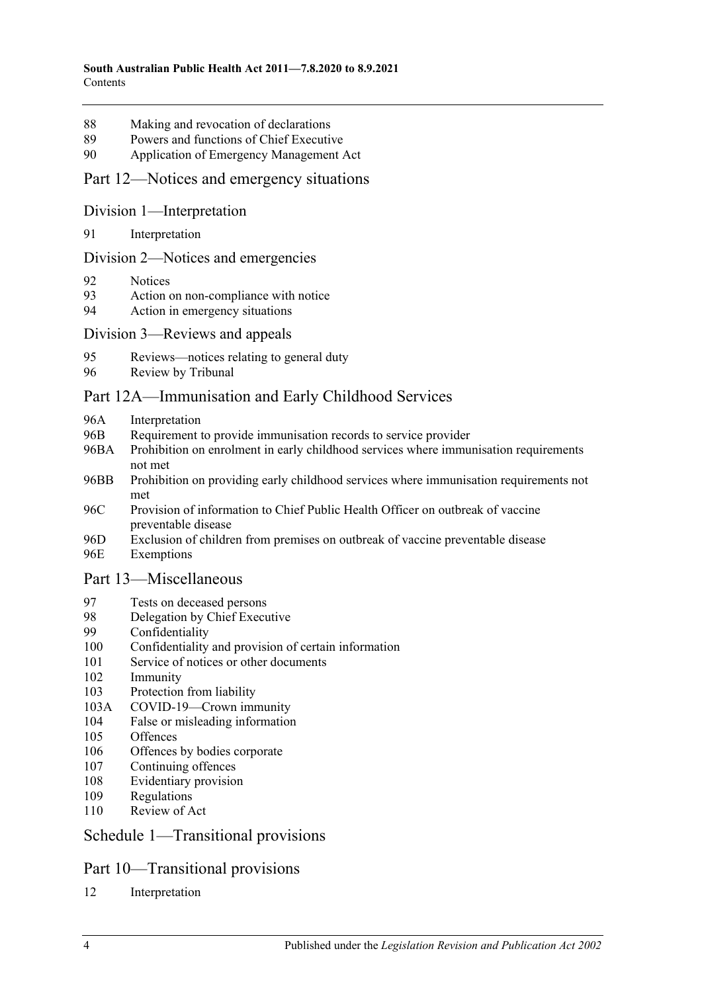- 88 [Making and revocation of declarations](#page-55-0)
- 89 [Powers and functions of Chief Executive](#page-55-1)
- 90 [Application of Emergency Management Act](#page-55-2)

#### Part [12—Notices and emergency situations](#page-59-0)

Division [1—Interpretation](#page-59-1)

91 [Interpretation](#page-59-2)

#### Division [2—Notices and emergencies](#page-59-3)

- 92 [Notices](#page-59-4)
- 93 [Action on non-compliance with notice](#page-62-0)
- 94 [Action in emergency situations](#page-62-1)

#### Division [3—Reviews and appeals](#page-63-0)

- 95 [Reviews—notices relating to general duty](#page-63-1)
- 96 [Review by Tribunal](#page-64-0)

#### [Part 12A—Immunisation and Early Childhood Services](#page-65-0)

- 96A [Interpretation](#page-65-1)
- 96B [Requirement to provide immunisation records to service provider](#page-66-0)
- 96BA [Prohibition on enrolment in early childhood services where immunisation requirements](#page-67-0)  [not met](#page-67-0)
- 96BB [Prohibition on providing early childhood services where](#page-67-1) immunisation requirements not [met](#page-67-1)
- 96C [Provision of information to Chief Public Health Officer on outbreak of vaccine](#page-67-2)  [preventable disease](#page-67-2)
- 96D [Exclusion of children from premises on outbreak of vaccine preventable disease](#page-68-0) 96E [Exemptions](#page-69-0)

#### Part [13—Miscellaneous](#page-69-1)

- 97 [Tests on deceased persons](#page-69-2)
- 98 [Delegation by Chief Executive](#page-70-0)
- 99 [Confidentiality](#page-70-1)
- 100 [Confidentiality and provision of certain information](#page-72-0)
- 101 [Service of notices or other documents](#page-72-1)
- 102 [Immunity](#page-73-0)
- 103 [Protection from liability](#page-74-0)
- 103A [COVID-19—Crown immunity](#page-74-1)
- 104 [False or misleading information](#page-74-2)
- 105 [Offences](#page-74-3)
- 106 [Offences by bodies corporate](#page-75-0)
- 107 [Continuing offences](#page-75-1)
- 108 [Evidentiary provision](#page-76-0)
- 109 [Regulations](#page-76-1)
- 110 [Review of Act](#page-79-0)

#### Schedule [1—Transitional provisions](#page-79-1)

#### Part 10—Transitional provisions

12 [Interpretation](#page-79-2)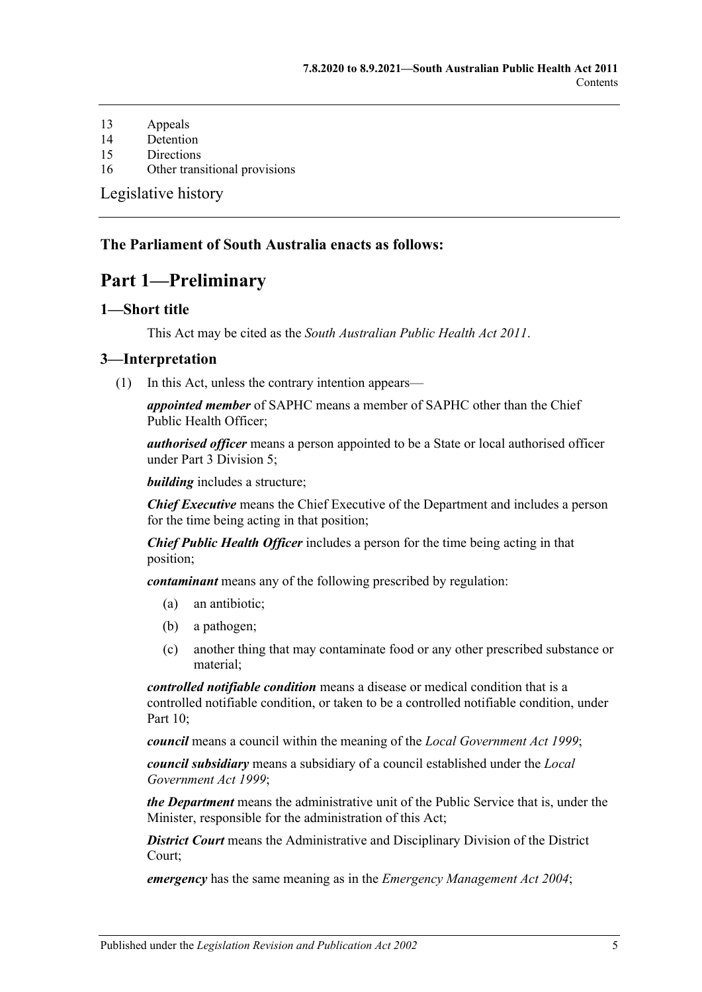- 13 [Appeals](#page-79-3)
- 14 [Detention](#page-80-0)
- 15 [Directions](#page-80-1)
- 16 [Other transitional provisions](#page-80-2)

[Legislative history](#page-81-0)

#### <span id="page-4-0"></span>**The Parliament of South Australia enacts as follows:**

## **Part 1—Preliminary**

#### <span id="page-4-1"></span>**1—Short title**

This Act may be cited as the *South Australian Public Health Act 2011*.

#### <span id="page-4-3"></span><span id="page-4-2"></span>**3—Interpretation**

(1) In this Act, unless the contrary intention appears—

*appointed member* of SAPHC means a member of SAPHC other than the Chief Public Health Officer;

*authorised officer* means a person appointed to be a State or local authorised officer under Part [3 Division](#page-22-0) 5;

*building* includes a structure;

*Chief Executive* means the Chief Executive of the Department and includes a person for the time being acting in that position;

*Chief Public Health Officer* includes a person for the time being acting in that position;

*contaminant* means any of the following prescribed by regulation:

- (a) an antibiotic;
- (b) a pathogen;
- (c) another thing that may contaminate food or any other prescribed substance or material;

*controlled notifiable condition* means a disease or medical condition that is a controlled notifiable condition, or taken to be a controlled notifiable condition, under [Part](#page-41-0)  $10<sup>°</sup>$ 

*council* means a council within the meaning of the *[Local Government Act](http://www.legislation.sa.gov.au/index.aspx?action=legref&type=act&legtitle=Local%20Government%20Act%201999) 1999*;

*council subsidiary* means a subsidiary of a council established under the *[Local](http://www.legislation.sa.gov.au/index.aspx?action=legref&type=act&legtitle=Local%20Government%20Act%201999)  [Government Act](http://www.legislation.sa.gov.au/index.aspx?action=legref&type=act&legtitle=Local%20Government%20Act%201999) 1999*;

*the Department* means the administrative unit of the Public Service that is, under the Minister, responsible for the administration of this Act;

*District Court* means the Administrative and Disciplinary Division of the District Court;

*emergency* has the same meaning as in the *[Emergency Management Act](http://www.legislation.sa.gov.au/index.aspx?action=legref&type=act&legtitle=Emergency%20Management%20Act%202004) 2004*;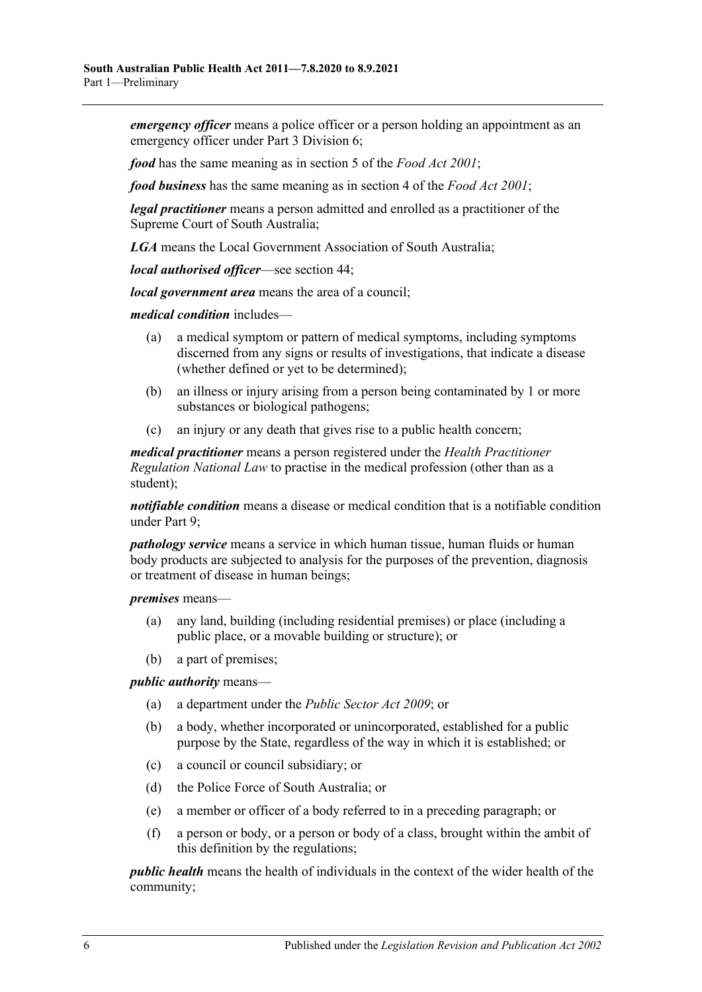*emergency officer* means a police officer or a person holding an appointment as an emergency officer under Part [3 Division](#page-25-0) 6;

*food* has the same meaning as in section 5 of the *[Food Act](http://www.legislation.sa.gov.au/index.aspx?action=legref&type=act&legtitle=Food%20Act%202001) 2001*;

*food business* has the same meaning as in section 4 of the *[Food Act](http://www.legislation.sa.gov.au/index.aspx?action=legref&type=act&legtitle=Food%20Act%202001) 2001*;

*legal practitioner* means a person admitted and enrolled as a practitioner of the Supreme Court of South Australia;

*LGA* means the Local Government Association of South Australia;

*local authorised officer*—see [section](#page-22-2) 44;

*local government area* means the area of a council;

*medical condition* includes—

- (a) a medical symptom or pattern of medical symptoms, including symptoms discerned from any signs or results of investigations, that indicate a disease (whether defined or yet to be determined);
- (b) an illness or injury arising from a person being contaminated by 1 or more substances or biological pathogens;
- (c) an injury or any death that gives rise to a public health concern;

*medical practitioner* means a person registered under the *Health Practitioner Regulation National Law* to practise in the medical profession (other than as a student);

*notifiable condition* means a disease or medical condition that is a notifiable condition under [Part](#page-36-0) 9;

*pathology service* means a service in which human tissue, human fluids or human body products are subjected to analysis for the purposes of the prevention, diagnosis or treatment of disease in human beings;

*premises* means—

- (a) any land, building (including residential premises) or place (including a public place, or a movable building or structure); or
- (b) a part of premises;

*public authority* means—

- (a) a department under the *[Public Sector Act](http://www.legislation.sa.gov.au/index.aspx?action=legref&type=act&legtitle=Public%20Sector%20Act%202009) 2009*; or
- (b) a body, whether incorporated or unincorporated, established for a public purpose by the State, regardless of the way in which it is established; or
- (c) a council or council subsidiary; or
- (d) the Police Force of South Australia; or
- (e) a member or officer of a body referred to in a preceding paragraph; or
- (f) a person or body, or a person or body of a class, brought within the ambit of this definition by the regulations;

*public health* means the health of individuals in the context of the wider health of the community;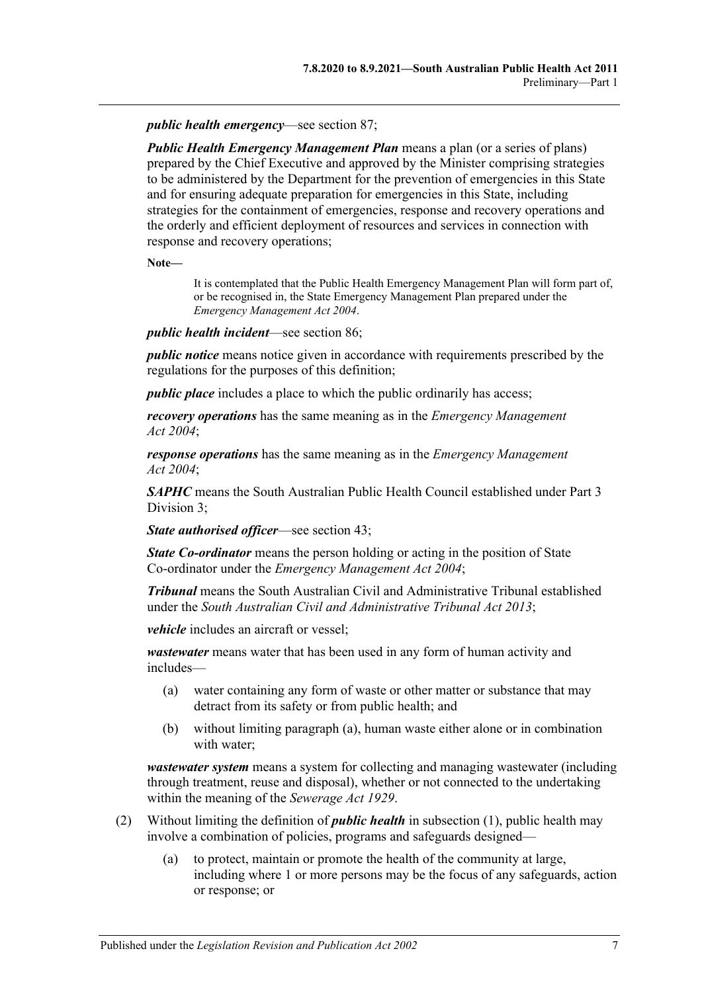*public health emergency*—see [section](#page-54-4) 87;

*Public Health Emergency Management Plan* means a plan (or a series of plans) prepared by the Chief Executive and approved by the Minister comprising strategies to be administered by the Department for the prevention of emergencies in this State and for ensuring adequate preparation for emergencies in this State, including strategies for the containment of emergencies, response and recovery operations and the orderly and efficient deployment of resources and services in connection with response and recovery operations;

**Note—**

It is contemplated that the Public Health Emergency Management Plan will form part of, or be recognised in, the State Emergency Management Plan prepared under the *[Emergency Management Act](http://www.legislation.sa.gov.au/index.aspx?action=legref&type=act&legtitle=Emergency%20Management%20Act%202004) 2004*.

*public health incident*—see [section](#page-54-3) 86;

*public notice* means notice given in accordance with requirements prescribed by the regulations for the purposes of this definition;

*public place* includes a place to which the public ordinarily has access;

*recovery operations* has the same meaning as in the *[Emergency Management](http://www.legislation.sa.gov.au/index.aspx?action=legref&type=act&legtitle=Emergency%20Management%20Act%202004)  Act [2004](http://www.legislation.sa.gov.au/index.aspx?action=legref&type=act&legtitle=Emergency%20Management%20Act%202004)*;

*response operations* has the same meaning as in the *[Emergency Management](http://www.legislation.sa.gov.au/index.aspx?action=legref&type=act&legtitle=Emergency%20Management%20Act%202004)  Act [2004](http://www.legislation.sa.gov.au/index.aspx?action=legref&type=act&legtitle=Emergency%20Management%20Act%202004)*;

*SAPHC* means the South Australian Public Health Council established under [Part](#page-15-2) 3 [Division](#page-15-2) 3;

*State authorised officer*—see [section](#page-22-1) 43;

*State Co-ordinator* means the person holding or acting in the position of State Co-ordinator under the *[Emergency Management Act](http://www.legislation.sa.gov.au/index.aspx?action=legref&type=act&legtitle=Emergency%20Management%20Act%202004) 2004*;

*Tribunal* means the South Australian Civil and Administrative Tribunal established under the *[South Australian Civil and Administrative Tribunal Act](http://www.legislation.sa.gov.au/index.aspx?action=legref&type=act&legtitle=South%20Australian%20Civil%20and%20Administrative%20Tribunal%20Act%202013) 2013*;

*vehicle* includes an aircraft or vessel;

<span id="page-6-0"></span>*wastewater* means water that has been used in any form of human activity and includes—

- (a) water containing any form of waste or other matter or substance that may detract from its safety or from public health; and
- (b) without limiting [paragraph](#page-6-0) (a), human waste either alone or in combination with water;

*wastewater system* means a system for collecting and managing wastewater (including through treatment, reuse and disposal), whether or not connected to the undertaking within the meaning of the *[Sewerage Act](http://www.legislation.sa.gov.au/index.aspx?action=legref&type=act&legtitle=Sewerage%20Act%201929) 1929*.

- (2) Without limiting the definition of *public health* in [subsection](#page-4-3) (1), public health may involve a combination of policies, programs and safeguards designed—
	- (a) to protect, maintain or promote the health of the community at large, including where 1 or more persons may be the focus of any safeguards, action or response; or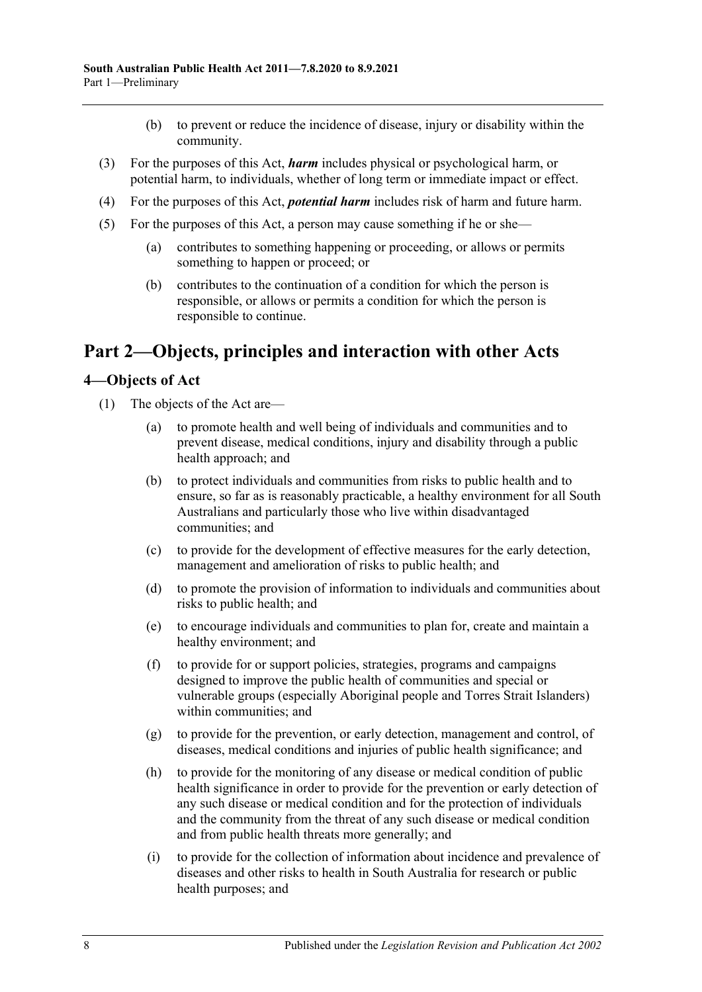- (b) to prevent or reduce the incidence of disease, injury or disability within the community.
- (3) For the purposes of this Act, *harm* includes physical or psychological harm, or potential harm, to individuals, whether of long term or immediate impact or effect.
- (4) For the purposes of this Act, *potential harm* includes risk of harm and future harm.
- (5) For the purposes of this Act, a person may cause something if he or she—
	- (a) contributes to something happening or proceeding, or allows or permits something to happen or proceed; or
	- (b) contributes to the continuation of a condition for which the person is responsible, or allows or permits a condition for which the person is responsible to continue.

## <span id="page-7-0"></span>**Part 2—Objects, principles and interaction with other Acts**

#### <span id="page-7-1"></span>**4—Objects of Act**

- (1) The objects of the Act are—
	- (a) to promote health and well being of individuals and communities and to prevent disease, medical conditions, injury and disability through a public health approach; and
	- (b) to protect individuals and communities from risks to public health and to ensure, so far as is reasonably practicable, a healthy environment for all South Australians and particularly those who live within disadvantaged communities; and
	- (c) to provide for the development of effective measures for the early detection, management and amelioration of risks to public health; and
	- (d) to promote the provision of information to individuals and communities about risks to public health; and
	- (e) to encourage individuals and communities to plan for, create and maintain a healthy environment; and
	- (f) to provide for or support policies, strategies, programs and campaigns designed to improve the public health of communities and special or vulnerable groups (especially Aboriginal people and Torres Strait Islanders) within communities; and
	- (g) to provide for the prevention, or early detection, management and control, of diseases, medical conditions and injuries of public health significance; and
	- (h) to provide for the monitoring of any disease or medical condition of public health significance in order to provide for the prevention or early detection of any such disease or medical condition and for the protection of individuals and the community from the threat of any such disease or medical condition and from public health threats more generally; and
	- (i) to provide for the collection of information about incidence and prevalence of diseases and other risks to health in South Australia for research or public health purposes; and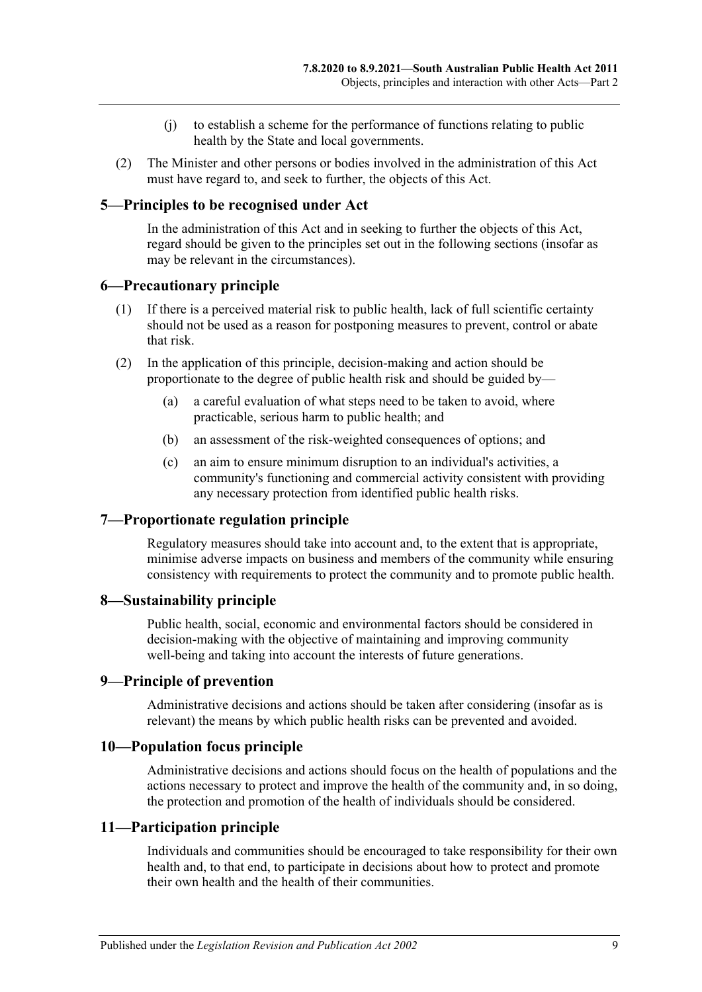- (j) to establish a scheme for the performance of functions relating to public health by the State and local governments.
- (2) The Minister and other persons or bodies involved in the administration of this Act must have regard to, and seek to further, the objects of this Act.

#### <span id="page-8-0"></span>**5—Principles to be recognised under Act**

In the administration of this Act and in seeking to further the objects of this Act, regard should be given to the principles set out in the following sections (insofar as may be relevant in the circumstances).

#### <span id="page-8-1"></span>**6—Precautionary principle**

- (1) If there is a perceived material risk to public health, lack of full scientific certainty should not be used as a reason for postponing measures to prevent, control or abate that risk.
- (2) In the application of this principle, decision-making and action should be proportionate to the degree of public health risk and should be guided by—
	- (a) a careful evaluation of what steps need to be taken to avoid, where practicable, serious harm to public health; and
	- (b) an assessment of the risk-weighted consequences of options; and
	- (c) an aim to ensure minimum disruption to an individual's activities, a community's functioning and commercial activity consistent with providing any necessary protection from identified public health risks.

#### <span id="page-8-2"></span>**7—Proportionate regulation principle**

Regulatory measures should take into account and, to the extent that is appropriate, minimise adverse impacts on business and members of the community while ensuring consistency with requirements to protect the community and to promote public health.

#### <span id="page-8-3"></span>**8—Sustainability principle**

Public health, social, economic and environmental factors should be considered in decision-making with the objective of maintaining and improving community well-being and taking into account the interests of future generations.

#### <span id="page-8-4"></span>**9—Principle of prevention**

Administrative decisions and actions should be taken after considering (insofar as is relevant) the means by which public health risks can be prevented and avoided.

#### <span id="page-8-5"></span>**10—Population focus principle**

Administrative decisions and actions should focus on the health of populations and the actions necessary to protect and improve the health of the community and, in so doing, the protection and promotion of the health of individuals should be considered.

#### <span id="page-8-6"></span>**11—Participation principle**

Individuals and communities should be encouraged to take responsibility for their own health and, to that end, to participate in decisions about how to protect and promote their own health and the health of their communities.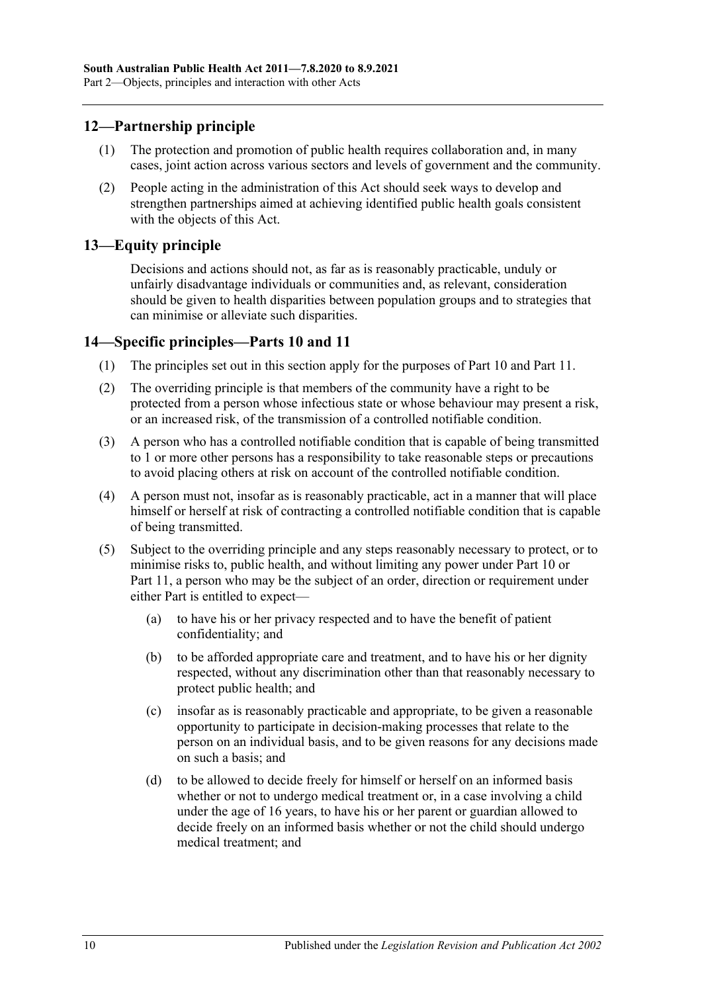## <span id="page-9-0"></span>**12—Partnership principle**

- (1) The protection and promotion of public health requires collaboration and, in many cases, joint action across various sectors and levels of government and the community.
- (2) People acting in the administration of this Act should seek ways to develop and strengthen partnerships aimed at achieving identified public health goals consistent with the objects of this Act.

#### <span id="page-9-1"></span>**13—Equity principle**

Decisions and actions should not, as far as is reasonably practicable, unduly or unfairly disadvantage individuals or communities and, as relevant, consideration should be given to health disparities between population groups and to strategies that can minimise or alleviate such disparities.

#### <span id="page-9-2"></span>**14—Specific principles[—Parts](#page-41-0) 10 and [11](#page-54-1)**

- (1) The principles set out in this section apply for the purposes of [Part](#page-41-0) 10 and [Part](#page-54-1) 11.
- (2) The overriding principle is that members of the community have a right to be protected from a person whose infectious state or whose behaviour may present a risk, or an increased risk, of the transmission of a controlled notifiable condition.
- (3) A person who has a controlled notifiable condition that is capable of being transmitted to 1 or more other persons has a responsibility to take reasonable steps or precautions to avoid placing others at risk on account of the controlled notifiable condition.
- (4) A person must not, insofar as is reasonably practicable, act in a manner that will place himself or herself at risk of contracting a controlled notifiable condition that is capable of being transmitted.
- (5) Subject to the overriding principle and any steps reasonably necessary to protect, or to minimise risks to, public health, and without limiting any power under [Part](#page-41-0) 10 or [Part](#page-54-1) 11, a person who may be the subject of an order, direction or requirement under either Part is entitled to expect—
	- (a) to have his or her privacy respected and to have the benefit of patient confidentiality; and
	- (b) to be afforded appropriate care and treatment, and to have his or her dignity respected, without any discrimination other than that reasonably necessary to protect public health; and
	- (c) insofar as is reasonably practicable and appropriate, to be given a reasonable opportunity to participate in decision-making processes that relate to the person on an individual basis, and to be given reasons for any decisions made on such a basis; and
	- (d) to be allowed to decide freely for himself or herself on an informed basis whether or not to undergo medical treatment or, in a case involving a child under the age of 16 years, to have his or her parent or guardian allowed to decide freely on an informed basis whether or not the child should undergo medical treatment; and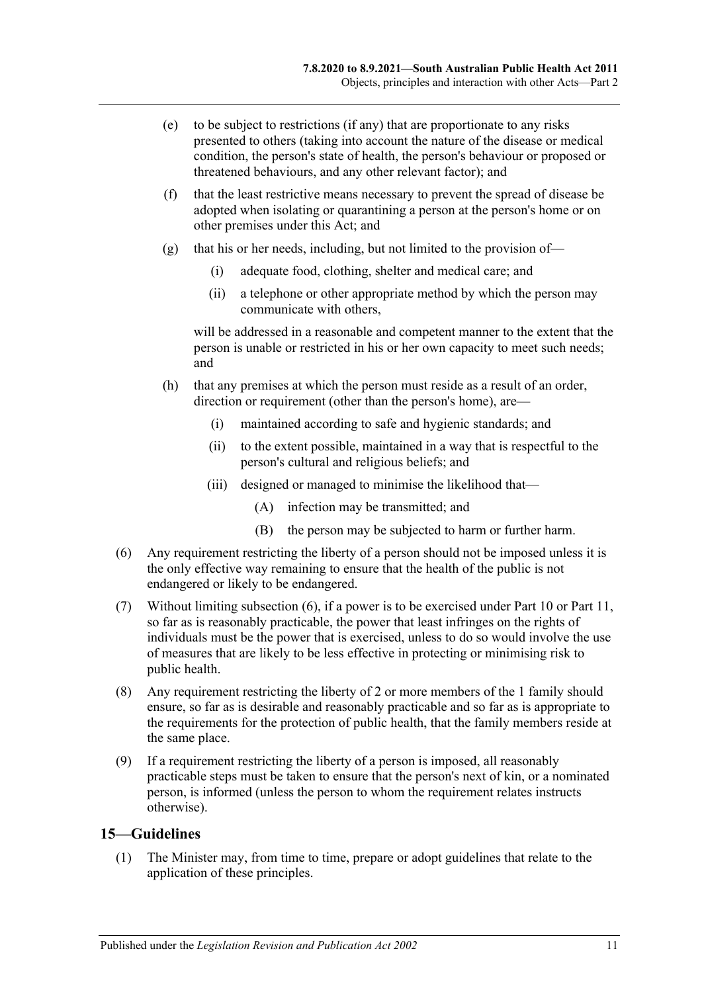- (e) to be subject to restrictions (if any) that are proportionate to any risks presented to others (taking into account the nature of the disease or medical condition, the person's state of health, the person's behaviour or proposed or threatened behaviours, and any other relevant factor); and
- (f) that the least restrictive means necessary to prevent the spread of disease be adopted when isolating or quarantining a person at the person's home or on other premises under this Act; and
- (g) that his or her needs, including, but not limited to the provision of—
	- (i) adequate food, clothing, shelter and medical care; and
	- (ii) a telephone or other appropriate method by which the person may communicate with others,

will be addressed in a reasonable and competent manner to the extent that the person is unable or restricted in his or her own capacity to meet such needs; and

- (h) that any premises at which the person must reside as a result of an order, direction or requirement (other than the person's home), are—
	- (i) maintained according to safe and hygienic standards; and
	- (ii) to the extent possible, maintained in a way that is respectful to the person's cultural and religious beliefs; and
	- (iii) designed or managed to minimise the likelihood that—
		- (A) infection may be transmitted; and
		- (B) the person may be subjected to harm or further harm.
- <span id="page-10-1"></span>(6) Any requirement restricting the liberty of a person should not be imposed unless it is the only effective way remaining to ensure that the health of the public is not endangered or likely to be endangered.
- (7) Without limiting [subsection](#page-10-1) (6), if a power is to be exercised under [Part](#page-41-0) 10 or [Part](#page-54-1) 11, so far as is reasonably practicable, the power that least infringes on the rights of individuals must be the power that is exercised, unless to do so would involve the use of measures that are likely to be less effective in protecting or minimising risk to public health.
- (8) Any requirement restricting the liberty of 2 or more members of the 1 family should ensure, so far as is desirable and reasonably practicable and so far as is appropriate to the requirements for the protection of public health, that the family members reside at the same place.
- (9) If a requirement restricting the liberty of a person is imposed, all reasonably practicable steps must be taken to ensure that the person's next of kin, or a nominated person, is informed (unless the person to whom the requirement relates instructs otherwise).

#### <span id="page-10-2"></span><span id="page-10-0"></span>**15—Guidelines**

(1) The Minister may, from time to time, prepare or adopt guidelines that relate to the application of these principles.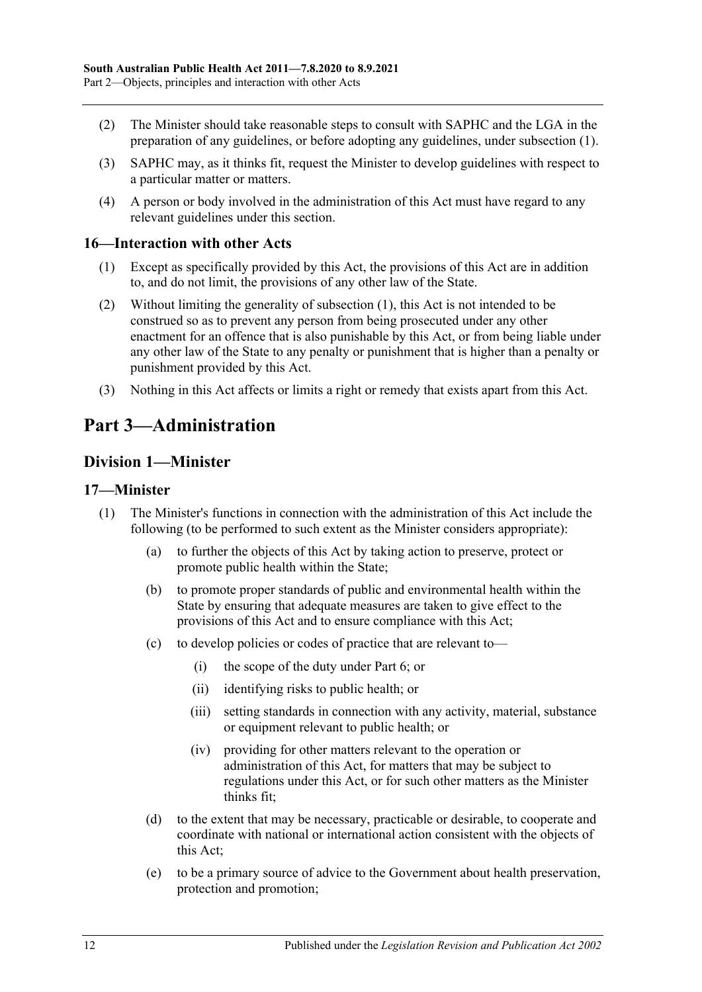- (2) The Minister should take reasonable steps to consult with SAPHC and the LGA in the preparation of any guidelines, or before adopting any guidelines, under [subsection](#page-10-2) (1).
- (3) SAPHC may, as it thinks fit, request the Minister to develop guidelines with respect to a particular matter or matters.
- (4) A person or body involved in the administration of this Act must have regard to any relevant guidelines under this section.

#### <span id="page-11-4"></span><span id="page-11-0"></span>**16—Interaction with other Acts**

- (1) Except as specifically provided by this Act, the provisions of this Act are in addition to, and do not limit, the provisions of any other law of the State.
- (2) Without limiting the generality of [subsection](#page-11-4) (1), this Act is not intended to be construed so as to prevent any person from being prosecuted under any other enactment for an offence that is also punishable by this Act, or from being liable under any other law of the State to any penalty or punishment that is higher than a penalty or punishment provided by this Act.
- (3) Nothing in this Act affects or limits a right or remedy that exists apart from this Act.

## <span id="page-11-1"></span>**Part 3—Administration**

## <span id="page-11-2"></span>**Division 1—Minister**

#### <span id="page-11-3"></span>**17—Minister**

- (1) The Minister's functions in connection with the administration of this Act include the following (to be performed to such extent as the Minister considers appropriate):
	- (a) to further the objects of this Act by taking action to preserve, protect or promote public health within the State;
	- (b) to promote proper standards of public and environmental health within the State by ensuring that adequate measures are taken to give effect to the provisions of this Act and to ensure compliance with this Act;
	- (c) to develop policies or codes of practice that are relevant to—
		- (i) the scope of the duty under [Part](#page-32-1) 6; or
		- (ii) identifying risks to public health; or
		- (iii) setting standards in connection with any activity, material, substance or equipment relevant to public health; or
		- (iv) providing for other matters relevant to the operation or administration of this Act, for matters that may be subject to regulations under this Act, or for such other matters as the Minister thinks fit;
	- (d) to the extent that may be necessary, practicable or desirable, to cooperate and coordinate with national or international action consistent with the objects of this Act;
	- (e) to be a primary source of advice to the Government about health preservation, protection and promotion;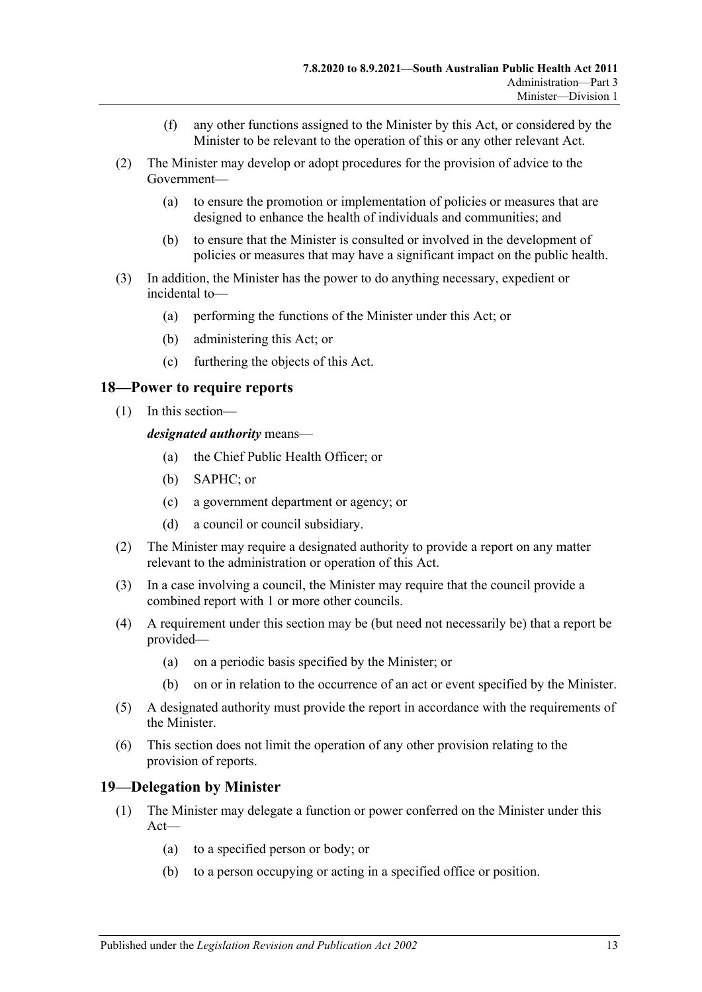- (f) any other functions assigned to the Minister by this Act, or considered by the Minister to be relevant to the operation of this or any other relevant Act.
- (2) The Minister may develop or adopt procedures for the provision of advice to the Government—
	- (a) to ensure the promotion or implementation of policies or measures that are designed to enhance the health of individuals and communities; and
	- (b) to ensure that the Minister is consulted or involved in the development of policies or measures that may have a significant impact on the public health.
- (3) In addition, the Minister has the power to do anything necessary, expedient or incidental to—
	- (a) performing the functions of the Minister under this Act; or
	- (b) administering this Act; or
	- (c) furthering the objects of this Act.

#### <span id="page-12-0"></span>**18—Power to require reports**

(1) In this section—

*designated authority* means—

- (a) the Chief Public Health Officer; or
- (b) SAPHC; or
- (c) a government department or agency; or
- (d) a council or council subsidiary.
- (2) The Minister may require a designated authority to provide a report on any matter relevant to the administration or operation of this Act.
- (3) In a case involving a council, the Minister may require that the council provide a combined report with 1 or more other councils.
- (4) A requirement under this section may be (but need not necessarily be) that a report be provided—
	- (a) on a periodic basis specified by the Minister; or
	- (b) on or in relation to the occurrence of an act or event specified by the Minister.
- (5) A designated authority must provide the report in accordance with the requirements of the Minister.
- (6) This section does not limit the operation of any other provision relating to the provision of reports.

#### <span id="page-12-1"></span>**19—Delegation by Minister**

- (1) The Minister may delegate a function or power conferred on the Minister under this Act—
	- (a) to a specified person or body; or
	- (b) to a person occupying or acting in a specified office or position.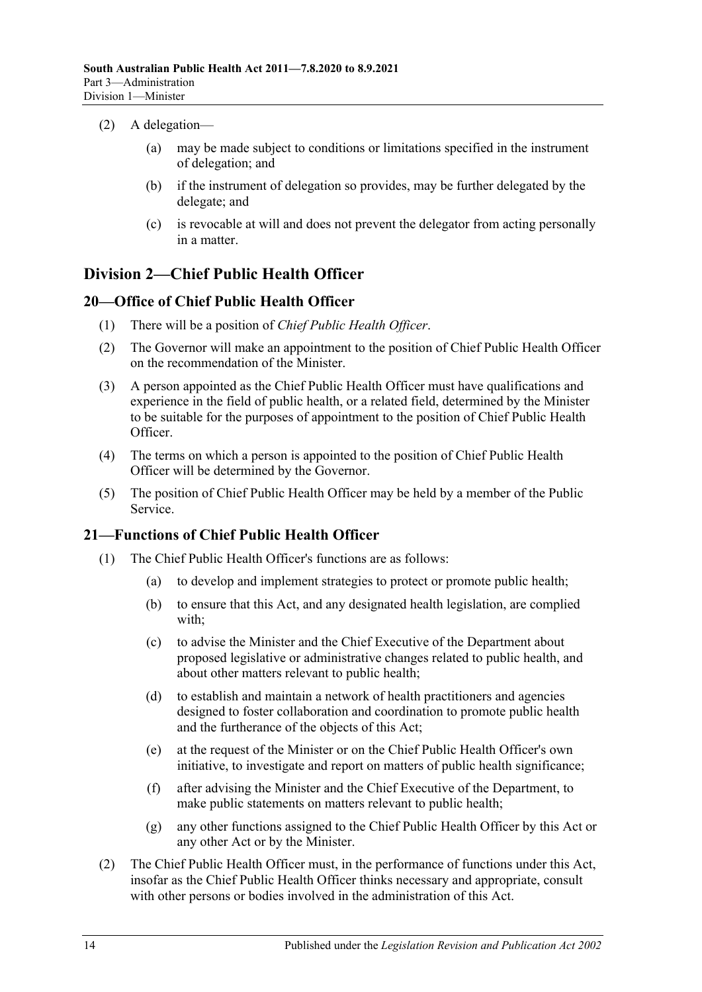- (2) A delegation—
	- (a) may be made subject to conditions or limitations specified in the instrument of delegation; and
	- (b) if the instrument of delegation so provides, may be further delegated by the delegate; and
	- (c) is revocable at will and does not prevent the delegator from acting personally in a matter.

## <span id="page-13-0"></span>**Division 2—Chief Public Health Officer**

## <span id="page-13-1"></span>**20—Office of Chief Public Health Officer**

- (1) There will be a position of *Chief Public Health Officer*.
- (2) The Governor will make an appointment to the position of Chief Public Health Officer on the recommendation of the Minister.
- (3) A person appointed as the Chief Public Health Officer must have qualifications and experience in the field of public health, or a related field, determined by the Minister to be suitable for the purposes of appointment to the position of Chief Public Health Officer.
- (4) The terms on which a person is appointed to the position of Chief Public Health Officer will be determined by the Governor.
- (5) The position of Chief Public Health Officer may be held by a member of the Public Service.

## <span id="page-13-3"></span><span id="page-13-2"></span>**21—Functions of Chief Public Health Officer**

- (1) The Chief Public Health Officer's functions are as follows:
	- (a) to develop and implement strategies to protect or promote public health;
	- (b) to ensure that this Act, and any designated health legislation, are complied with;
	- (c) to advise the Minister and the Chief Executive of the Department about proposed legislative or administrative changes related to public health, and about other matters relevant to public health;
	- (d) to establish and maintain a network of health practitioners and agencies designed to foster collaboration and coordination to promote public health and the furtherance of the objects of this Act;
	- (e) at the request of the Minister or on the Chief Public Health Officer's own initiative, to investigate and report on matters of public health significance;
	- (f) after advising the Minister and the Chief Executive of the Department, to make public statements on matters relevant to public health;
	- (g) any other functions assigned to the Chief Public Health Officer by this Act or any other Act or by the Minister.
- (2) The Chief Public Health Officer must, in the performance of functions under this Act, insofar as the Chief Public Health Officer thinks necessary and appropriate, consult with other persons or bodies involved in the administration of this Act.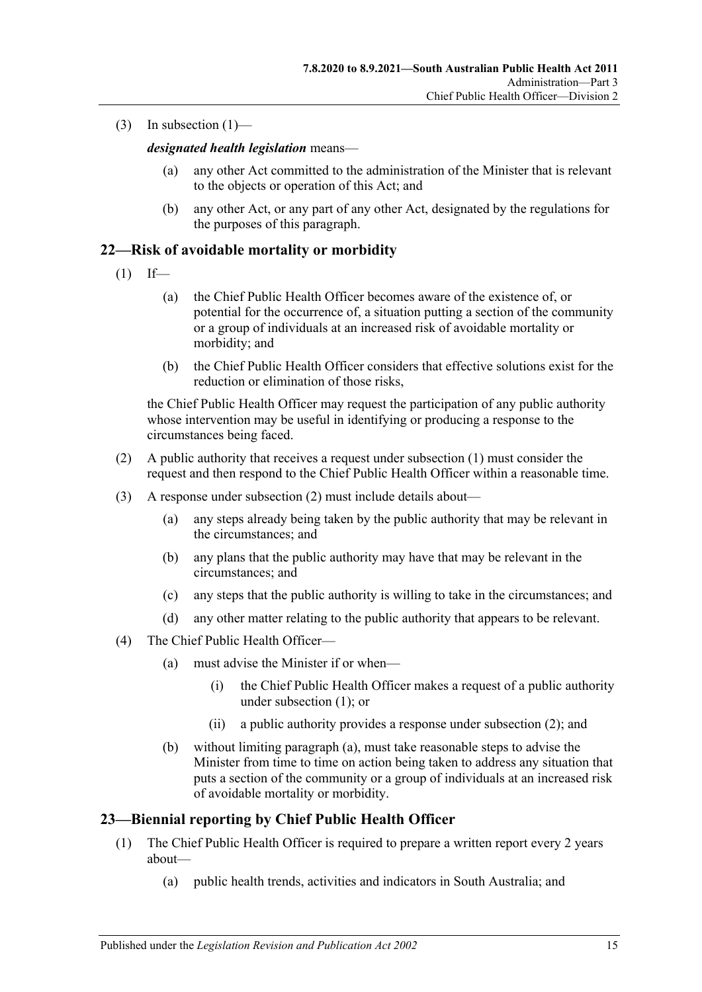(3) In [subsection](#page-13-3)  $(1)$ —

*designated health legislation* means—

- (a) any other Act committed to the administration of the Minister that is relevant to the objects or operation of this Act; and
- (b) any other Act, or any part of any other Act, designated by the regulations for the purposes of this paragraph.

## <span id="page-14-2"></span><span id="page-14-0"></span>**22—Risk of avoidable mortality or morbidity**

- $(1)$  If—
	- (a) the Chief Public Health Officer becomes aware of the existence of, or potential for the occurrence of, a situation putting a section of the community or a group of individuals at an increased risk of avoidable mortality or morbidity; and
	- (b) the Chief Public Health Officer considers that effective solutions exist for the reduction or elimination of those risks,

the Chief Public Health Officer may request the participation of any public authority whose intervention may be useful in identifying or producing a response to the circumstances being faced.

- <span id="page-14-3"></span>(2) A public authority that receives a request under [subsection](#page-14-2) (1) must consider the request and then respond to the Chief Public Health Officer within a reasonable time.
- (3) A response under [subsection](#page-14-3) (2) must include details about—
	- (a) any steps already being taken by the public authority that may be relevant in the circumstances; and
	- (b) any plans that the public authority may have that may be relevant in the circumstances; and
	- (c) any steps that the public authority is willing to take in the circumstances; and
	- (d) any other matter relating to the public authority that appears to be relevant.
- <span id="page-14-4"></span>(4) The Chief Public Health Officer—
	- (a) must advise the Minister if or when—
		- (i) the Chief Public Health Officer makes a request of a public authority under [subsection](#page-14-2) (1); or
		- (ii) a public authority provides a response under [subsection](#page-14-3) (2); and
	- (b) without limiting [paragraph](#page-14-4) (a), must take reasonable steps to advise the Minister from time to time on action being taken to address any situation that puts a section of the community or a group of individuals at an increased risk of avoidable mortality or morbidity.

#### <span id="page-14-1"></span>**23—Biennial reporting by Chief Public Health Officer**

- (1) The Chief Public Health Officer is required to prepare a written report every 2 years about—
	- (a) public health trends, activities and indicators in South Australia; and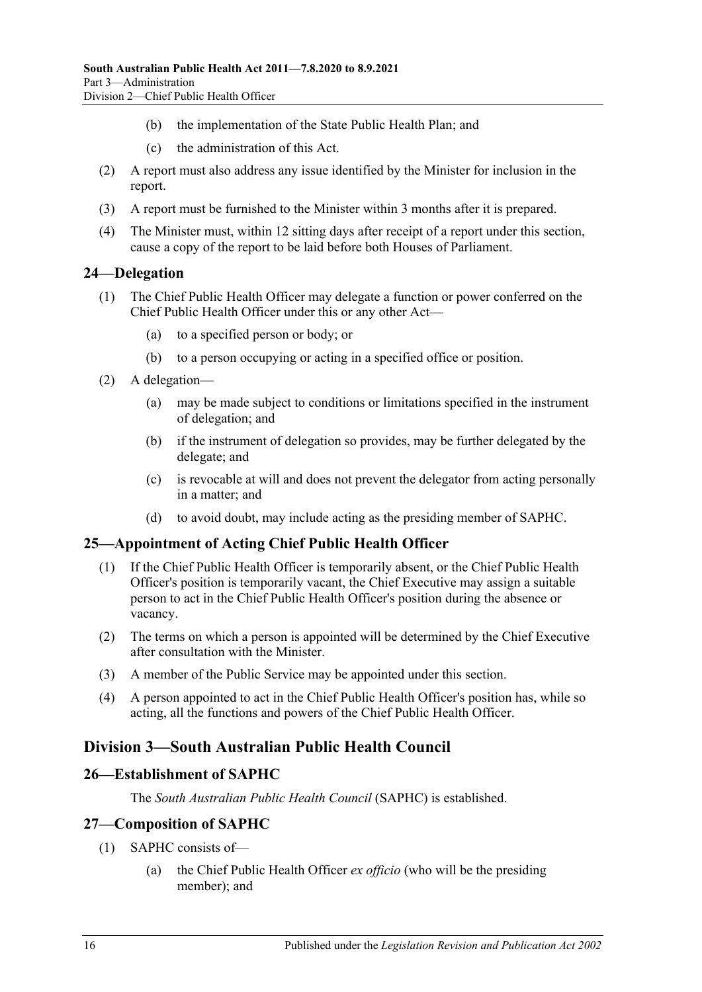- (b) the implementation of the State Public Health Plan; and
- (c) the administration of this Act.
- (2) A report must also address any issue identified by the Minister for inclusion in the report.
- (3) A report must be furnished to the Minister within 3 months after it is prepared.
- (4) The Minister must, within 12 sitting days after receipt of a report under this section, cause a copy of the report to be laid before both Houses of Parliament.

### <span id="page-15-0"></span>**24—Delegation**

- (1) The Chief Public Health Officer may delegate a function or power conferred on the Chief Public Health Officer under this or any other Act—
	- (a) to a specified person or body; or
	- (b) to a person occupying or acting in a specified office or position.
- (2) A delegation—
	- (a) may be made subject to conditions or limitations specified in the instrument of delegation; and
	- (b) if the instrument of delegation so provides, may be further delegated by the delegate; and
	- (c) is revocable at will and does not prevent the delegator from acting personally in a matter; and
	- (d) to avoid doubt, may include acting as the presiding member of SAPHC.

## <span id="page-15-1"></span>**25—Appointment of Acting Chief Public Health Officer**

- (1) If the Chief Public Health Officer is temporarily absent, or the Chief Public Health Officer's position is temporarily vacant, the Chief Executive may assign a suitable person to act in the Chief Public Health Officer's position during the absence or vacancy.
- (2) The terms on which a person is appointed will be determined by the Chief Executive after consultation with the Minister.
- (3) A member of the Public Service may be appointed under this section.
- (4) A person appointed to act in the Chief Public Health Officer's position has, while so acting, all the functions and powers of the Chief Public Health Officer.

## <span id="page-15-2"></span>**Division 3—South Australian Public Health Council**

#### <span id="page-15-3"></span>**26—Establishment of SAPHC**

The *South Australian Public Health Council* (SAPHC) is established.

#### <span id="page-15-4"></span>**27—Composition of SAPHC**

- (1) SAPHC consists of—
	- (a) the Chief Public Health Officer *ex officio* (who will be the presiding member); and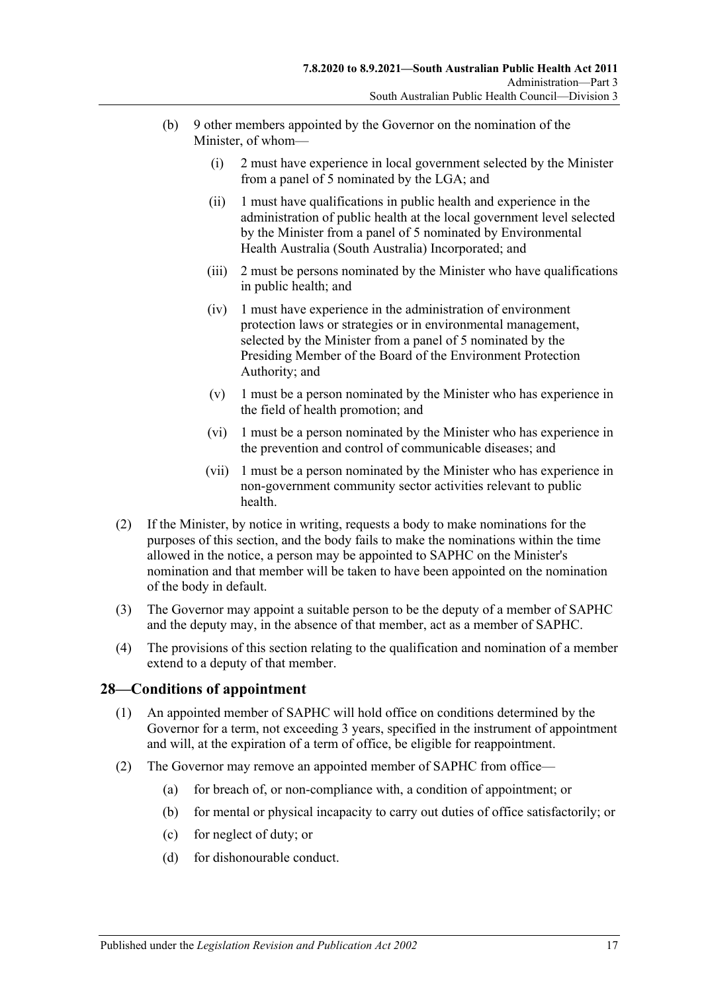- (b) 9 other members appointed by the Governor on the nomination of the Minister, of whom—
	- (i) 2 must have experience in local government selected by the Minister from a panel of 5 nominated by the LGA; and
	- (ii) 1 must have qualifications in public health and experience in the administration of public health at the local government level selected by the Minister from a panel of 5 nominated by Environmental Health Australia (South Australia) Incorporated; and
	- (iii) 2 must be persons nominated by the Minister who have qualifications in public health; and
	- (iv) 1 must have experience in the administration of environment protection laws or strategies or in environmental management, selected by the Minister from a panel of 5 nominated by the Presiding Member of the Board of the Environment Protection Authority; and
	- (v) 1 must be a person nominated by the Minister who has experience in the field of health promotion; and
	- (vi) 1 must be a person nominated by the Minister who has experience in the prevention and control of communicable diseases; and
	- (vii) 1 must be a person nominated by the Minister who has experience in non-government community sector activities relevant to public health.
- (2) If the Minister, by notice in writing, requests a body to make nominations for the purposes of this section, and the body fails to make the nominations within the time allowed in the notice, a person may be appointed to SAPHC on the Minister's nomination and that member will be taken to have been appointed on the nomination of the body in default.
- (3) The Governor may appoint a suitable person to be the deputy of a member of SAPHC and the deputy may, in the absence of that member, act as a member of SAPHC.
- (4) The provisions of this section relating to the qualification and nomination of a member extend to a deputy of that member.

#### <span id="page-16-0"></span>**28—Conditions of appointment**

- (1) An appointed member of SAPHC will hold office on conditions determined by the Governor for a term, not exceeding 3 years, specified in the instrument of appointment and will, at the expiration of a term of office, be eligible for reappointment.
- <span id="page-16-1"></span>(2) The Governor may remove an appointed member of SAPHC from office—
	- (a) for breach of, or non-compliance with, a condition of appointment; or
	- (b) for mental or physical incapacity to carry out duties of office satisfactorily; or
	- (c) for neglect of duty; or
	- (d) for dishonourable conduct.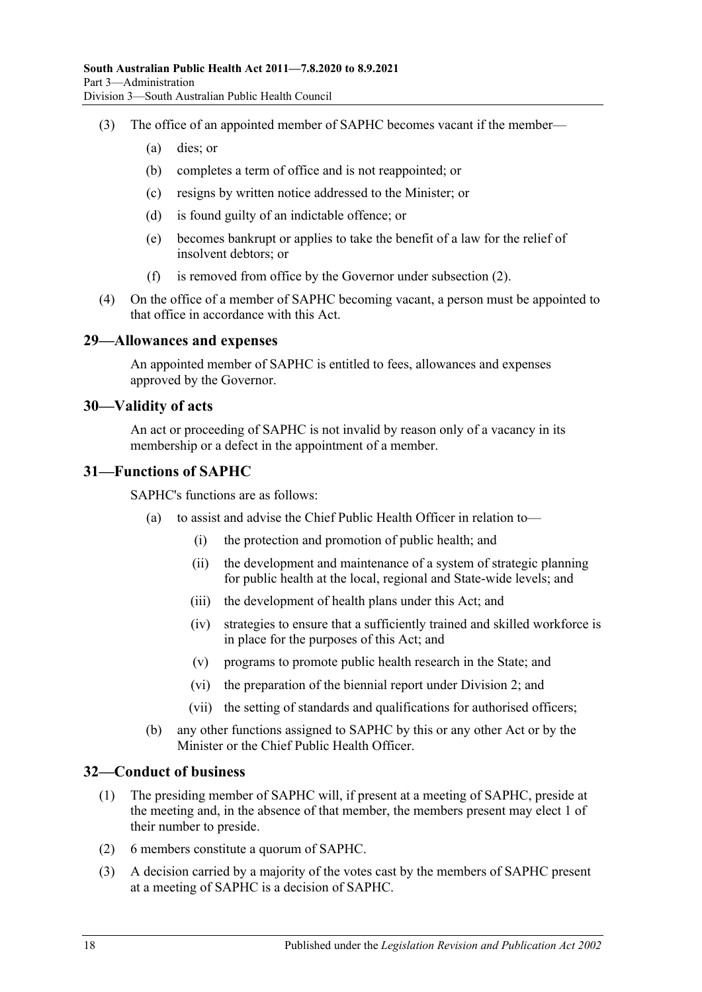- (3) The office of an appointed member of SAPHC becomes vacant if the member—
	- (a) dies; or
	- (b) completes a term of office and is not reappointed; or
	- (c) resigns by written notice addressed to the Minister; or
	- (d) is found guilty of an indictable offence; or
	- (e) becomes bankrupt or applies to take the benefit of a law for the relief of insolvent debtors; or
	- (f) is removed from office by the Governor under [subsection](#page-16-1) (2).
- (4) On the office of a member of SAPHC becoming vacant, a person must be appointed to that office in accordance with this Act.

#### <span id="page-17-0"></span>**29—Allowances and expenses**

An appointed member of SAPHC is entitled to fees, allowances and expenses approved by the Governor.

#### <span id="page-17-1"></span>**30—Validity of acts**

An act or proceeding of SAPHC is not invalid by reason only of a vacancy in its membership or a defect in the appointment of a member.

#### <span id="page-17-2"></span>**31—Functions of SAPHC**

SAPHC's functions are as follows:

- (a) to assist and advise the Chief Public Health Officer in relation to—
	- (i) the protection and promotion of public health; and
	- (ii) the development and maintenance of a system of strategic planning for public health at the local, regional and State-wide levels; and
	- (iii) the development of health plans under this Act; and
	- (iv) strategies to ensure that a sufficiently trained and skilled workforce is in place for the purposes of this Act; and
	- (v) programs to promote public health research in the State; and
	- (vi) the preparation of the biennial report under [Division](#page-13-0) 2; and
	- (vii) the setting of standards and qualifications for authorised officers;
- (b) any other functions assigned to SAPHC by this or any other Act or by the Minister or the Chief Public Health Officer.

#### <span id="page-17-3"></span>**32—Conduct of business**

- (1) The presiding member of SAPHC will, if present at a meeting of SAPHC, preside at the meeting and, in the absence of that member, the members present may elect 1 of their number to preside.
- (2) 6 members constitute a quorum of SAPHC.
- (3) A decision carried by a majority of the votes cast by the members of SAPHC present at a meeting of SAPHC is a decision of SAPHC.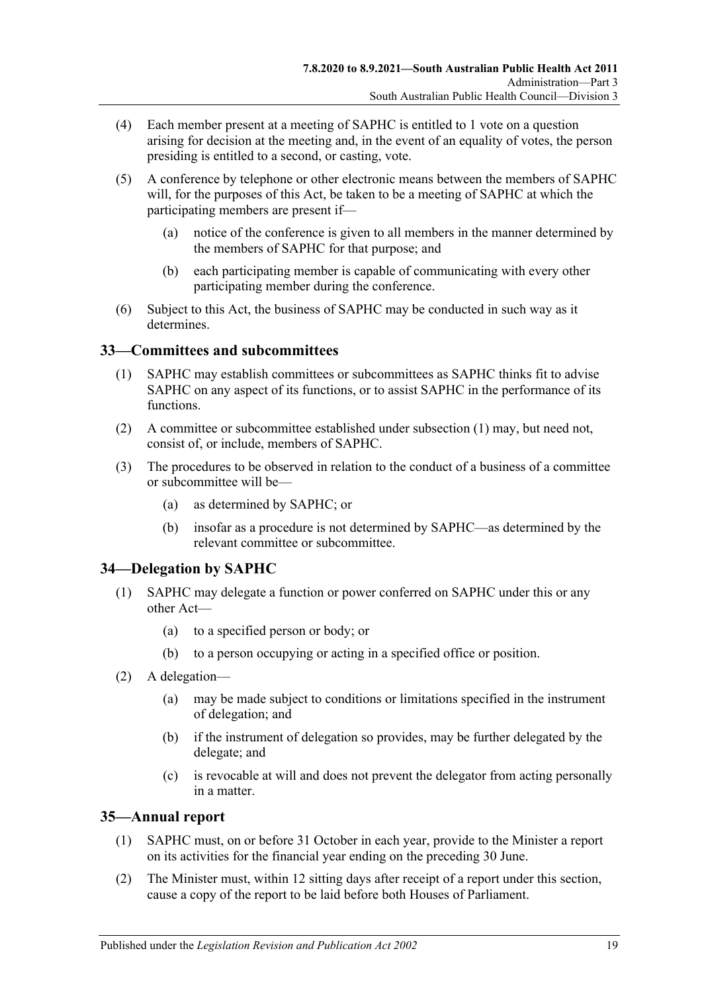- (4) Each member present at a meeting of SAPHC is entitled to 1 vote on a question arising for decision at the meeting and, in the event of an equality of votes, the person presiding is entitled to a second, or casting, vote.
- (5) A conference by telephone or other electronic means between the members of SAPHC will, for the purposes of this Act, be taken to be a meeting of SAPHC at which the participating members are present if—
	- (a) notice of the conference is given to all members in the manner determined by the members of SAPHC for that purpose; and
	- (b) each participating member is capable of communicating with every other participating member during the conference.
- (6) Subject to this Act, the business of SAPHC may be conducted in such way as it determines.

### <span id="page-18-3"></span><span id="page-18-0"></span>**33—Committees and subcommittees**

- (1) SAPHC may establish committees or subcommittees as SAPHC thinks fit to advise SAPHC on any aspect of its functions, or to assist SAPHC in the performance of its functions.
- (2) A committee or subcommittee established under [subsection](#page-18-3) (1) may, but need not, consist of, or include, members of SAPHC.
- (3) The procedures to be observed in relation to the conduct of a business of a committee or subcommittee will be—
	- (a) as determined by SAPHC; or
	- (b) insofar as a procedure is not determined by SAPHC—as determined by the relevant committee or subcommittee.

## <span id="page-18-1"></span>**34—Delegation by SAPHC**

- (1) SAPHC may delegate a function or power conferred on SAPHC under this or any other Act—
	- (a) to a specified person or body; or
	- (b) to a person occupying or acting in a specified office or position.
- (2) A delegation—
	- (a) may be made subject to conditions or limitations specified in the instrument of delegation; and
	- (b) if the instrument of delegation so provides, may be further delegated by the delegate; and
	- (c) is revocable at will and does not prevent the delegator from acting personally in a matter.

## <span id="page-18-2"></span>**35—Annual report**

- (1) SAPHC must, on or before 31 October in each year, provide to the Minister a report on its activities for the financial year ending on the preceding 30 June.
- (2) The Minister must, within 12 sitting days after receipt of a report under this section, cause a copy of the report to be laid before both Houses of Parliament.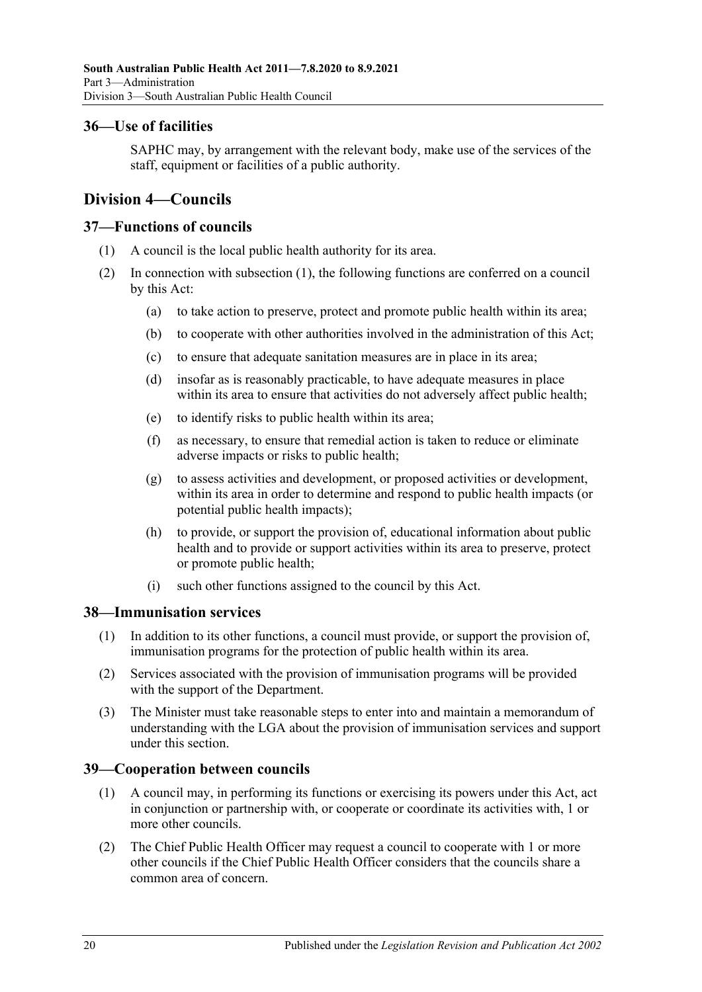### <span id="page-19-0"></span>**36—Use of facilities**

SAPHC may, by arrangement with the relevant body, make use of the services of the staff, equipment or facilities of a public authority.

## <span id="page-19-1"></span>**Division 4—Councils**

#### <span id="page-19-5"></span><span id="page-19-2"></span>**37—Functions of councils**

- (1) A council is the local public health authority for its area.
- (2) In connection with [subsection](#page-19-5) (1), the following functions are conferred on a council by this Act:
	- (a) to take action to preserve, protect and promote public health within its area;
	- (b) to cooperate with other authorities involved in the administration of this Act;
	- (c) to ensure that adequate sanitation measures are in place in its area;
	- (d) insofar as is reasonably practicable, to have adequate measures in place within its area to ensure that activities do not adversely affect public health;
	- (e) to identify risks to public health within its area;
	- (f) as necessary, to ensure that remedial action is taken to reduce or eliminate adverse impacts or risks to public health;
	- (g) to assess activities and development, or proposed activities or development, within its area in order to determine and respond to public health impacts (or potential public health impacts);
	- (h) to provide, or support the provision of, educational information about public health and to provide or support activities within its area to preserve, protect or promote public health;
	- (i) such other functions assigned to the council by this Act.

#### <span id="page-19-3"></span>**38—Immunisation services**

- (1) In addition to its other functions, a council must provide, or support the provision of, immunisation programs for the protection of public health within its area.
- (2) Services associated with the provision of immunisation programs will be provided with the support of the Department.
- (3) The Minister must take reasonable steps to enter into and maintain a memorandum of understanding with the LGA about the provision of immunisation services and support under this section.

#### <span id="page-19-4"></span>**39—Cooperation between councils**

- (1) A council may, in performing its functions or exercising its powers under this Act, act in conjunction or partnership with, or cooperate or coordinate its activities with, 1 or more other councils.
- <span id="page-19-6"></span>(2) The Chief Public Health Officer may request a council to cooperate with 1 or more other councils if the Chief Public Health Officer considers that the councils share a common area of concern.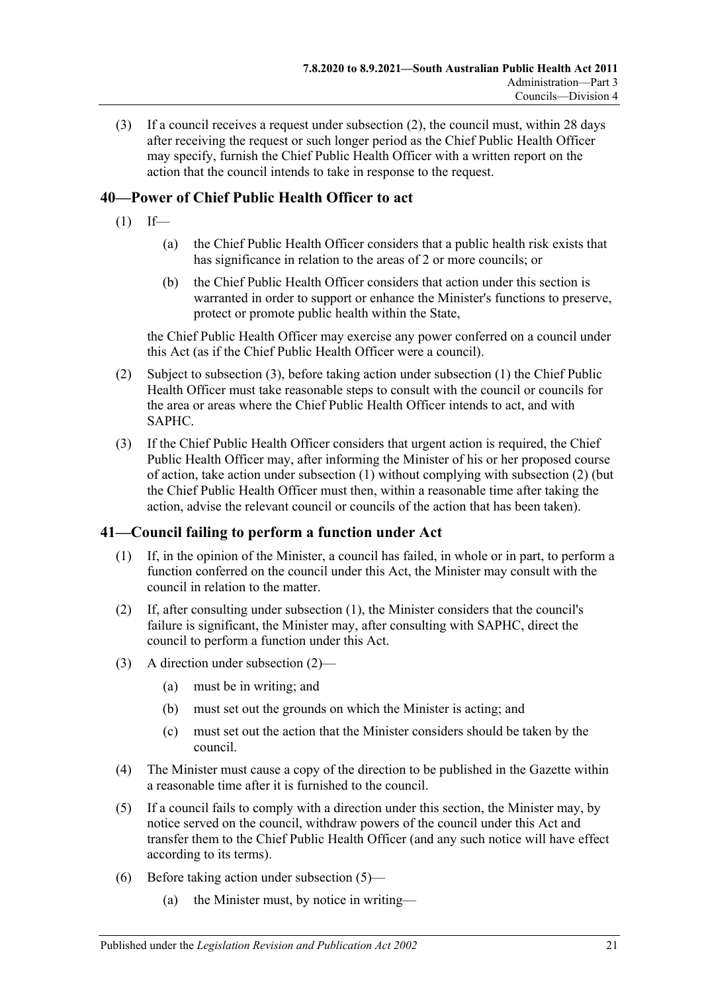(3) If a council receives a request under [subsection](#page-19-6) (2), the council must, within 28 days after receiving the request or such longer period as the Chief Public Health Officer may specify, furnish the Chief Public Health Officer with a written report on the action that the council intends to take in response to the request.

## <span id="page-20-3"></span><span id="page-20-0"></span>**40—Power of Chief Public Health Officer to act**

- $(1)$  If—
	- (a) the Chief Public Health Officer considers that a public health risk exists that has significance in relation to the areas of 2 or more councils; or
	- (b) the Chief Public Health Officer considers that action under this section is warranted in order to support or enhance the Minister's functions to preserve, protect or promote public health within the State,

the Chief Public Health Officer may exercise any power conferred on a council under this Act (as if the Chief Public Health Officer were a council).

- <span id="page-20-4"></span>(2) Subject to [subsection](#page-20-2) (3), before taking action under [subsection](#page-20-3) (1) the Chief Public Health Officer must take reasonable steps to consult with the council or councils for the area or areas where the Chief Public Health Officer intends to act, and with SAPHC.
- <span id="page-20-2"></span>(3) If the Chief Public Health Officer considers that urgent action is required, the Chief Public Health Officer may, after informing the Minister of his or her proposed course of action, take action under [subsection](#page-20-3) (1) without complying with [subsection](#page-20-4) (2) (but the Chief Public Health Officer must then, within a reasonable time after taking the action, advise the relevant council or councils of the action that has been taken).

## <span id="page-20-5"></span><span id="page-20-1"></span>**41—Council failing to perform a function under Act**

- (1) If, in the opinion of the Minister, a council has failed, in whole or in part, to perform a function conferred on the council under this Act, the Minister may consult with the council in relation to the matter.
- <span id="page-20-6"></span>(2) If, after consulting under [subsection](#page-20-5) (1), the Minister considers that the council's failure is significant, the Minister may, after consulting with SAPHC, direct the council to perform a function under this Act.
- (3) A direction under [subsection](#page-20-6) (2)—
	- (a) must be in writing; and
	- (b) must set out the grounds on which the Minister is acting; and
	- (c) must set out the action that the Minister considers should be taken by the council.
- (4) The Minister must cause a copy of the direction to be published in the Gazette within a reasonable time after it is furnished to the council.
- <span id="page-20-7"></span>(5) If a council fails to comply with a direction under this section, the Minister may, by notice served on the council, withdraw powers of the council under this Act and transfer them to the Chief Public Health Officer (and any such notice will have effect according to its terms).
- (6) Before taking action under [subsection](#page-20-7) (5)—
	- (a) the Minister must, by notice in writing—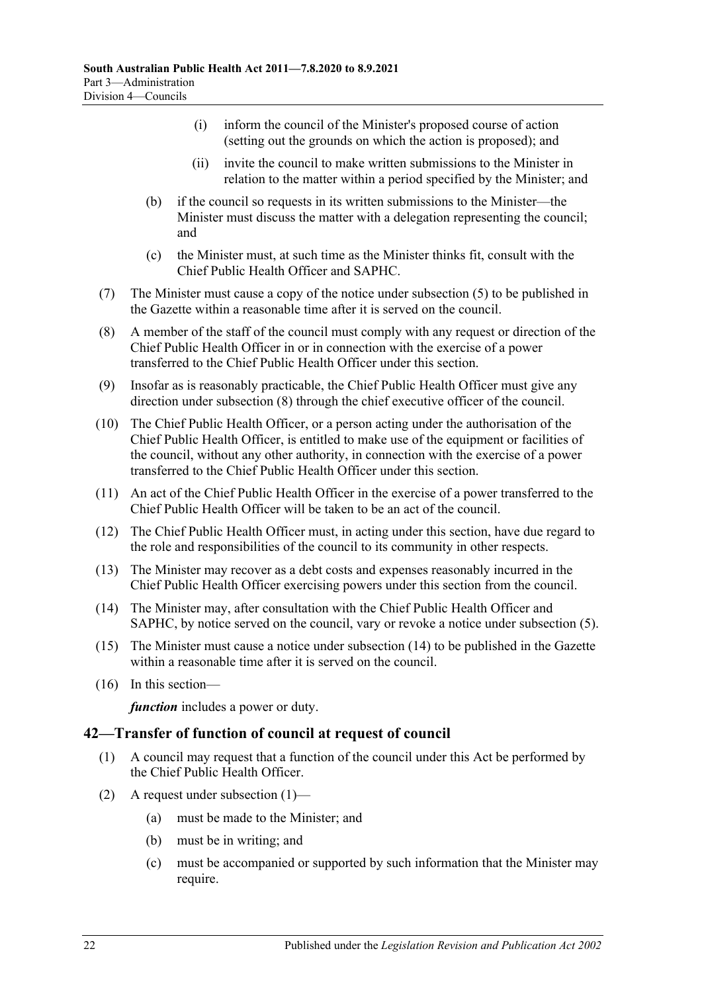- (i) inform the council of the Minister's proposed course of action (setting out the grounds on which the action is proposed); and
- (ii) invite the council to make written submissions to the Minister in relation to the matter within a period specified by the Minister; and
- (b) if the council so requests in its written submissions to the Minister—the Minister must discuss the matter with a delegation representing the council; and
- (c) the Minister must, at such time as the Minister thinks fit, consult with the Chief Public Health Officer and SAPHC.
- (7) The Minister must cause a copy of the notice under [subsection](#page-20-7) (5) to be published in the Gazette within a reasonable time after it is served on the council.
- <span id="page-21-1"></span>(8) A member of the staff of the council must comply with any request or direction of the Chief Public Health Officer in or in connection with the exercise of a power transferred to the Chief Public Health Officer under this section.
- (9) Insofar as is reasonably practicable, the Chief Public Health Officer must give any direction under [subsection](#page-21-1) (8) through the chief executive officer of the council.
- (10) The Chief Public Health Officer, or a person acting under the authorisation of the Chief Public Health Officer, is entitled to make use of the equipment or facilities of the council, without any other authority, in connection with the exercise of a power transferred to the Chief Public Health Officer under this section.
- (11) An act of the Chief Public Health Officer in the exercise of a power transferred to the Chief Public Health Officer will be taken to be an act of the council.
- (12) The Chief Public Health Officer must, in acting under this section, have due regard to the role and responsibilities of the council to its community in other respects.
- (13) The Minister may recover as a debt costs and expenses reasonably incurred in the Chief Public Health Officer exercising powers under this section from the council.
- <span id="page-21-2"></span>(14) The Minister may, after consultation with the Chief Public Health Officer and SAPHC, by notice served on the council, vary or revoke a notice under [subsection](#page-20-7) (5).
- (15) The Minister must cause a notice under [subsection](#page-21-2) (14) to be published in the Gazette within a reasonable time after it is served on the council.
- (16) In this section—

*function* includes a power or duty.

### <span id="page-21-3"></span><span id="page-21-0"></span>**42—Transfer of function of council at request of council**

- (1) A council may request that a function of the council under this Act be performed by the Chief Public Health Officer.
- (2) A request under [subsection](#page-21-3) (1)—
	- (a) must be made to the Minister; and
	- (b) must be in writing; and
	- (c) must be accompanied or supported by such information that the Minister may require.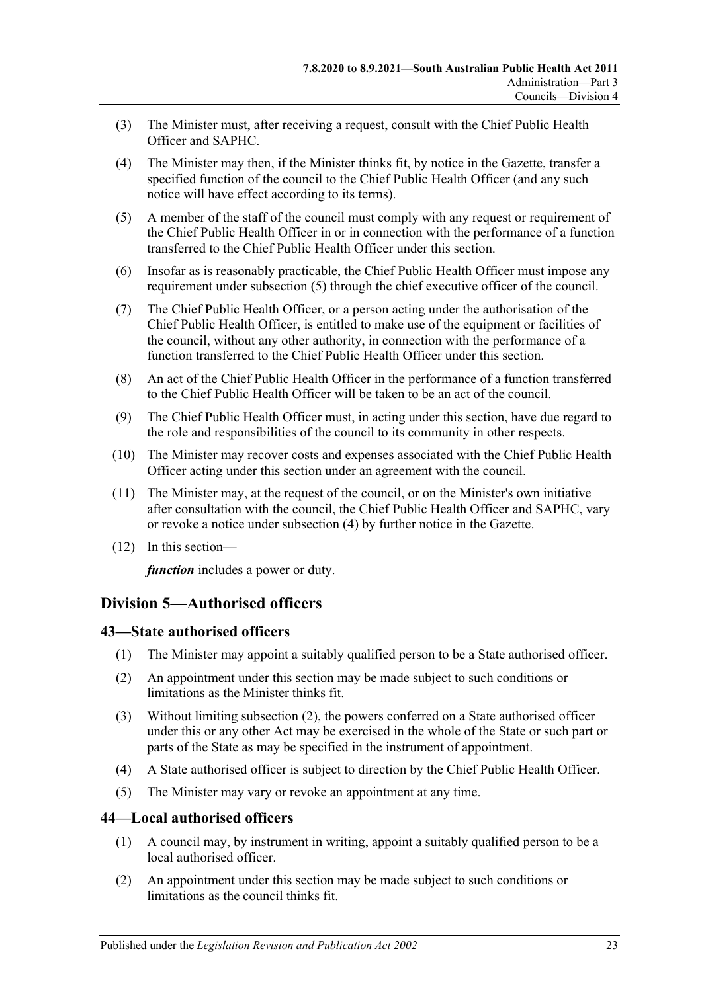- (3) The Minister must, after receiving a request, consult with the Chief Public Health Officer and SAPHC.
- <span id="page-22-4"></span>(4) The Minister may then, if the Minister thinks fit, by notice in the Gazette, transfer a specified function of the council to the Chief Public Health Officer (and any such notice will have effect according to its terms).
- <span id="page-22-3"></span>(5) A member of the staff of the council must comply with any request or requirement of the Chief Public Health Officer in or in connection with the performance of a function transferred to the Chief Public Health Officer under this section.
- (6) Insofar as is reasonably practicable, the Chief Public Health Officer must impose any requirement under [subsection](#page-22-3) (5) through the chief executive officer of the council.
- (7) The Chief Public Health Officer, or a person acting under the authorisation of the Chief Public Health Officer, is entitled to make use of the equipment or facilities of the council, without any other authority, in connection with the performance of a function transferred to the Chief Public Health Officer under this section.
- (8) An act of the Chief Public Health Officer in the performance of a function transferred to the Chief Public Health Officer will be taken to be an act of the council.
- (9) The Chief Public Health Officer must, in acting under this section, have due regard to the role and responsibilities of the council to its community in other respects.
- (10) The Minister may recover costs and expenses associated with the Chief Public Health Officer acting under this section under an agreement with the council.
- (11) The Minister may, at the request of the council, or on the Minister's own initiative after consultation with the council, the Chief Public Health Officer and SAPHC, vary or revoke a notice under [subsection](#page-22-4) (4) by further notice in the Gazette.
- (12) In this section—

*function* includes a power or duty.

## <span id="page-22-0"></span>**Division 5—Authorised officers**

#### <span id="page-22-1"></span>**43—State authorised officers**

- (1) The Minister may appoint a suitably qualified person to be a State authorised officer.
- <span id="page-22-5"></span>(2) An appointment under this section may be made subject to such conditions or limitations as the Minister thinks fit.
- (3) Without limiting [subsection](#page-22-5) (2), the powers conferred on a State authorised officer under this or any other Act may be exercised in the whole of the State or such part or parts of the State as may be specified in the instrument of appointment.
- (4) A State authorised officer is subject to direction by the Chief Public Health Officer.
- (5) The Minister may vary or revoke an appointment at any time.

#### <span id="page-22-2"></span>**44—Local authorised officers**

- (1) A council may, by instrument in writing, appoint a suitably qualified person to be a local authorised officer.
- <span id="page-22-6"></span>(2) An appointment under this section may be made subject to such conditions or limitations as the council thinks fit.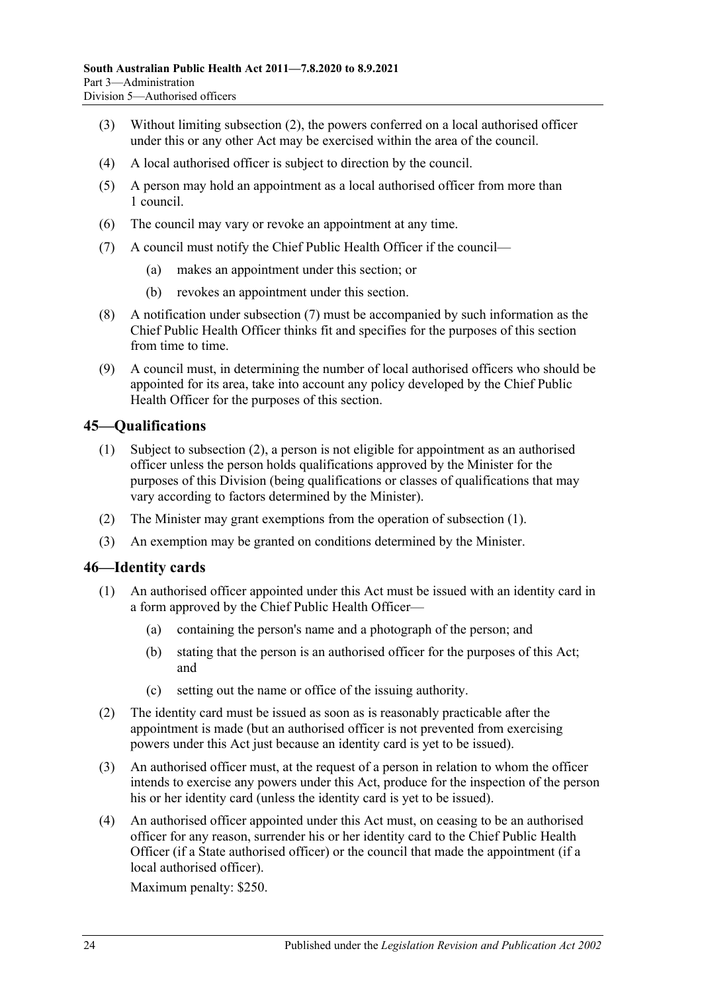- (3) Without limiting [subsection](#page-22-6) (2), the powers conferred on a local authorised officer under this or any other Act may be exercised within the area of the council.
- (4) A local authorised officer is subject to direction by the council.
- (5) A person may hold an appointment as a local authorised officer from more than 1 council.
- (6) The council may vary or revoke an appointment at any time.
- <span id="page-23-2"></span>(7) A council must notify the Chief Public Health Officer if the council—
	- (a) makes an appointment under this section; or
	- (b) revokes an appointment under this section.
- (8) A notification under [subsection](#page-23-2) (7) must be accompanied by such information as the Chief Public Health Officer thinks fit and specifies for the purposes of this section from time to time.
- (9) A council must, in determining the number of local authorised officers who should be appointed for its area, take into account any policy developed by the Chief Public Health Officer for the purposes of this section.

#### <span id="page-23-4"></span><span id="page-23-0"></span>**45—Qualifications**

- (1) Subject to [subsection](#page-23-3) (2), a person is not eligible for appointment as an authorised officer unless the person holds qualifications approved by the Minister for the purposes of this Division (being qualifications or classes of qualifications that may vary according to factors determined by the Minister).
- <span id="page-23-3"></span>(2) The Minister may grant exemptions from the operation of [subsection](#page-23-4) (1).
- (3) An exemption may be granted on conditions determined by the Minister.

#### <span id="page-23-1"></span>**46—Identity cards**

- (1) An authorised officer appointed under this Act must be issued with an identity card in a form approved by the Chief Public Health Officer—
	- (a) containing the person's name and a photograph of the person; and
	- (b) stating that the person is an authorised officer for the purposes of this Act; and
	- (c) setting out the name or office of the issuing authority.
- (2) The identity card must be issued as soon as is reasonably practicable after the appointment is made (but an authorised officer is not prevented from exercising powers under this Act just because an identity card is yet to be issued).
- (3) An authorised officer must, at the request of a person in relation to whom the officer intends to exercise any powers under this Act, produce for the inspection of the person his or her identity card (unless the identity card is yet to be issued).
- (4) An authorised officer appointed under this Act must, on ceasing to be an authorised officer for any reason, surrender his or her identity card to the Chief Public Health Officer (if a State authorised officer) or the council that made the appointment (if a local authorised officer).

Maximum penalty: \$250.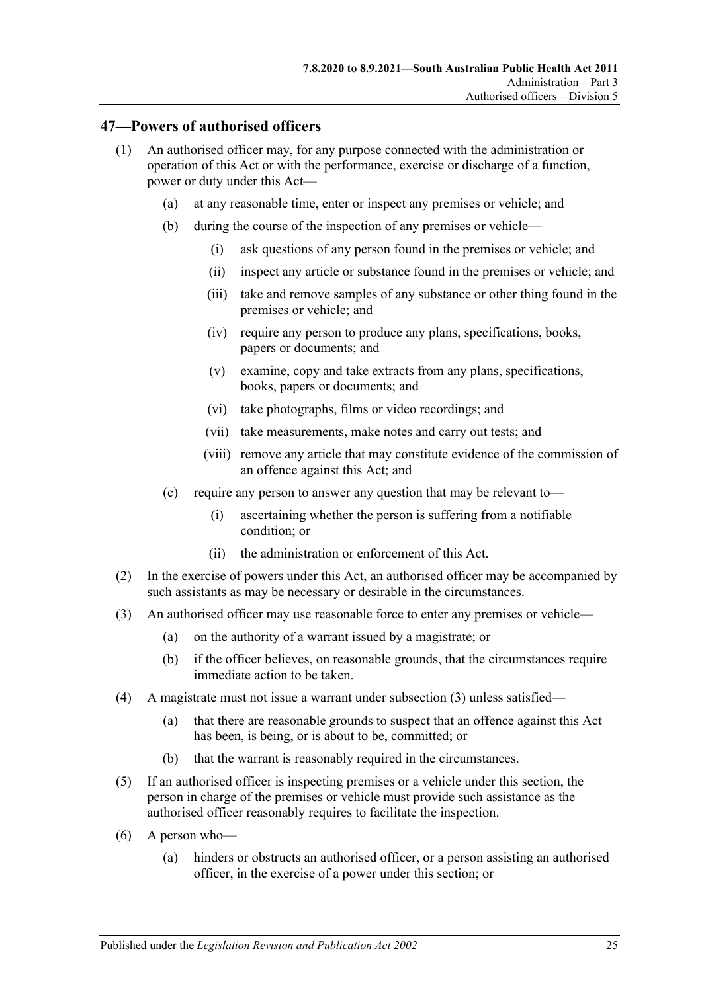#### <span id="page-24-0"></span>**47—Powers of authorised officers**

- (1) An authorised officer may, for any purpose connected with the administration or operation of this Act or with the performance, exercise or discharge of a function, power or duty under this Act—
	- (a) at any reasonable time, enter or inspect any premises or vehicle; and
	- (b) during the course of the inspection of any premises or vehicle—
		- (i) ask questions of any person found in the premises or vehicle; and
		- (ii) inspect any article or substance found in the premises or vehicle; and
		- (iii) take and remove samples of any substance or other thing found in the premises or vehicle; and
		- (iv) require any person to produce any plans, specifications, books, papers or documents; and
		- (v) examine, copy and take extracts from any plans, specifications, books, papers or documents; and
		- (vi) take photographs, films or video recordings; and
		- (vii) take measurements, make notes and carry out tests; and
		- (viii) remove any article that may constitute evidence of the commission of an offence against this Act; and
	- (c) require any person to answer any question that may be relevant to—
		- (i) ascertaining whether the person is suffering from a notifiable condition; or
		- (ii) the administration or enforcement of this Act.
- (2) In the exercise of powers under this Act, an authorised officer may be accompanied by such assistants as may be necessary or desirable in the circumstances.
- <span id="page-24-1"></span>(3) An authorised officer may use reasonable force to enter any premises or vehicle—
	- (a) on the authority of a warrant issued by a magistrate; or
	- (b) if the officer believes, on reasonable grounds, that the circumstances require immediate action to be taken.
- (4) A magistrate must not issue a warrant under [subsection](#page-24-1) (3) unless satisfied—
	- (a) that there are reasonable grounds to suspect that an offence against this Act has been, is being, or is about to be, committed; or
	- (b) that the warrant is reasonably required in the circumstances.
- (5) If an authorised officer is inspecting premises or a vehicle under this section, the person in charge of the premises or vehicle must provide such assistance as the authorised officer reasonably requires to facilitate the inspection.
- (6) A person who—
	- (a) hinders or obstructs an authorised officer, or a person assisting an authorised officer, in the exercise of a power under this section; or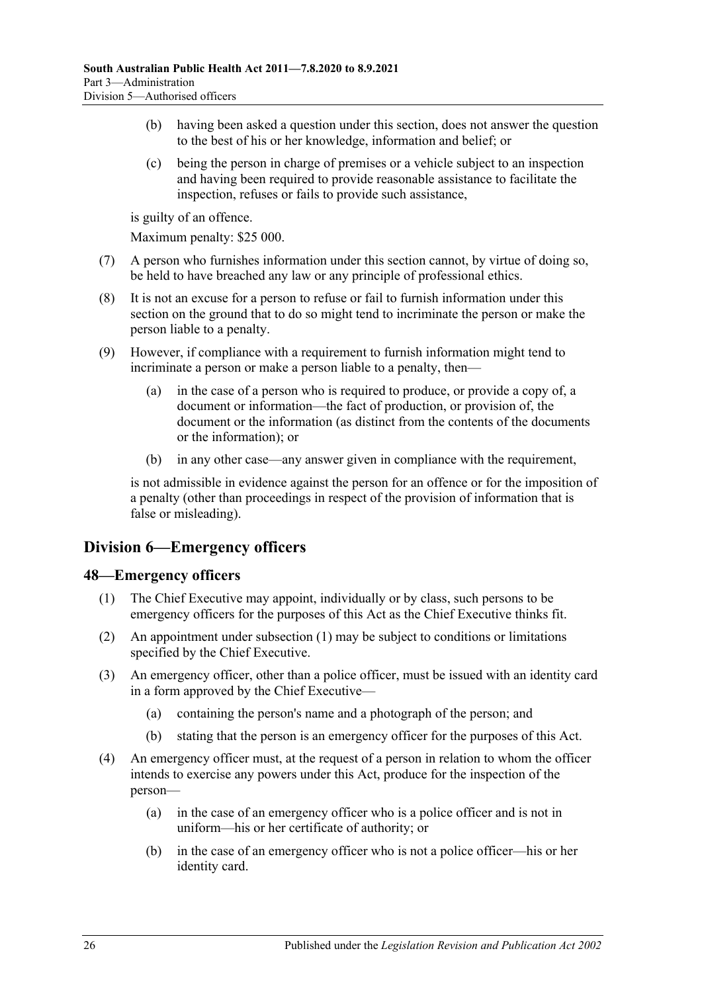- (b) having been asked a question under this section, does not answer the question to the best of his or her knowledge, information and belief; or
- (c) being the person in charge of premises or a vehicle subject to an inspection and having been required to provide reasonable assistance to facilitate the inspection, refuses or fails to provide such assistance,

is guilty of an offence.

Maximum penalty: \$25 000.

- (7) A person who furnishes information under this section cannot, by virtue of doing so, be held to have breached any law or any principle of professional ethics.
- (8) It is not an excuse for a person to refuse or fail to furnish information under this section on the ground that to do so might tend to incriminate the person or make the person liable to a penalty.
- (9) However, if compliance with a requirement to furnish information might tend to incriminate a person or make a person liable to a penalty, then—
	- (a) in the case of a person who is required to produce, or provide a copy of, a document or information—the fact of production, or provision of, the document or the information (as distinct from the contents of the documents or the information); or
	- (b) in any other case—any answer given in compliance with the requirement,

is not admissible in evidence against the person for an offence or for the imposition of a penalty (other than proceedings in respect of the provision of information that is false or misleading).

## <span id="page-25-0"></span>**Division 6—Emergency officers**

#### <span id="page-25-2"></span><span id="page-25-1"></span>**48—Emergency officers**

- (1) The Chief Executive may appoint, individually or by class, such persons to be emergency officers for the purposes of this Act as the Chief Executive thinks fit.
- (2) An appointment under [subsection](#page-25-2) (1) may be subject to conditions or limitations specified by the Chief Executive.
- (3) An emergency officer, other than a police officer, must be issued with an identity card in a form approved by the Chief Executive—
	- (a) containing the person's name and a photograph of the person; and
	- (b) stating that the person is an emergency officer for the purposes of this Act.
- (4) An emergency officer must, at the request of a person in relation to whom the officer intends to exercise any powers under this Act, produce for the inspection of the person—
	- (a) in the case of an emergency officer who is a police officer and is not in uniform—his or her certificate of authority; or
	- (b) in the case of an emergency officer who is not a police officer—his or her identity card.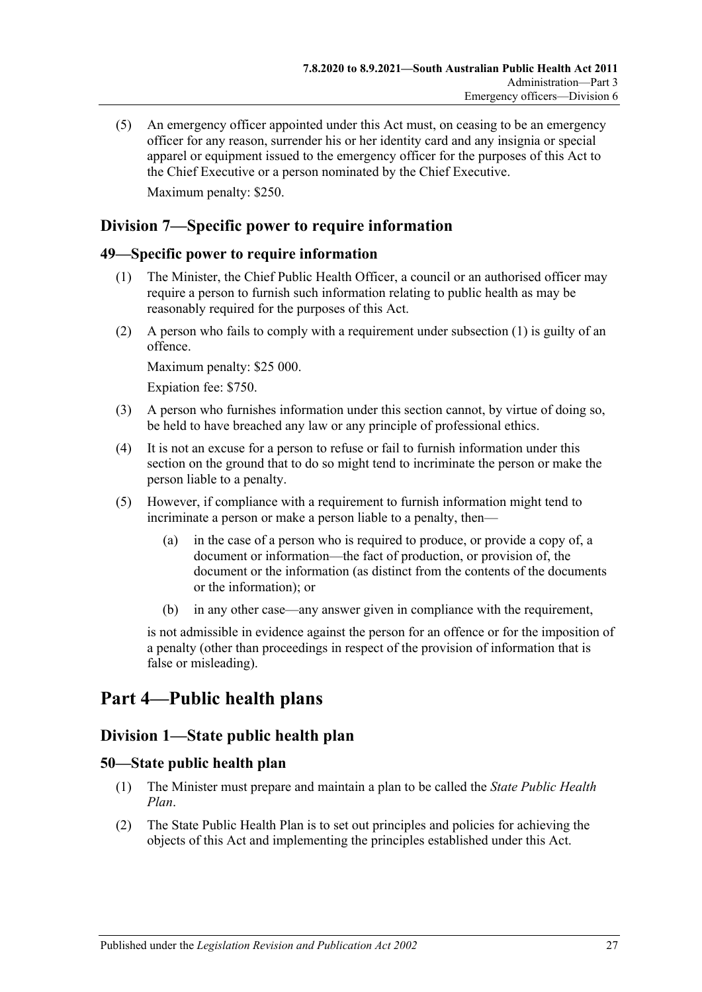(5) An emergency officer appointed under this Act must, on ceasing to be an emergency officer for any reason, surrender his or her identity card and any insignia or special apparel or equipment issued to the emergency officer for the purposes of this Act to the Chief Executive or a person nominated by the Chief Executive. Maximum penalty: \$250.

## <span id="page-26-0"></span>**Division 7—Specific power to require information**

#### <span id="page-26-5"></span><span id="page-26-1"></span>**49—Specific power to require information**

- (1) The Minister, the Chief Public Health Officer, a council or an authorised officer may require a person to furnish such information relating to public health as may be reasonably required for the purposes of this Act.
- (2) A person who fails to comply with a requirement under [subsection](#page-26-5) (1) is guilty of an offence.

Maximum penalty: \$25 000.

Expiation fee: \$750.

- (3) A person who furnishes information under this section cannot, by virtue of doing so, be held to have breached any law or any principle of professional ethics.
- (4) It is not an excuse for a person to refuse or fail to furnish information under this section on the ground that to do so might tend to incriminate the person or make the person liable to a penalty.
- (5) However, if compliance with a requirement to furnish information might tend to incriminate a person or make a person liable to a penalty, then—
	- (a) in the case of a person who is required to produce, or provide a copy of, a document or information—the fact of production, or provision of, the document or the information (as distinct from the contents of the documents or the information); or
	- (b) in any other case—any answer given in compliance with the requirement,

is not admissible in evidence against the person for an offence or for the imposition of a penalty (other than proceedings in respect of the provision of information that is false or misleading).

## <span id="page-26-3"></span><span id="page-26-2"></span>**Part 4—Public health plans**

## **Division 1—State public health plan**

#### <span id="page-26-4"></span>**50—State public health plan**

- (1) The Minister must prepare and maintain a plan to be called the *State Public Health Plan*.
- <span id="page-26-6"></span>(2) The State Public Health Plan is to set out principles and policies for achieving the objects of this Act and implementing the principles established under this Act.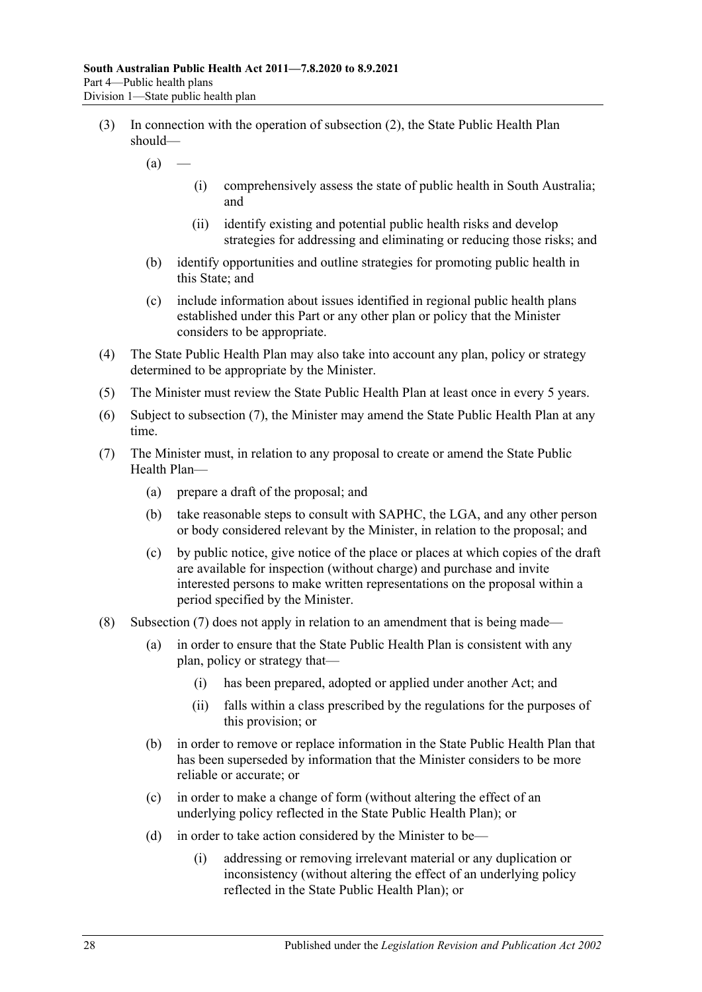- (3) In connection with the operation of [subsection](#page-26-6) (2), the State Public Health Plan should—
	- $(a)$ 
		- (i) comprehensively assess the state of public health in South Australia; and
		- (ii) identify existing and potential public health risks and develop strategies for addressing and eliminating or reducing those risks; and
	- (b) identify opportunities and outline strategies for promoting public health in this State; and
	- (c) include information about issues identified in regional public health plans established under this Part or any other plan or policy that the Minister considers to be appropriate.
- (4) The State Public Health Plan may also take into account any plan, policy or strategy determined to be appropriate by the Minister.
- (5) The Minister must review the State Public Health Plan at least once in every 5 years.
- (6) Subject to [subsection](#page-27-0) (7), the Minister may amend the State Public Health Plan at any time.
- <span id="page-27-0"></span>(7) The Minister must, in relation to any proposal to create or amend the State Public Health Plan—
	- (a) prepare a draft of the proposal; and
	- (b) take reasonable steps to consult with SAPHC, the LGA, and any other person or body considered relevant by the Minister, in relation to the proposal; and
	- (c) by public notice, give notice of the place or places at which copies of the draft are available for inspection (without charge) and purchase and invite interested persons to make written representations on the proposal within a period specified by the Minister.
- (8) [Subsection](#page-27-0) (7) does not apply in relation to an amendment that is being made—
	- (a) in order to ensure that the State Public Health Plan is consistent with any plan, policy or strategy that—
		- (i) has been prepared, adopted or applied under another Act; and
		- (ii) falls within a class prescribed by the regulations for the purposes of this provision; or
	- (b) in order to remove or replace information in the State Public Health Plan that has been superseded by information that the Minister considers to be more reliable or accurate; or
	- (c) in order to make a change of form (without altering the effect of an underlying policy reflected in the State Public Health Plan); or
	- (d) in order to take action considered by the Minister to be—
		- (i) addressing or removing irrelevant material or any duplication or inconsistency (without altering the effect of an underlying policy reflected in the State Public Health Plan); or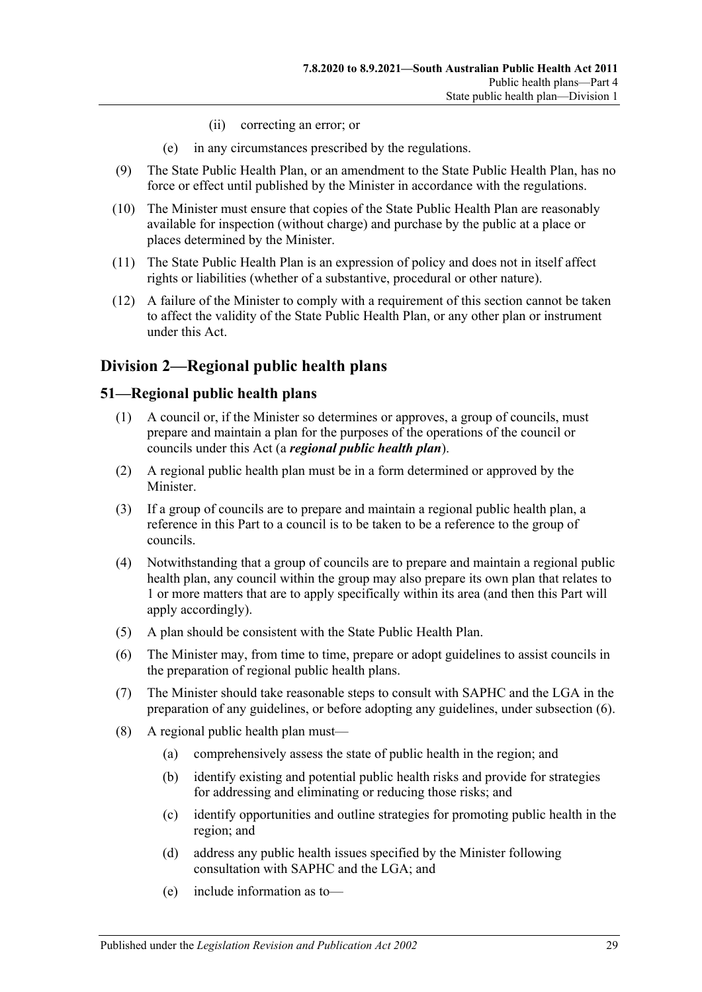- (ii) correcting an error; or
- (e) in any circumstances prescribed by the regulations.
- (9) The State Public Health Plan, or an amendment to the State Public Health Plan, has no force or effect until published by the Minister in accordance with the regulations.
- (10) The Minister must ensure that copies of the State Public Health Plan are reasonably available for inspection (without charge) and purchase by the public at a place or places determined by the Minister.
- (11) The State Public Health Plan is an expression of policy and does not in itself affect rights or liabilities (whether of a substantive, procedural or other nature).
- (12) A failure of the Minister to comply with a requirement of this section cannot be taken to affect the validity of the State Public Health Plan, or any other plan or instrument under this Act.

## <span id="page-28-0"></span>**Division 2—Regional public health plans**

#### <span id="page-28-1"></span>**51—Regional public health plans**

- (1) A council or, if the Minister so determines or approves, a group of councils, must prepare and maintain a plan for the purposes of the operations of the council or councils under this Act (a *regional public health plan*).
- (2) A regional public health plan must be in a form determined or approved by the Minister.
- (3) If a group of councils are to prepare and maintain a regional public health plan, a reference in this Part to a council is to be taken to be a reference to the group of councils.
- (4) Notwithstanding that a group of councils are to prepare and maintain a regional public health plan, any council within the group may also prepare its own plan that relates to 1 or more matters that are to apply specifically within its area (and then this Part will apply accordingly).
- (5) A plan should be consistent with the State Public Health Plan.
- <span id="page-28-2"></span>(6) The Minister may, from time to time, prepare or adopt guidelines to assist councils in the preparation of regional public health plans.
- (7) The Minister should take reasonable steps to consult with SAPHC and the LGA in the preparation of any guidelines, or before adopting any guidelines, under [subsection](#page-28-2) (6).
- (8) A regional public health plan must—
	- (a) comprehensively assess the state of public health in the region; and
	- (b) identify existing and potential public health risks and provide for strategies for addressing and eliminating or reducing those risks; and
	- (c) identify opportunities and outline strategies for promoting public health in the region; and
	- (d) address any public health issues specified by the Minister following consultation with SAPHC and the LGA; and
	- (e) include information as to—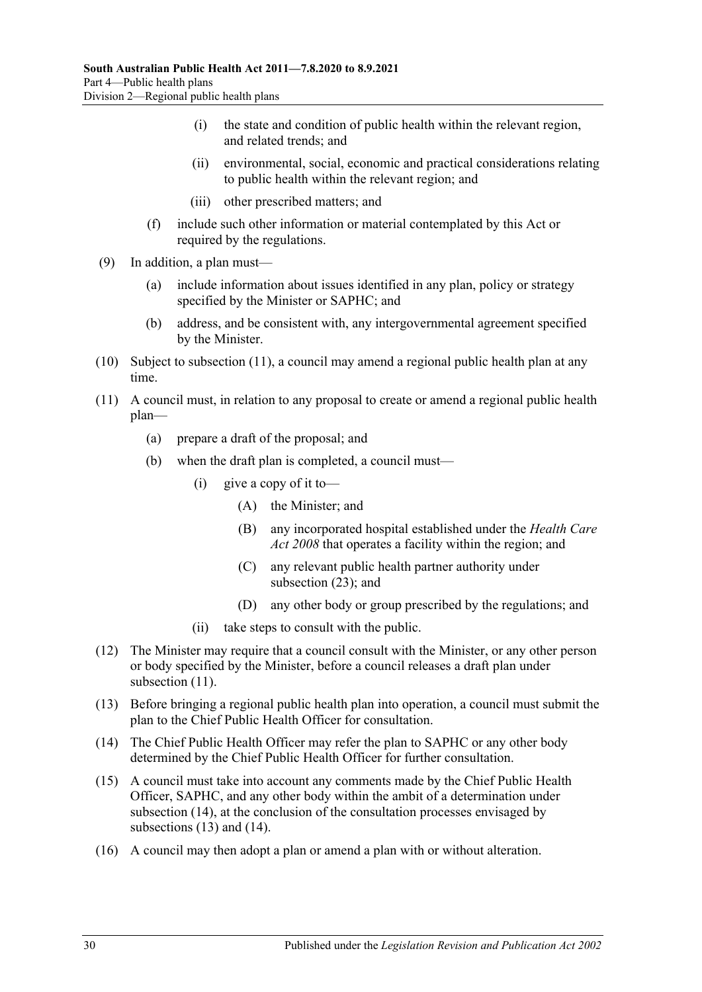- (i) the state and condition of public health within the relevant region, and related trends; and
- (ii) environmental, social, economic and practical considerations relating to public health within the relevant region; and
- (iii) other prescribed matters; and
- (f) include such other information or material contemplated by this Act or required by the regulations.
- (9) In addition, a plan must—
	- (a) include information about issues identified in any plan, policy or strategy specified by the Minister or SAPHC; and
	- (b) address, and be consistent with, any intergovernmental agreement specified by the Minister.
- (10) Subject to [subsection](#page-29-0) (11), a council may amend a regional public health plan at any time.
- <span id="page-29-0"></span>(11) A council must, in relation to any proposal to create or amend a regional public health plan—
	- (a) prepare a draft of the proposal; and
	- (b) when the draft plan is completed, a council must—
		- (i) give a copy of it to-
			- (A) the Minister; and
			- (B) any incorporated hospital established under the *[Health Care](http://www.legislation.sa.gov.au/index.aspx?action=legref&type=act&legtitle=Health%20Care%20Act%202008)  Act [2008](http://www.legislation.sa.gov.au/index.aspx?action=legref&type=act&legtitle=Health%20Care%20Act%202008)* that operates a facility within the region; and
			- (C) any relevant public health partner authority under [subsection](#page-30-1) (23); and
			- (D) any other body or group prescribed by the regulations; and
		- (ii) take steps to consult with the public.
- (12) The Minister may require that a council consult with the Minister, or any other person or body specified by the Minister, before a council releases a draft plan under [subsection](#page-29-0)  $(11)$ .
- <span id="page-29-2"></span>(13) Before bringing a regional public health plan into operation, a council must submit the plan to the Chief Public Health Officer for consultation.
- <span id="page-29-1"></span>(14) The Chief Public Health Officer may refer the plan to SAPHC or any other body determined by the Chief Public Health Officer for further consultation.
- (15) A council must take into account any comments made by the Chief Public Health Officer, SAPHC, and any other body within the ambit of a determination under [subsection](#page-29-1) (14), at the conclusion of the consultation processes envisaged by [subsections](#page-29-2) (13) and [\(14\).](#page-29-1)
- (16) A council may then adopt a plan or amend a plan with or without alteration.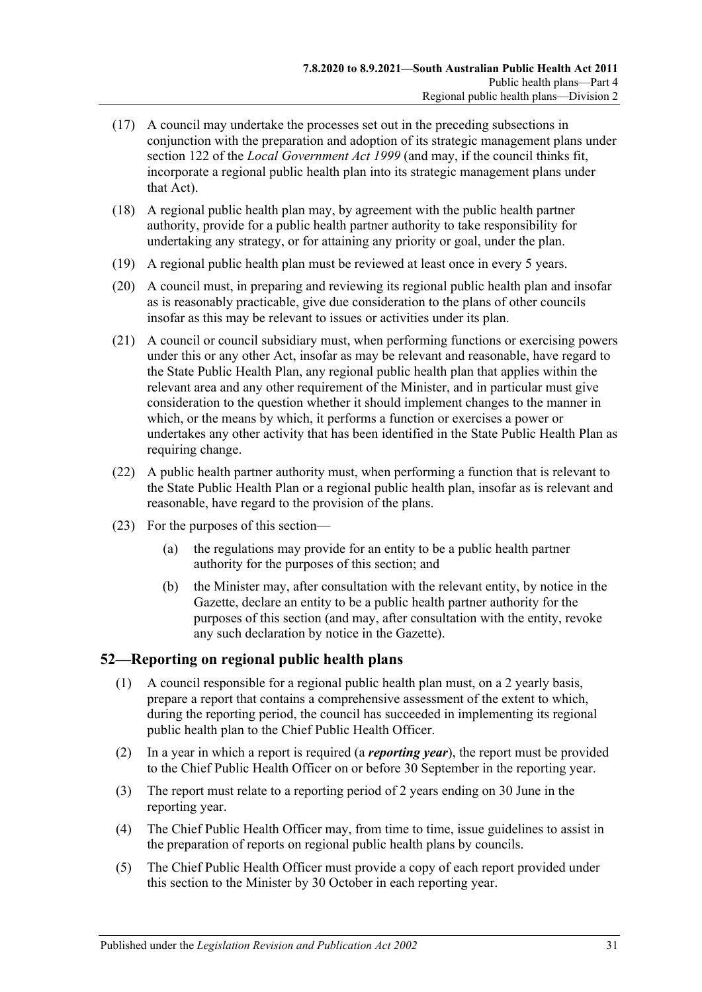- (17) A council may undertake the processes set out in the preceding subsections in conjunction with the preparation and adoption of its strategic management plans under section 122 of the *[Local Government Act](http://www.legislation.sa.gov.au/index.aspx?action=legref&type=act&legtitle=Local%20Government%20Act%201999) 1999* (and may, if the council thinks fit, incorporate a regional public health plan into its strategic management plans under that Act).
- (18) A regional public health plan may, by agreement with the public health partner authority, provide for a public health partner authority to take responsibility for undertaking any strategy, or for attaining any priority or goal, under the plan.
- (19) A regional public health plan must be reviewed at least once in every 5 years.
- (20) A council must, in preparing and reviewing its regional public health plan and insofar as is reasonably practicable, give due consideration to the plans of other councils insofar as this may be relevant to issues or activities under its plan.
- (21) A council or council subsidiary must, when performing functions or exercising powers under this or any other Act, insofar as may be relevant and reasonable, have regard to the State Public Health Plan, any regional public health plan that applies within the relevant area and any other requirement of the Minister, and in particular must give consideration to the question whether it should implement changes to the manner in which, or the means by which, it performs a function or exercises a power or undertakes any other activity that has been identified in the State Public Health Plan as requiring change.
- (22) A public health partner authority must, when performing a function that is relevant to the State Public Health Plan or a regional public health plan, insofar as is relevant and reasonable, have regard to the provision of the plans.
- <span id="page-30-1"></span>(23) For the purposes of this section—
	- (a) the regulations may provide for an entity to be a public health partner authority for the purposes of this section; and
	- (b) the Minister may, after consultation with the relevant entity, by notice in the Gazette, declare an entity to be a public health partner authority for the purposes of this section (and may, after consultation with the entity, revoke any such declaration by notice in the Gazette).

## <span id="page-30-0"></span>**52—Reporting on regional public health plans**

- (1) A council responsible for a regional public health plan must, on a 2 yearly basis, prepare a report that contains a comprehensive assessment of the extent to which, during the reporting period, the council has succeeded in implementing its regional public health plan to the Chief Public Health Officer.
- (2) In a year in which a report is required (a *reporting year*), the report must be provided to the Chief Public Health Officer on or before 30 September in the reporting year.
- (3) The report must relate to a reporting period of 2 years ending on 30 June in the reporting year.
- (4) The Chief Public Health Officer may, from time to time, issue guidelines to assist in the preparation of reports on regional public health plans by councils.
- (5) The Chief Public Health Officer must provide a copy of each report provided under this section to the Minister by 30 October in each reporting year.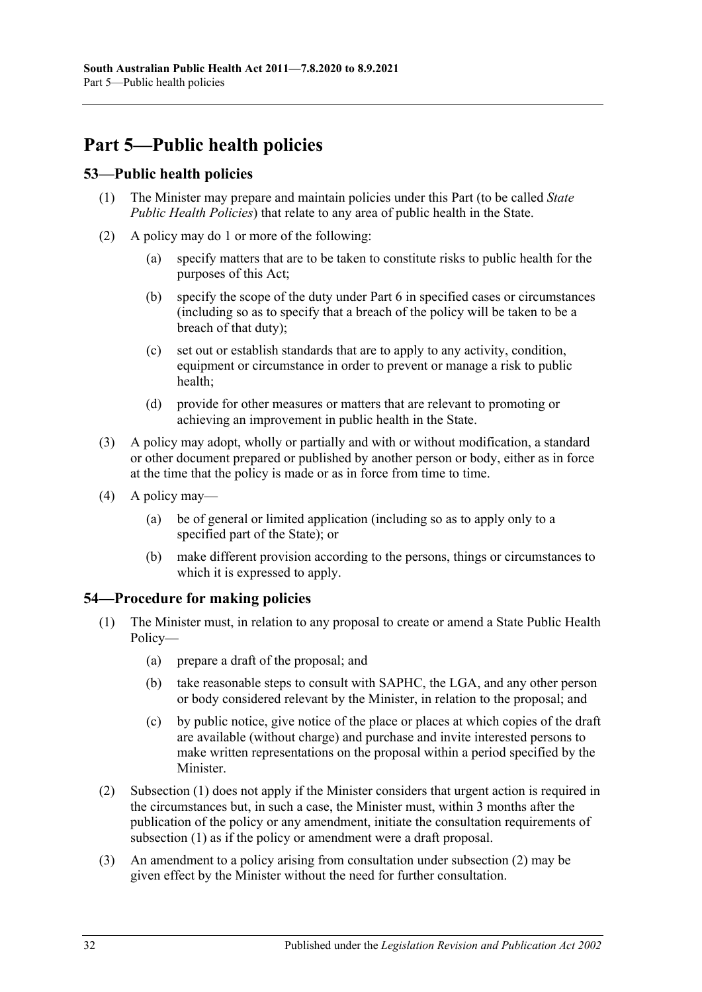## <span id="page-31-0"></span>**Part 5—Public health policies**

## <span id="page-31-1"></span>**53—Public health policies**

- (1) The Minister may prepare and maintain policies under this Part (to be called *State Public Health Policies*) that relate to any area of public health in the State.
- (2) A policy may do 1 or more of the following:
	- (a) specify matters that are to be taken to constitute risks to public health for the purposes of this Act;
	- (b) specify the scope of the duty under [Part](#page-32-1) 6 in specified cases or circumstances (including so as to specify that a breach of the policy will be taken to be a breach of that duty);
	- (c) set out or establish standards that are to apply to any activity, condition, equipment or circumstance in order to prevent or manage a risk to public health;
	- (d) provide for other measures or matters that are relevant to promoting or achieving an improvement in public health in the State.
- (3) A policy may adopt, wholly or partially and with or without modification, a standard or other document prepared or published by another person or body, either as in force at the time that the policy is made or as in force from time to time.
- (4) A policy may—
	- (a) be of general or limited application (including so as to apply only to a specified part of the State); or
	- (b) make different provision according to the persons, things or circumstances to which it is expressed to apply.

## <span id="page-31-3"></span><span id="page-31-2"></span>**54—Procedure for making policies**

- (1) The Minister must, in relation to any proposal to create or amend a State Public Health Policy—
	- (a) prepare a draft of the proposal; and
	- (b) take reasonable steps to consult with SAPHC, the LGA, and any other person or body considered relevant by the Minister, in relation to the proposal; and
	- (c) by public notice, give notice of the place or places at which copies of the draft are available (without charge) and purchase and invite interested persons to make written representations on the proposal within a period specified by the Minister.
- <span id="page-31-4"></span>(2) [Subsection](#page-31-3) (1) does not apply if the Minister considers that urgent action is required in the circumstances but, in such a case, the Minister must, within 3 months after the publication of the policy or any amendment, initiate the consultation requirements of [subsection](#page-31-3) (1) as if the policy or amendment were a draft proposal.
- (3) An amendment to a policy arising from consultation under [subsection](#page-31-4) (2) may be given effect by the Minister without the need for further consultation.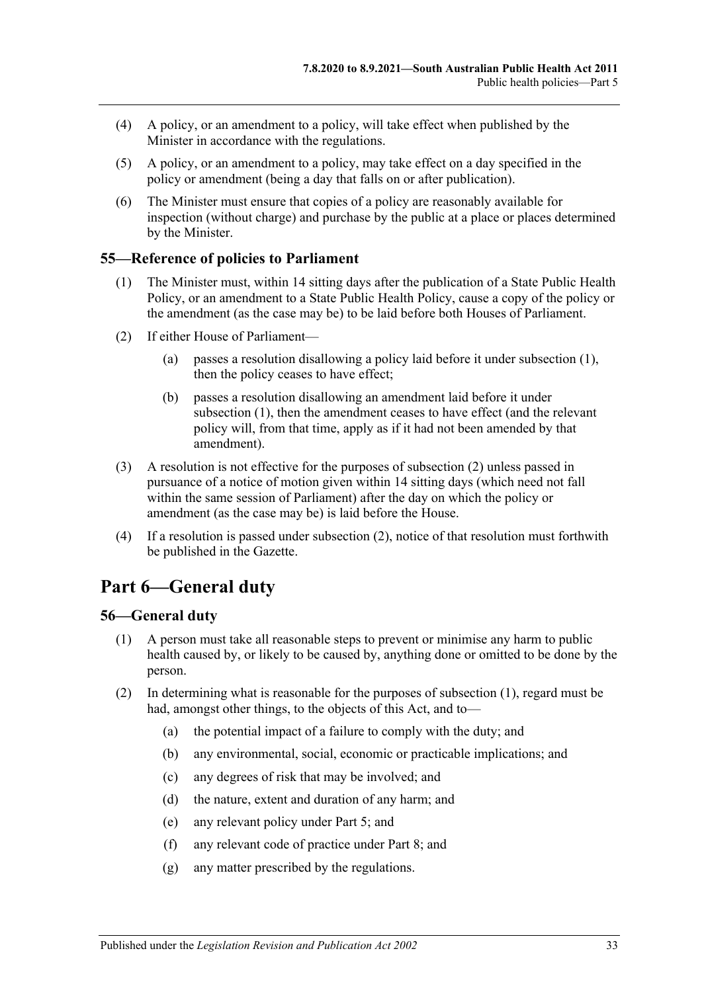- (4) A policy, or an amendment to a policy, will take effect when published by the Minister in accordance with the regulations.
- (5) A policy, or an amendment to a policy, may take effect on a day specified in the policy or amendment (being a day that falls on or after publication).
- (6) The Minister must ensure that copies of a policy are reasonably available for inspection (without charge) and purchase by the public at a place or places determined by the Minister.

### <span id="page-32-3"></span><span id="page-32-0"></span>**55—Reference of policies to Parliament**

- (1) The Minister must, within 14 sitting days after the publication of a State Public Health Policy, or an amendment to a State Public Health Policy, cause a copy of the policy or the amendment (as the case may be) to be laid before both Houses of Parliament.
- <span id="page-32-4"></span>(2) If either House of Parliament—
	- (a) passes a resolution disallowing a policy laid before it under [subsection](#page-32-3) (1), then the policy ceases to have effect;
	- (b) passes a resolution disallowing an amendment laid before it under [subsection](#page-32-3) (1), then the amendment ceases to have effect (and the relevant policy will, from that time, apply as if it had not been amended by that amendment).
- (3) A resolution is not effective for the purposes of [subsection](#page-32-4) (2) unless passed in pursuance of a notice of motion given within 14 sitting days (which need not fall within the same session of Parliament) after the day on which the policy or amendment (as the case may be) is laid before the House.
- (4) If a resolution is passed under [subsection](#page-32-4) (2), notice of that resolution must forthwith be published in the Gazette.

## <span id="page-32-1"></span>**Part 6—General duty**

#### <span id="page-32-5"></span><span id="page-32-2"></span>**56—General duty**

- (1) A person must take all reasonable steps to prevent or minimise any harm to public health caused by, or likely to be caused by, anything done or omitted to be done by the person.
- (2) In determining what is reasonable for the purposes of [subsection](#page-32-5) (1), regard must be had, amongst other things, to the objects of this Act, and to—
	- (a) the potential impact of a failure to comply with the duty; and
	- (b) any environmental, social, economic or practicable implications; and
	- (c) any degrees of risk that may be involved; and
	- (d) the nature, extent and duration of any harm; and
	- (e) any relevant policy under [Part](#page-31-0) 5; and
	- (f) any relevant code of practice under [Part](#page-35-0) 8; and
	- (g) any matter prescribed by the regulations.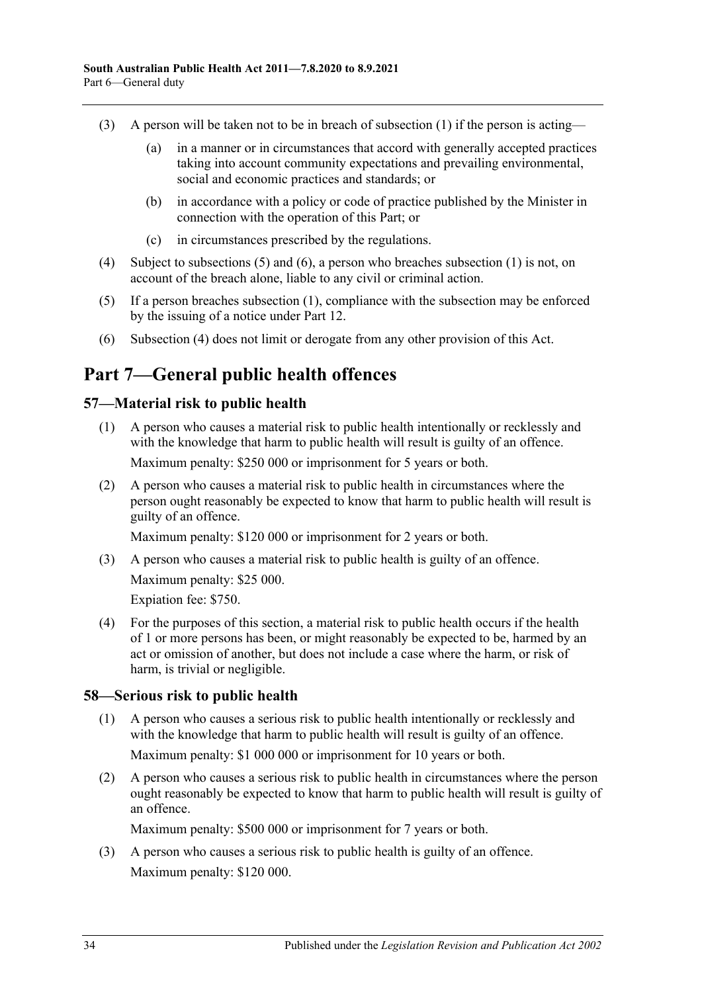- (3) A person will be taken not to be in breach of [subsection](#page-32-5) (1) if the person is acting—
	- (a) in a manner or in circumstances that accord with generally accepted practices taking into account community expectations and prevailing environmental, social and economic practices and standards; or
	- (b) in accordance with a policy or code of practice published by the Minister in connection with the operation of this Part; or
	- (c) in circumstances prescribed by the regulations.
- <span id="page-33-5"></span>(4) Subject to [subsections](#page-33-3) (5) and [\(6\),](#page-33-4) a person who breaches [subsection](#page-32-5) (1) is not, on account of the breach alone, liable to any civil or criminal action.
- <span id="page-33-3"></span>(5) If a person breaches [subsection](#page-32-5) (1), compliance with the subsection may be enforced by the issuing of a notice under [Part](#page-59-0) 12.
- <span id="page-33-4"></span>(6) [Subsection](#page-33-5) (4) does not limit or derogate from any other provision of this Act.

## <span id="page-33-0"></span>**Part 7—General public health offences**

### <span id="page-33-1"></span>**57—Material risk to public health**

- (1) A person who causes a material risk to public health intentionally or recklessly and with the knowledge that harm to public health will result is guilty of an offence. Maximum penalty: \$250 000 or imprisonment for 5 years or both.
- (2) A person who causes a material risk to public health in circumstances where the person ought reasonably be expected to know that harm to public health will result is guilty of an offence.

Maximum penalty: \$120 000 or imprisonment for 2 years or both.

(3) A person who causes a material risk to public health is guilty of an offence. Maximum penalty: \$25 000.

Expiation fee: \$750.

(4) For the purposes of this section, a material risk to public health occurs if the health of 1 or more persons has been, or might reasonably be expected to be, harmed by an act or omission of another, but does not include a case where the harm, or risk of harm, is trivial or negligible.

#### <span id="page-33-2"></span>**58—Serious risk to public health**

- (1) A person who causes a serious risk to public health intentionally or recklessly and with the knowledge that harm to public health will result is guilty of an offence. Maximum penalty: \$1 000 000 or imprisonment for 10 years or both.
- (2) A person who causes a serious risk to public health in circumstances where the person ought reasonably be expected to know that harm to public health will result is guilty of an offence.

Maximum penalty: \$500 000 or imprisonment for 7 years or both.

(3) A person who causes a serious risk to public health is guilty of an offence. Maximum penalty: \$120 000.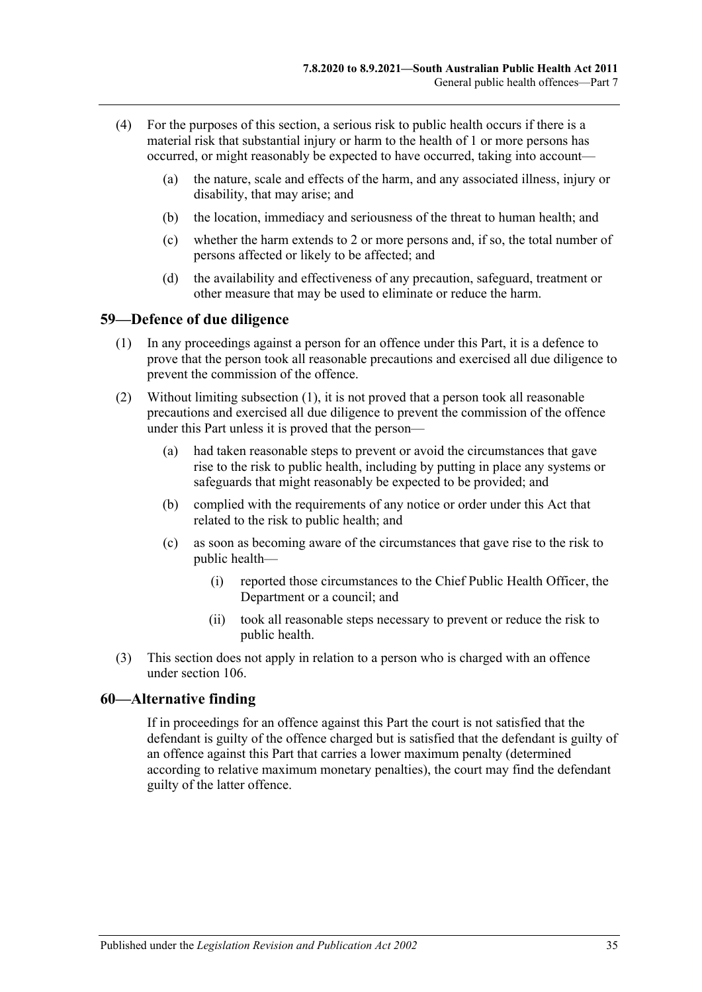- (4) For the purposes of this section, a serious risk to public health occurs if there is a material risk that substantial injury or harm to the health of 1 or more persons has occurred, or might reasonably be expected to have occurred, taking into account—
	- (a) the nature, scale and effects of the harm, and any associated illness, injury or disability, that may arise; and
	- (b) the location, immediacy and seriousness of the threat to human health; and
	- (c) whether the harm extends to 2 or more persons and, if so, the total number of persons affected or likely to be affected; and
	- (d) the availability and effectiveness of any precaution, safeguard, treatment or other measure that may be used to eliminate or reduce the harm.

#### <span id="page-34-2"></span><span id="page-34-0"></span>**59—Defence of due diligence**

- (1) In any proceedings against a person for an offence under this Part, it is a defence to prove that the person took all reasonable precautions and exercised all due diligence to prevent the commission of the offence.
- (2) Without limiting [subsection](#page-34-2) (1), it is not proved that a person took all reasonable precautions and exercised all due diligence to prevent the commission of the offence under this Part unless it is proved that the person—
	- (a) had taken reasonable steps to prevent or avoid the circumstances that gave rise to the risk to public health, including by putting in place any systems or safeguards that might reasonably be expected to be provided; and
	- (b) complied with the requirements of any notice or order under this Act that related to the risk to public health; and
	- (c) as soon as becoming aware of the circumstances that gave rise to the risk to public health—
		- (i) reported those circumstances to the Chief Public Health Officer, the Department or a council; and
		- (ii) took all reasonable steps necessary to prevent or reduce the risk to public health.
- (3) This section does not apply in relation to a person who is charged with an offence under [section](#page-75-0) 106.

#### <span id="page-34-1"></span>**60—Alternative finding**

If in proceedings for an offence against this Part the court is not satisfied that the defendant is guilty of the offence charged but is satisfied that the defendant is guilty of an offence against this Part that carries a lower maximum penalty (determined according to relative maximum monetary penalties), the court may find the defendant guilty of the latter offence.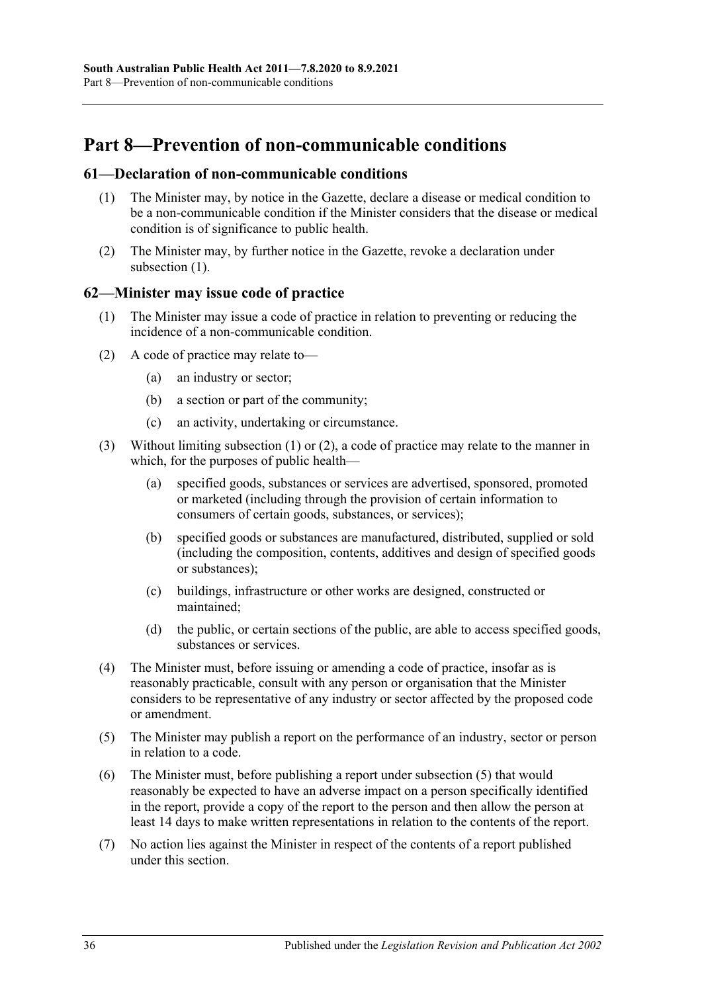## <span id="page-35-0"></span>**Part 8—Prevention of non-communicable conditions**

#### <span id="page-35-3"></span><span id="page-35-1"></span>**61—Declaration of non-communicable conditions**

- (1) The Minister may, by notice in the Gazette, declare a disease or medical condition to be a non-communicable condition if the Minister considers that the disease or medical condition is of significance to public health.
- (2) The Minister may, by further notice in the Gazette, revoke a declaration under [subsection](#page-35-3) (1).

#### <span id="page-35-4"></span><span id="page-35-2"></span>**62—Minister may issue code of practice**

- (1) The Minister may issue a code of practice in relation to preventing or reducing the incidence of a non-communicable condition.
- <span id="page-35-5"></span>(2) A code of practice may relate to—
	- (a) an industry or sector;
	- (b) a section or part of the community;
	- (c) an activity, undertaking or circumstance.
- (3) Without limiting [subsection](#page-35-4) (1) or [\(2\),](#page-35-5) a code of practice may relate to the manner in which, for the purposes of public health—
	- (a) specified goods, substances or services are advertised, sponsored, promoted or marketed (including through the provision of certain information to consumers of certain goods, substances, or services);
	- (b) specified goods or substances are manufactured, distributed, supplied or sold (including the composition, contents, additives and design of specified goods or substances);
	- (c) buildings, infrastructure or other works are designed, constructed or maintained;
	- (d) the public, or certain sections of the public, are able to access specified goods, substances or services.
- (4) The Minister must, before issuing or amending a code of practice, insofar as is reasonably practicable, consult with any person or organisation that the Minister considers to be representative of any industry or sector affected by the proposed code or amendment.
- <span id="page-35-6"></span>(5) The Minister may publish a report on the performance of an industry, sector or person in relation to a code.
- (6) The Minister must, before publishing a report under [subsection](#page-35-6) (5) that would reasonably be expected to have an adverse impact on a person specifically identified in the report, provide a copy of the report to the person and then allow the person at least 14 days to make written representations in relation to the contents of the report.
- (7) No action lies against the Minister in respect of the contents of a report published under this section.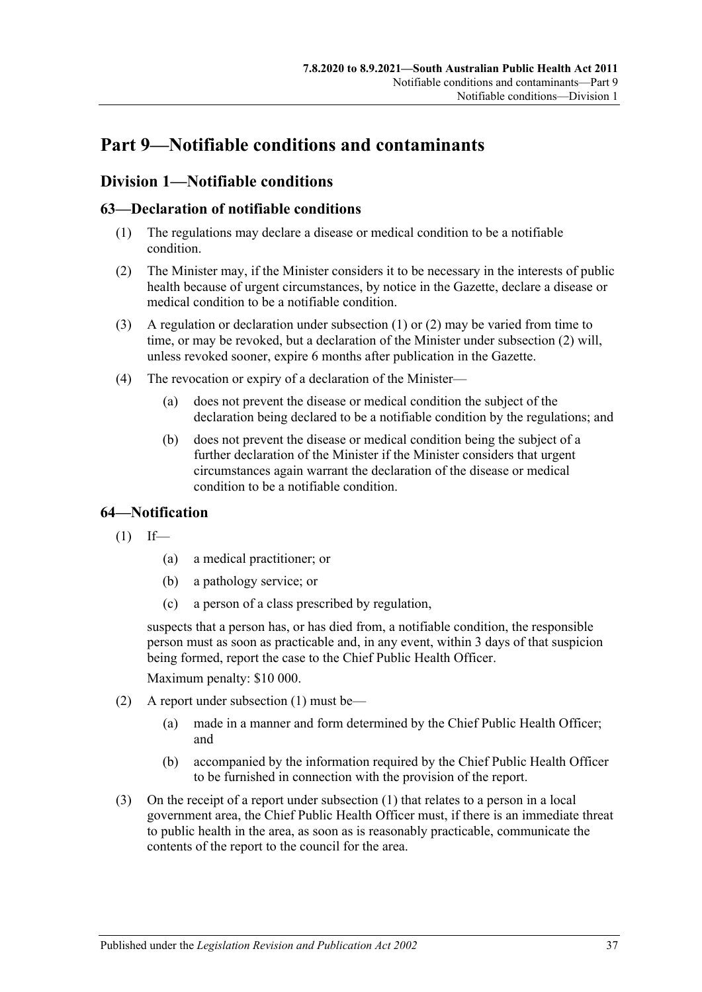# **Part 9—Notifiable conditions and contaminants**

# **Division 1—Notifiable conditions**

# <span id="page-36-0"></span>**63—Declaration of notifiable conditions**

- (1) The regulations may declare a disease or medical condition to be a notifiable condition.
- <span id="page-36-1"></span>(2) The Minister may, if the Minister considers it to be necessary in the interests of public health because of urgent circumstances, by notice in the Gazette, declare a disease or medical condition to be a notifiable condition.
- (3) A regulation or declaration under [subsection](#page-36-0) (1) or [\(2\)](#page-36-1) may be varied from time to time, or may be revoked, but a declaration of the Minister under [subsection](#page-36-1) (2) will, unless revoked sooner, expire 6 months after publication in the Gazette.
- (4) The revocation or expiry of a declaration of the Minister—
	- (a) does not prevent the disease or medical condition the subject of the declaration being declared to be a notifiable condition by the regulations; and
	- (b) does not prevent the disease or medical condition being the subject of a further declaration of the Minister if the Minister considers that urgent circumstances again warrant the declaration of the disease or medical condition to be a notifiable condition.

# <span id="page-36-2"></span>**64—Notification**

 $(1)$  If—

- (a) a medical practitioner; or
- (b) a pathology service; or
- (c) a person of a class prescribed by regulation,

suspects that a person has, or has died from, a notifiable condition, the responsible person must as soon as practicable and, in any event, within 3 days of that suspicion being formed, report the case to the Chief Public Health Officer.

Maximum penalty: \$10 000.

- (2) A report under [subsection](#page-36-2) (1) must be—
	- (a) made in a manner and form determined by the Chief Public Health Officer; and
	- (b) accompanied by the information required by the Chief Public Health Officer to be furnished in connection with the provision of the report.
- (3) On the receipt of a report under [subsection](#page-36-2) (1) that relates to a person in a local government area, the Chief Public Health Officer must, if there is an immediate threat to public health in the area, as soon as is reasonably practicable, communicate the contents of the report to the council for the area.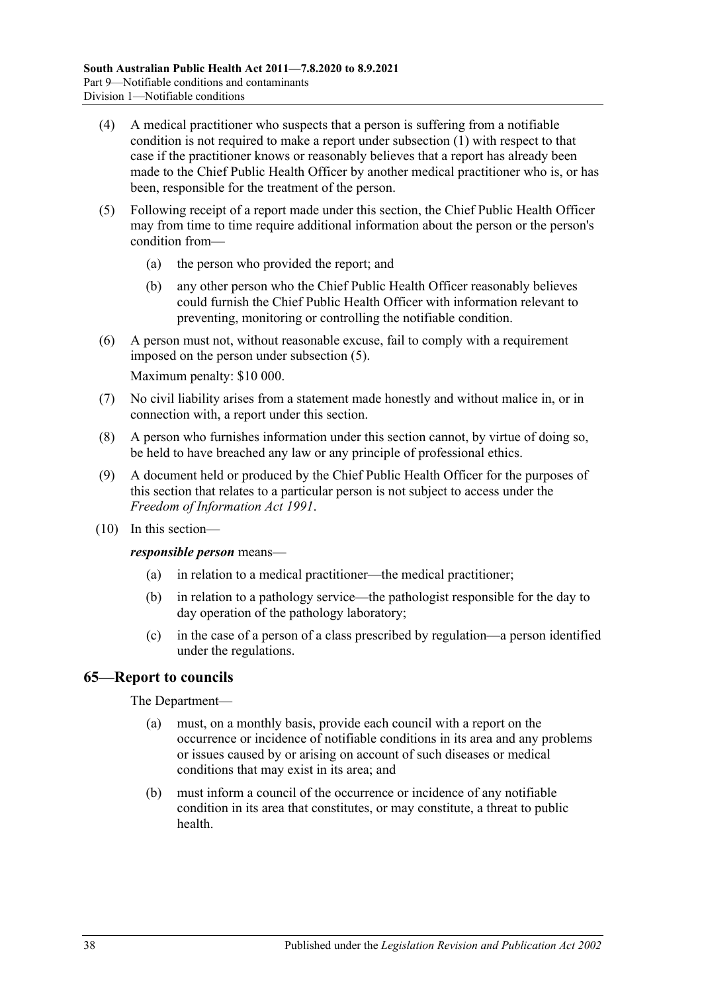- (4) A medical practitioner who suspects that a person is suffering from a notifiable condition is not required to make a report under [subsection](#page-36-2) (1) with respect to that case if the practitioner knows or reasonably believes that a report has already been made to the Chief Public Health Officer by another medical practitioner who is, or has been, responsible for the treatment of the person.
- <span id="page-37-0"></span>(5) Following receipt of a report made under this section, the Chief Public Health Officer may from time to time require additional information about the person or the person's condition from—
	- (a) the person who provided the report; and
	- (b) any other person who the Chief Public Health Officer reasonably believes could furnish the Chief Public Health Officer with information relevant to preventing, monitoring or controlling the notifiable condition.
- (6) A person must not, without reasonable excuse, fail to comply with a requirement imposed on the person under [subsection](#page-37-0) (5).

Maximum penalty: \$10 000.

- (7) No civil liability arises from a statement made honestly and without malice in, or in connection with, a report under this section.
- (8) A person who furnishes information under this section cannot, by virtue of doing so, be held to have breached any law or any principle of professional ethics.
- (9) A document held or produced by the Chief Public Health Officer for the purposes of this section that relates to a particular person is not subject to access under the *[Freedom of Information Act](http://www.legislation.sa.gov.au/index.aspx?action=legref&type=act&legtitle=Freedom%20of%20Information%20Act%201991) 1991*.
- (10) In this section—

*responsible person* means—

- (a) in relation to a medical practitioner—the medical practitioner;
- (b) in relation to a pathology service—the pathologist responsible for the day to day operation of the pathology laboratory;
- (c) in the case of a person of a class prescribed by regulation—a person identified under the regulations.

# **65—Report to councils**

#### The Department—

- (a) must, on a monthly basis, provide each council with a report on the occurrence or incidence of notifiable conditions in its area and any problems or issues caused by or arising on account of such diseases or medical conditions that may exist in its area; and
- (b) must inform a council of the occurrence or incidence of any notifiable condition in its area that constitutes, or may constitute, a threat to public health.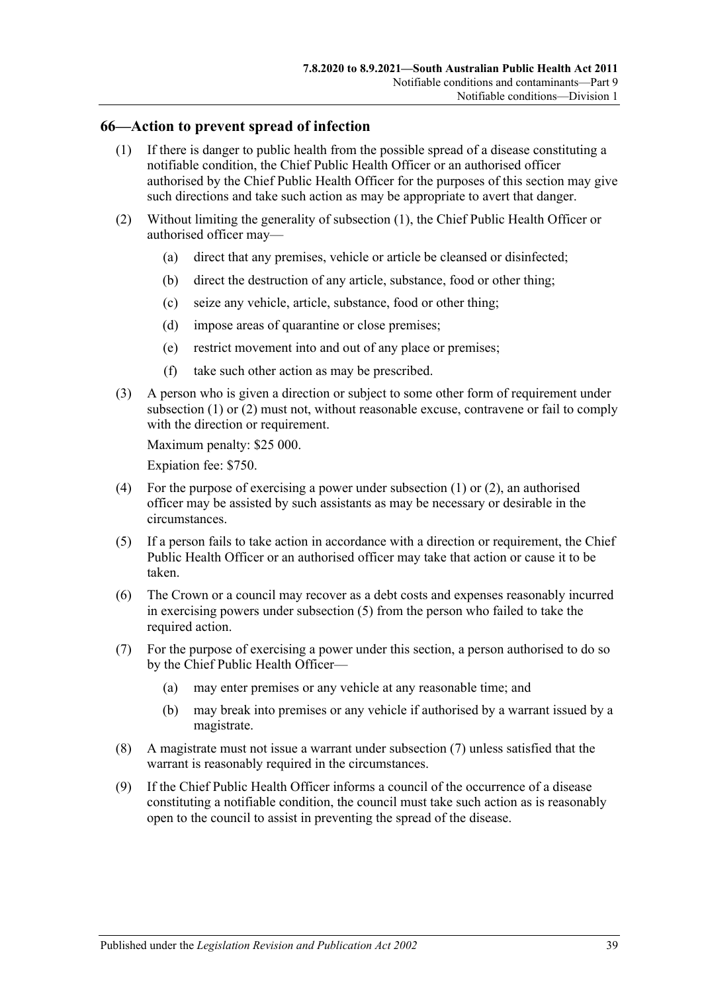#### <span id="page-38-0"></span>**66—Action to prevent spread of infection**

- (1) If there is danger to public health from the possible spread of a disease constituting a notifiable condition, the Chief Public Health Officer or an authorised officer authorised by the Chief Public Health Officer for the purposes of this section may give such directions and take such action as may be appropriate to avert that danger.
- <span id="page-38-1"></span>(2) Without limiting the generality of [subsection](#page-38-0) (1), the Chief Public Health Officer or authorised officer may—
	- (a) direct that any premises, vehicle or article be cleansed or disinfected;
	- (b) direct the destruction of any article, substance, food or other thing;
	- (c) seize any vehicle, article, substance, food or other thing;
	- (d) impose areas of quarantine or close premises;
	- (e) restrict movement into and out of any place or premises;
	- (f) take such other action as may be prescribed.
- (3) A person who is given a direction or subject to some other form of requirement under [subsection](#page-38-0) (1) or [\(2\)](#page-38-1) must not, without reasonable excuse, contravene or fail to comply with the direction or requirement.

Maximum penalty: \$25 000.

Expiation fee: \$750.

- (4) For the purpose of exercising a power under [subsection](#page-38-0) (1) or [\(2\),](#page-38-1) an authorised officer may be assisted by such assistants as may be necessary or desirable in the circumstances.
- <span id="page-38-2"></span>(5) If a person fails to take action in accordance with a direction or requirement, the Chief Public Health Officer or an authorised officer may take that action or cause it to be taken.
- (6) The Crown or a council may recover as a debt costs and expenses reasonably incurred in exercising powers under [subsection](#page-38-2) (5) from the person who failed to take the required action.
- <span id="page-38-3"></span>(7) For the purpose of exercising a power under this section, a person authorised to do so by the Chief Public Health Officer—
	- (a) may enter premises or any vehicle at any reasonable time; and
	- (b) may break into premises or any vehicle if authorised by a warrant issued by a magistrate.
- (8) A magistrate must not issue a warrant under [subsection](#page-38-3) (7) unless satisfied that the warrant is reasonably required in the circumstances.
- (9) If the Chief Public Health Officer informs a council of the occurrence of a disease constituting a notifiable condition, the council must take such action as is reasonably open to the council to assist in preventing the spread of the disease.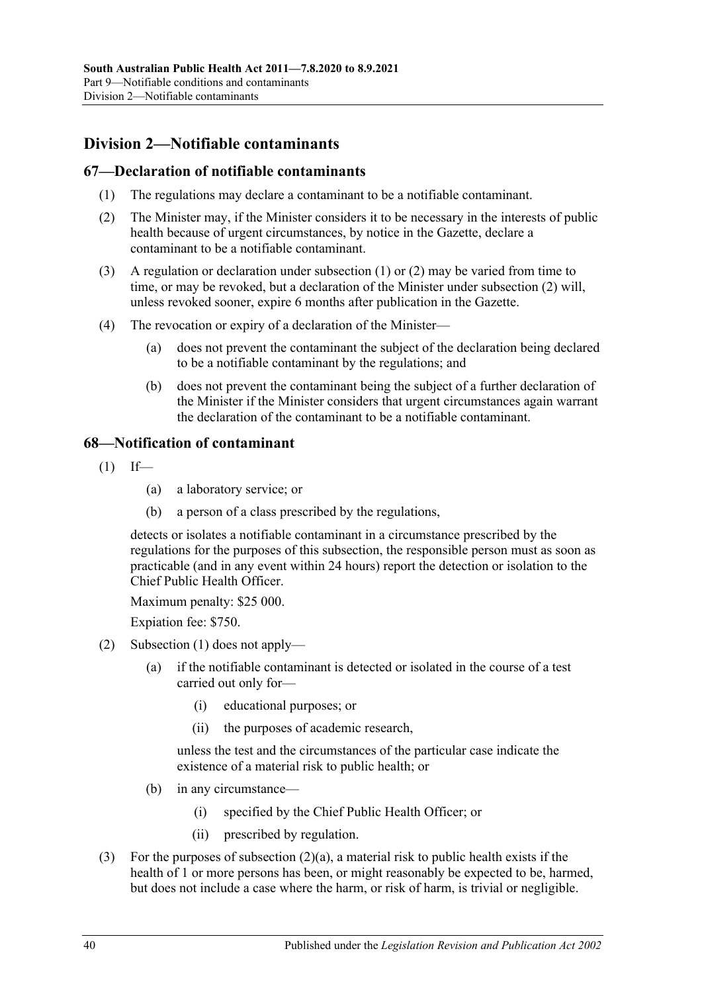# **Division 2—Notifiable contaminants**

### <span id="page-39-0"></span>**67—Declaration of notifiable contaminants**

- (1) The regulations may declare a contaminant to be a notifiable contaminant.
- <span id="page-39-1"></span>(2) The Minister may, if the Minister considers it to be necessary in the interests of public health because of urgent circumstances, by notice in the Gazette, declare a contaminant to be a notifiable contaminant.
- (3) A regulation or declaration under [subsection](#page-39-0) (1) or [\(2\)](#page-39-1) may be varied from time to time, or may be revoked, but a declaration of the Minister under [subsection](#page-39-1) (2) will, unless revoked sooner, expire 6 months after publication in the Gazette.
- (4) The revocation or expiry of a declaration of the Minister—
	- (a) does not prevent the contaminant the subject of the declaration being declared to be a notifiable contaminant by the regulations; and
	- (b) does not prevent the contaminant being the subject of a further declaration of the Minister if the Minister considers that urgent circumstances again warrant the declaration of the contaminant to be a notifiable contaminant.

# <span id="page-39-2"></span>**68—Notification of contaminant**

- $(1)$  If—
	- (a) a laboratory service; or
	- (b) a person of a class prescribed by the regulations,

detects or isolates a notifiable contaminant in a circumstance prescribed by the regulations for the purposes of this subsection, the responsible person must as soon as practicable (and in any event within 24 hours) report the detection or isolation to the Chief Public Health Officer.

Maximum penalty: \$25 000.

Expiation fee: \$750.

- <span id="page-39-3"></span>(2) [Subsection](#page-39-2) (1) does not apply—
	- (a) if the notifiable contaminant is detected or isolated in the course of a test carried out only for—
		- (i) educational purposes; or
		- (ii) the purposes of academic research,

unless the test and the circumstances of the particular case indicate the existence of a material risk to public health; or

- (b) in any circumstance—
	- (i) specified by the Chief Public Health Officer; or
	- (ii) prescribed by regulation.
- (3) For the purposes of [subsection](#page-39-3)  $(2)(a)$ , a material risk to public health exists if the health of 1 or more persons has been, or might reasonably be expected to be, harmed, but does not include a case where the harm, or risk of harm, is trivial or negligible.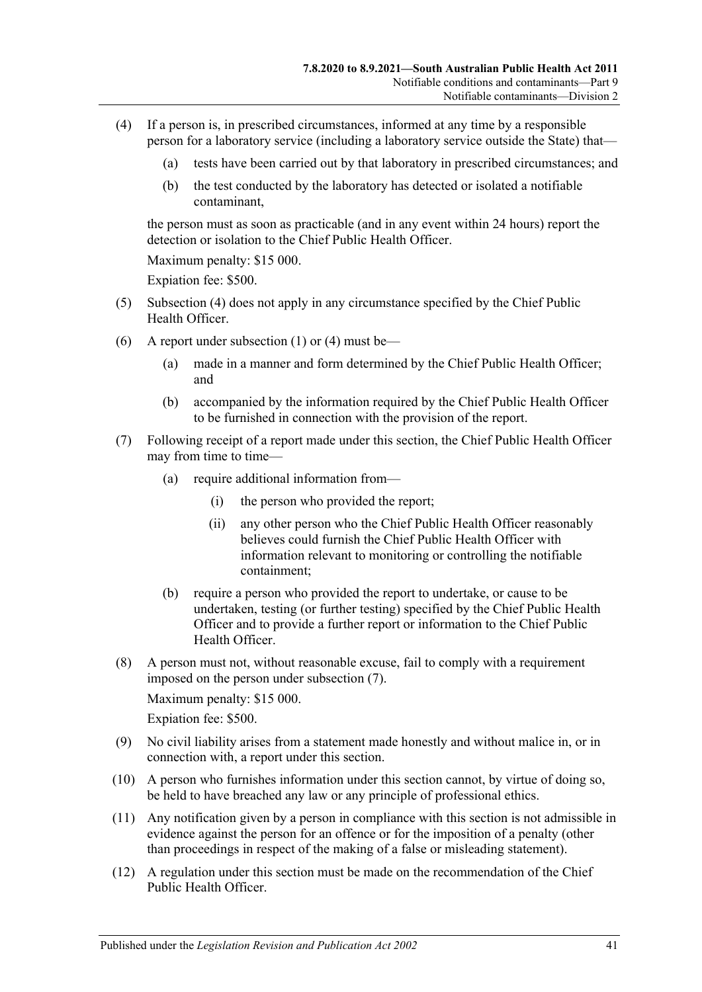- <span id="page-40-0"></span>(4) If a person is, in prescribed circumstances, informed at any time by a responsible person for a laboratory service (including a laboratory service outside the State) that—
	- (a) tests have been carried out by that laboratory in prescribed circumstances; and
	- (b) the test conducted by the laboratory has detected or isolated a notifiable contaminant,

the person must as soon as practicable (and in any event within 24 hours) report the detection or isolation to the Chief Public Health Officer.

Maximum penalty: \$15 000.

Expiation fee: \$500.

- (5) [Subsection](#page-40-0) (4) does not apply in any circumstance specified by the Chief Public Health Officer.
- (6) A report under [subsection](#page-39-2) (1) or [\(4\)](#page-40-0) must be—
	- (a) made in a manner and form determined by the Chief Public Health Officer; and
	- (b) accompanied by the information required by the Chief Public Health Officer to be furnished in connection with the provision of the report.
- <span id="page-40-1"></span>(7) Following receipt of a report made under this section, the Chief Public Health Officer may from time to time-
	- (a) require additional information from—
		- (i) the person who provided the report;
		- (ii) any other person who the Chief Public Health Officer reasonably believes could furnish the Chief Public Health Officer with information relevant to monitoring or controlling the notifiable containment;
	- (b) require a person who provided the report to undertake, or cause to be undertaken, testing (or further testing) specified by the Chief Public Health Officer and to provide a further report or information to the Chief Public Health Officer.
- (8) A person must not, without reasonable excuse, fail to comply with a requirement imposed on the person under [subsection](#page-40-1) (7).

Maximum penalty: \$15 000.

Expiation fee: \$500.

- (9) No civil liability arises from a statement made honestly and without malice in, or in connection with, a report under this section.
- (10) A person who furnishes information under this section cannot, by virtue of doing so, be held to have breached any law or any principle of professional ethics.
- (11) Any notification given by a person in compliance with this section is not admissible in evidence against the person for an offence or for the imposition of a penalty (other than proceedings in respect of the making of a false or misleading statement).
- <span id="page-40-2"></span>(12) A regulation under this section must be made on the recommendation of the Chief Public Health Officer.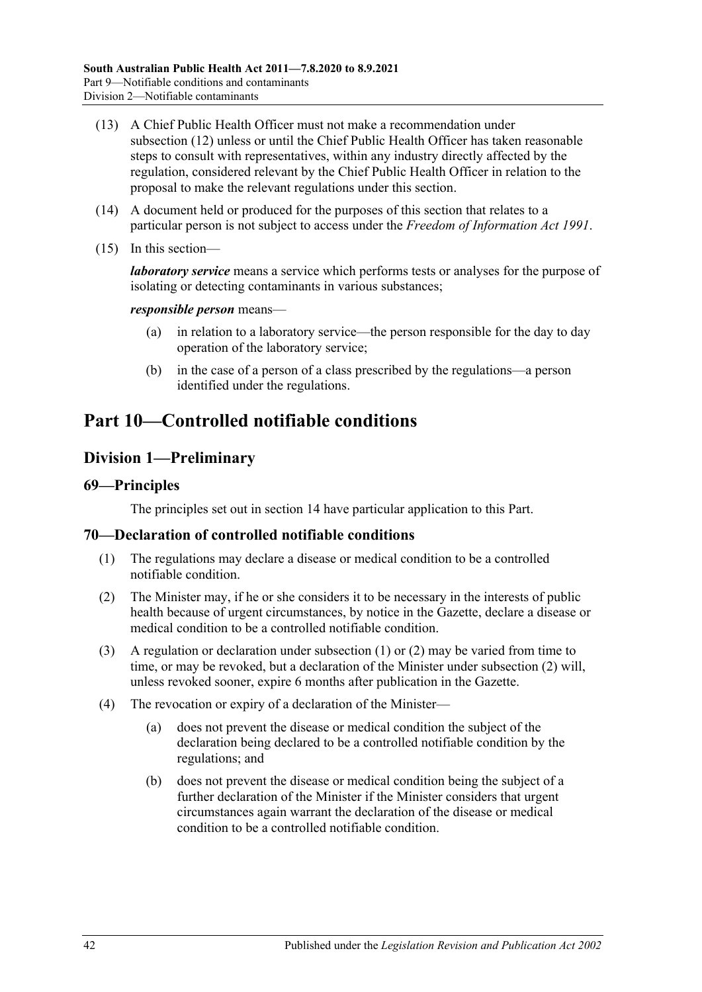- (13) A Chief Public Health Officer must not make a recommendation under [subsection](#page-40-2) (12) unless or until the Chief Public Health Officer has taken reasonable steps to consult with representatives, within any industry directly affected by the regulation, considered relevant by the Chief Public Health Officer in relation to the proposal to make the relevant regulations under this section.
- (14) A document held or produced for the purposes of this section that relates to a particular person is not subject to access under the *[Freedom of Information Act](http://www.legislation.sa.gov.au/index.aspx?action=legref&type=act&legtitle=Freedom%20of%20Information%20Act%201991) 1991*.
- (15) In this section—

*laboratory service* means a service which performs tests or analyses for the purpose of isolating or detecting contaminants in various substances;

#### *responsible person* means—

- (a) in relation to a laboratory service—the person responsible for the day to day operation of the laboratory service;
- (b) in the case of a person of a class prescribed by the regulations—a person identified under the regulations.

# <span id="page-41-2"></span>**Part 10—Controlled notifiable conditions**

# **Division 1—Preliminary**

#### **69—Principles**

The principles set out in [section](#page-9-0) 14 have particular application to this Part.

#### <span id="page-41-0"></span>**70—Declaration of controlled notifiable conditions**

- (1) The regulations may declare a disease or medical condition to be a controlled notifiable condition.
- <span id="page-41-1"></span>(2) The Minister may, if he or she considers it to be necessary in the interests of public health because of urgent circumstances, by notice in the Gazette, declare a disease or medical condition to be a controlled notifiable condition.
- (3) A regulation or declaration under [subsection](#page-41-0) (1) or [\(2\)](#page-41-1) may be varied from time to time, or may be revoked, but a declaration of the Minister under [subsection](#page-41-1) (2) will, unless revoked sooner, expire 6 months after publication in the Gazette.
- (4) The revocation or expiry of a declaration of the Minister—
	- (a) does not prevent the disease or medical condition the subject of the declaration being declared to be a controlled notifiable condition by the regulations; and
	- (b) does not prevent the disease or medical condition being the subject of a further declaration of the Minister if the Minister considers that urgent circumstances again warrant the declaration of the disease or medical condition to be a controlled notifiable condition.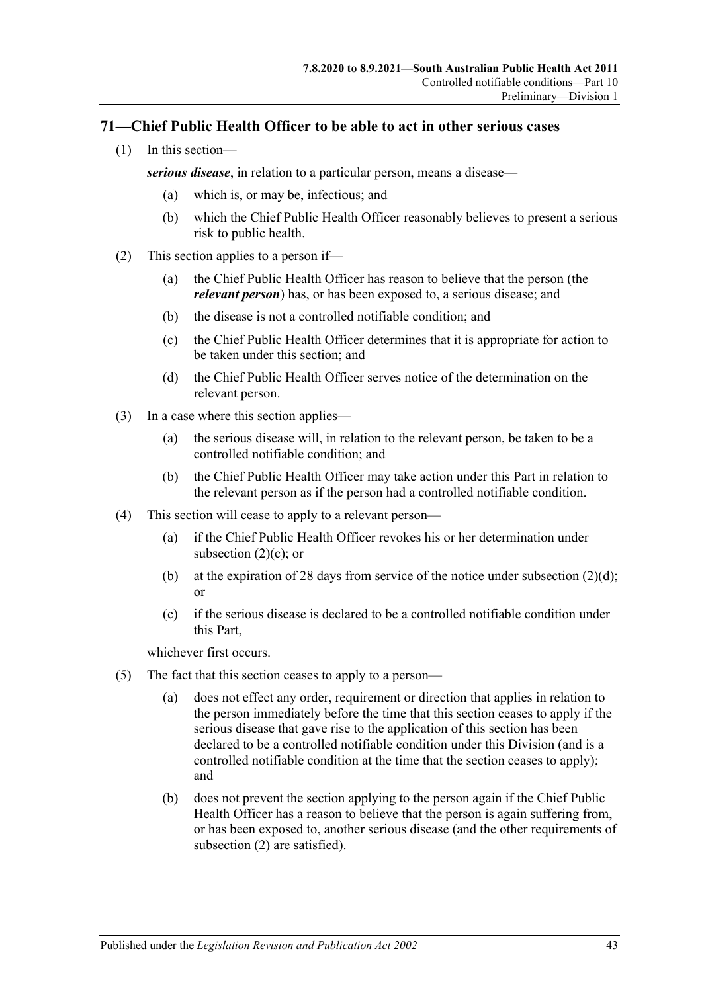# **71—Chief Public Health Officer to be able to act in other serious cases**

(1) In this section—

*serious disease*, in relation to a particular person, means a disease—

- (a) which is, or may be, infectious; and
- (b) which the Chief Public Health Officer reasonably believes to present a serious risk to public health.
- <span id="page-42-2"></span><span id="page-42-0"></span>(2) This section applies to a person if—
	- (a) the Chief Public Health Officer has reason to believe that the person (the *relevant person*) has, or has been exposed to, a serious disease; and
	- (b) the disease is not a controlled notifiable condition; and
	- (c) the Chief Public Health Officer determines that it is appropriate for action to be taken under this section; and
	- (d) the Chief Public Health Officer serves notice of the determination on the relevant person.
- <span id="page-42-1"></span>(3) In a case where this section applies—
	- (a) the serious disease will, in relation to the relevant person, be taken to be a controlled notifiable condition; and
	- (b) the Chief Public Health Officer may take action under this Part in relation to the relevant person as if the person had a controlled notifiable condition.
- (4) This section will cease to apply to a relevant person—
	- (a) if the Chief Public Health Officer revokes his or her determination under [subsection](#page-42-0) (2)(c); or
	- (b) at the expiration of 28 days from service of the notice under [subsection](#page-42-1)  $(2)(d)$ ; or
	- (c) if the serious disease is declared to be a controlled notifiable condition under this Part,

whichever first occurs.

- (5) The fact that this section ceases to apply to a person—
	- (a) does not effect any order, requirement or direction that applies in relation to the person immediately before the time that this section ceases to apply if the serious disease that gave rise to the application of this section has been declared to be a controlled notifiable condition under this Division (and is a controlled notifiable condition at the time that the section ceases to apply); and
	- (b) does not prevent the section applying to the person again if the Chief Public Health Officer has a reason to believe that the person is again suffering from, or has been exposed to, another serious disease (and the other requirements of [subsection](#page-42-2) (2) are satisfied).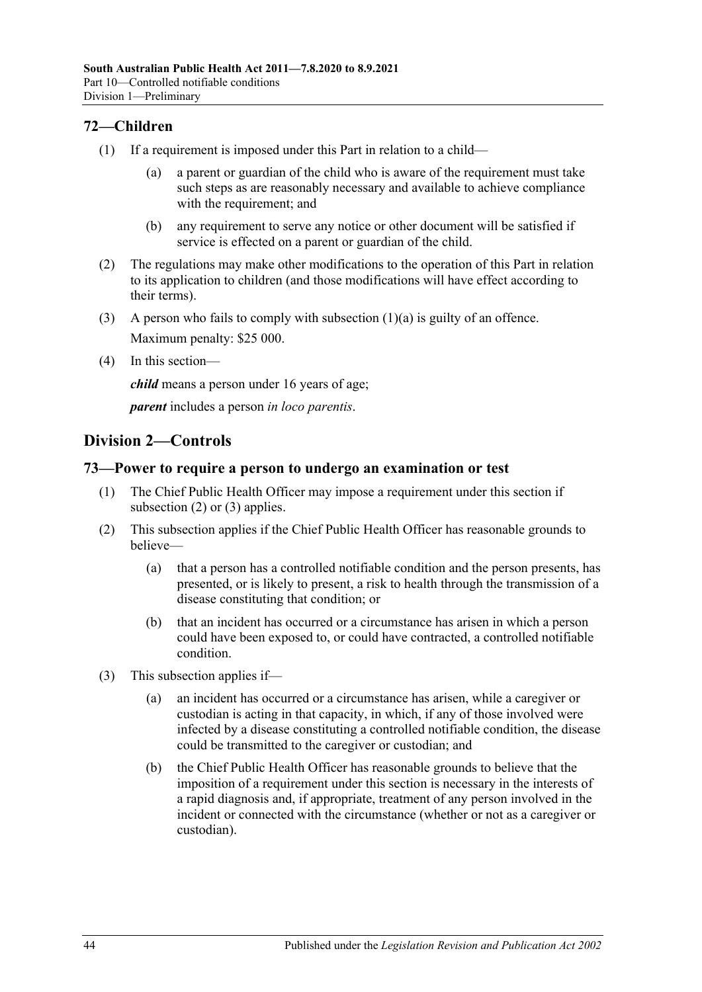# **72—Children**

- <span id="page-43-0"></span>(1) If a requirement is imposed under this Part in relation to a child—
	- (a) a parent or guardian of the child who is aware of the requirement must take such steps as are reasonably necessary and available to achieve compliance with the requirement; and
	- (b) any requirement to serve any notice or other document will be satisfied if service is effected on a parent or guardian of the child.
- (2) The regulations may make other modifications to the operation of this Part in relation to its application to children (and those modifications will have effect according to their terms).
- (3) A person who fails to comply with [subsection](#page-43-0) (1)(a) is guilty of an offence. Maximum penalty: \$25 000.
- (4) In this section—

*child* means a person under 16 years of age;

*parent* includes a person *in loco parentis*.

# **Division 2—Controls**

# **73—Power to require a person to undergo an examination or test**

- (1) The Chief Public Health Officer may impose a requirement under this section if [subsection](#page-43-1) (2) or [\(3\)](#page-43-2) applies.
- <span id="page-43-1"></span>(2) This subsection applies if the Chief Public Health Officer has reasonable grounds to believe—
	- (a) that a person has a controlled notifiable condition and the person presents, has presented, or is likely to present, a risk to health through the transmission of a disease constituting that condition; or
	- (b) that an incident has occurred or a circumstance has arisen in which a person could have been exposed to, or could have contracted, a controlled notifiable condition.
- <span id="page-43-2"></span>(3) This subsection applies if—
	- (a) an incident has occurred or a circumstance has arisen, while a caregiver or custodian is acting in that capacity, in which, if any of those involved were infected by a disease constituting a controlled notifiable condition, the disease could be transmitted to the caregiver or custodian; and
	- (b) the Chief Public Health Officer has reasonable grounds to believe that the imposition of a requirement under this section is necessary in the interests of a rapid diagnosis and, if appropriate, treatment of any person involved in the incident or connected with the circumstance (whether or not as a caregiver or custodian).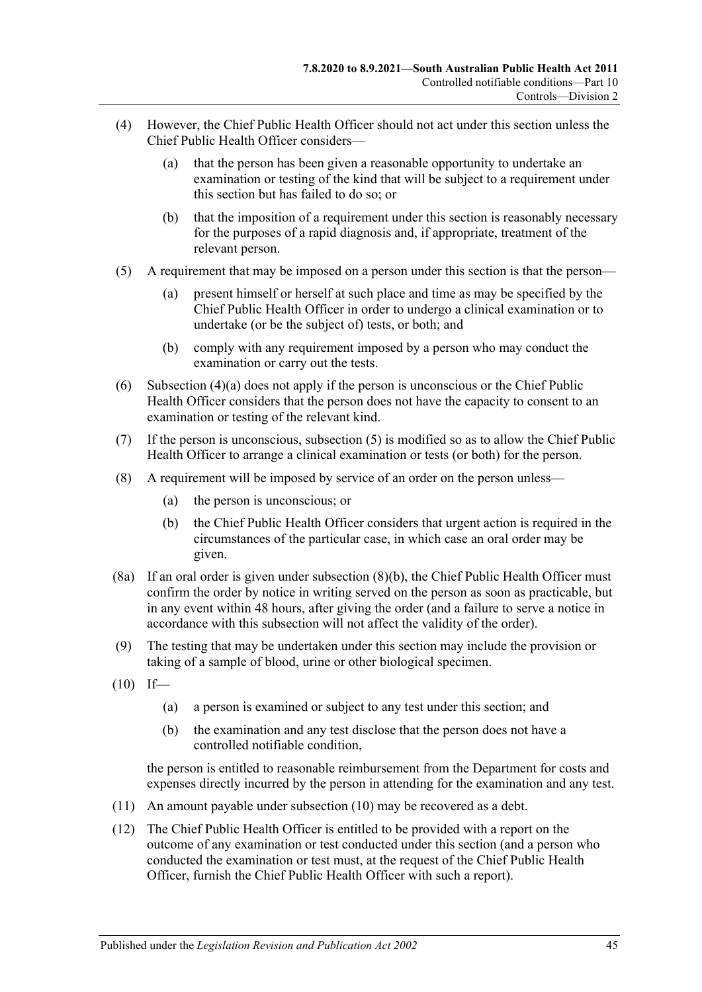- <span id="page-44-0"></span>(4) However, the Chief Public Health Officer should not act under this section unless the Chief Public Health Officer considers—
	- (a) that the person has been given a reasonable opportunity to undertake an examination or testing of the kind that will be subject to a requirement under this section but has failed to do so; or
	- (b) that the imposition of a requirement under this section is reasonably necessary for the purposes of a rapid diagnosis and, if appropriate, treatment of the relevant person.
- <span id="page-44-1"></span>(5) A requirement that may be imposed on a person under this section is that the person—
	- (a) present himself or herself at such place and time as may be specified by the Chief Public Health Officer in order to undergo a clinical examination or to undertake (or be the subject of) tests, or both; and
	- (b) comply with any requirement imposed by a person who may conduct the examination or carry out the tests.
- (6) [Subsection](#page-44-0) (4)(a) does not apply if the person is unconscious or the Chief Public Health Officer considers that the person does not have the capacity to consent to an examination or testing of the relevant kind.
- (7) If the person is unconscious, [subsection](#page-44-1) (5) is modified so as to allow the Chief Public Health Officer to arrange a clinical examination or tests (or both) for the person.
- <span id="page-44-2"></span>(8) A requirement will be imposed by service of an order on the person unless—
	- (a) the person is unconscious; or
	- (b) the Chief Public Health Officer considers that urgent action is required in the circumstances of the particular case, in which case an oral order may be given.
- (8a) If an oral order is given under [subsection](#page-44-2) (8)(b), the Chief Public Health Officer must confirm the order by notice in writing served on the person as soon as practicable, but in any event within 48 hours, after giving the order (and a failure to serve a notice in accordance with this subsection will not affect the validity of the order).
- (9) The testing that may be undertaken under this section may include the provision or taking of a sample of blood, urine or other biological specimen.
- <span id="page-44-3"></span> $(10)$  If—
	- (a) a person is examined or subject to any test under this section; and
	- (b) the examination and any test disclose that the person does not have a controlled notifiable condition,

the person is entitled to reasonable reimbursement from the Department for costs and expenses directly incurred by the person in attending for the examination and any test.

- (11) An amount payable under [subsection](#page-44-3) (10) may be recovered as a debt.
- (12) The Chief Public Health Officer is entitled to be provided with a report on the outcome of any examination or test conducted under this section (and a person who conducted the examination or test must, at the request of the Chief Public Health Officer, furnish the Chief Public Health Officer with such a report).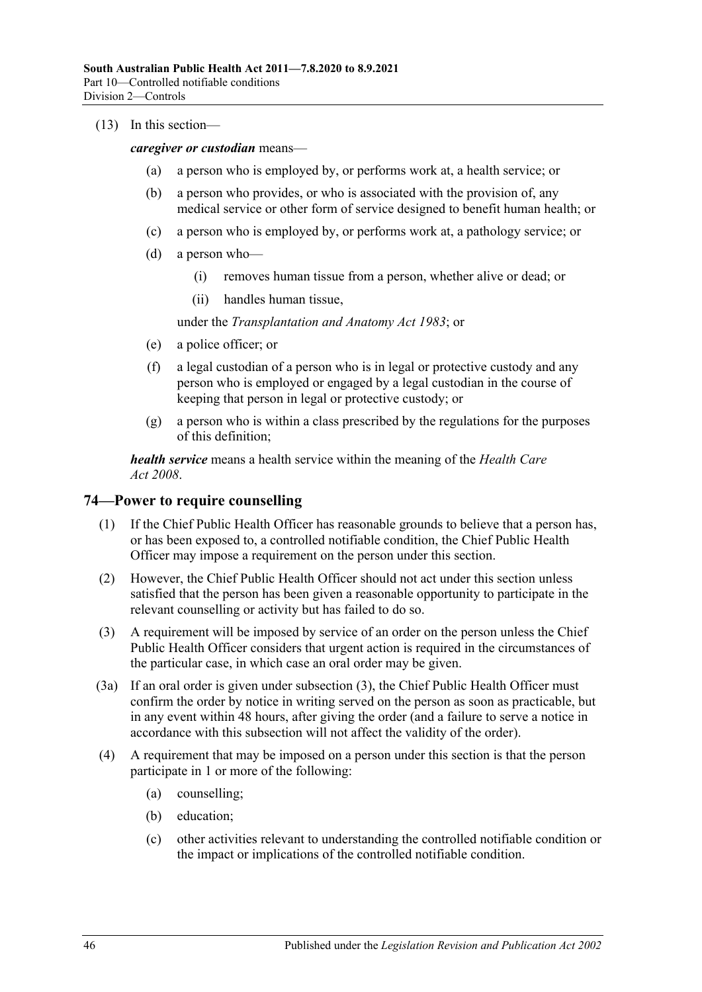#### (13) In this section—

*caregiver or custodian* means—

- (a) a person who is employed by, or performs work at, a health service; or
- (b) a person who provides, or who is associated with the provision of, any medical service or other form of service designed to benefit human health; or
- (c) a person who is employed by, or performs work at, a pathology service; or
- (d) a person who—
	- (i) removes human tissue from a person, whether alive or dead; or
	- (ii) handles human tissue,

under the *[Transplantation and Anatomy Act](http://www.legislation.sa.gov.au/index.aspx?action=legref&type=act&legtitle=Transplantation%20and%20Anatomy%20Act%201983) 1983*; or

- (e) a police officer; or
- (f) a legal custodian of a person who is in legal or protective custody and any person who is employed or engaged by a legal custodian in the course of keeping that person in legal or protective custody; or
- (g) a person who is within a class prescribed by the regulations for the purposes of this definition;

*health service* means a health service within the meaning of the *[Health Care](http://www.legislation.sa.gov.au/index.aspx?action=legref&type=act&legtitle=Health%20Care%20Act%202008)  Act [2008](http://www.legislation.sa.gov.au/index.aspx?action=legref&type=act&legtitle=Health%20Care%20Act%202008)*.

# **74—Power to require counselling**

- (1) If the Chief Public Health Officer has reasonable grounds to believe that a person has, or has been exposed to, a controlled notifiable condition, the Chief Public Health Officer may impose a requirement on the person under this section.
- (2) However, the Chief Public Health Officer should not act under this section unless satisfied that the person has been given a reasonable opportunity to participate in the relevant counselling or activity but has failed to do so.
- <span id="page-45-0"></span>(3) A requirement will be imposed by service of an order on the person unless the Chief Public Health Officer considers that urgent action is required in the circumstances of the particular case, in which case an oral order may be given.
- (3a) If an oral order is given under [subsection](#page-45-0) (3), the Chief Public Health Officer must confirm the order by notice in writing served on the person as soon as practicable, but in any event within 48 hours, after giving the order (and a failure to serve a notice in accordance with this subsection will not affect the validity of the order).
- <span id="page-45-1"></span>(4) A requirement that may be imposed on a person under this section is that the person participate in 1 or more of the following:
	- (a) counselling;
	- (b) education;
	- (c) other activities relevant to understanding the controlled notifiable condition or the impact or implications of the controlled notifiable condition.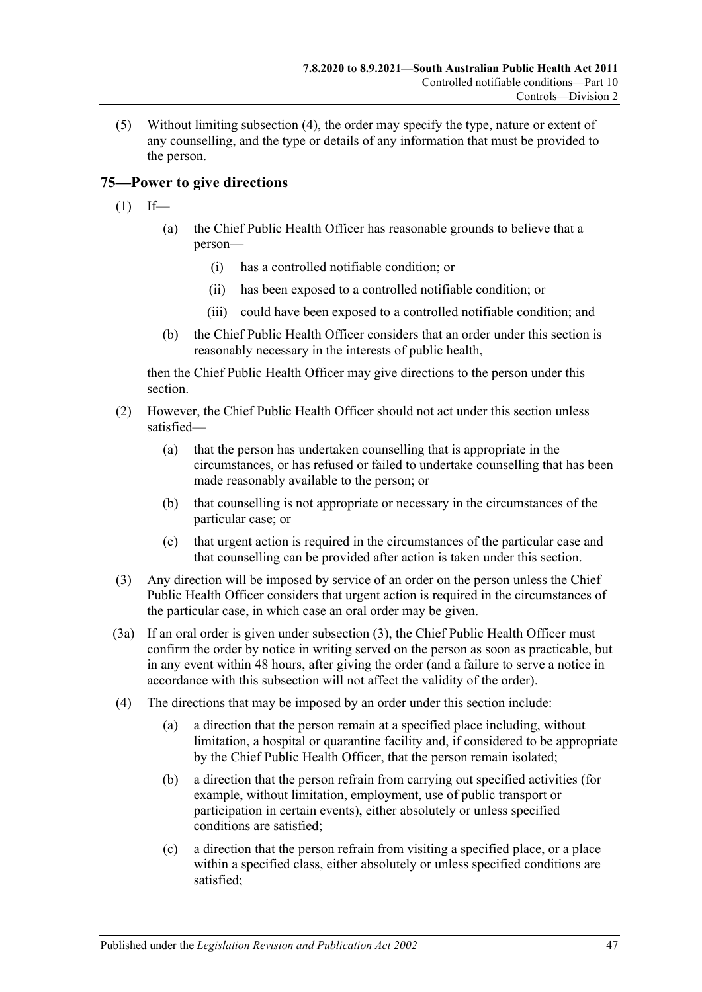(5) Without limiting [subsection](#page-45-1) (4), the order may specify the type, nature or extent of any counselling, and the type or details of any information that must be provided to the person.

# <span id="page-46-1"></span>**75—Power to give directions**

- $(1)$  If—
	- (a) the Chief Public Health Officer has reasonable grounds to believe that a person—
		- (i) has a controlled notifiable condition; or
		- (ii) has been exposed to a controlled notifiable condition; or
		- (iii) could have been exposed to a controlled notifiable condition; and
	- (b) the Chief Public Health Officer considers that an order under this section is reasonably necessary in the interests of public health,

then the Chief Public Health Officer may give directions to the person under this section.

- (2) However, the Chief Public Health Officer should not act under this section unless satisfied—
	- (a) that the person has undertaken counselling that is appropriate in the circumstances, or has refused or failed to undertake counselling that has been made reasonably available to the person; or
	- (b) that counselling is not appropriate or necessary in the circumstances of the particular case; or
	- (c) that urgent action is required in the circumstances of the particular case and that counselling can be provided after action is taken under this section.
- <span id="page-46-0"></span>(3) Any direction will be imposed by service of an order on the person unless the Chief Public Health Officer considers that urgent action is required in the circumstances of the particular case, in which case an oral order may be given.
- (3a) If an oral order is given under [subsection](#page-46-0) (3), the Chief Public Health Officer must confirm the order by notice in writing served on the person as soon as practicable, but in any event within 48 hours, after giving the order (and a failure to serve a notice in accordance with this subsection will not affect the validity of the order).
- (4) The directions that may be imposed by an order under this section include:
	- (a) a direction that the person remain at a specified place including, without limitation, a hospital or quarantine facility and, if considered to be appropriate by the Chief Public Health Officer, that the person remain isolated;
	- (b) a direction that the person refrain from carrying out specified activities (for example, without limitation, employment, use of public transport or participation in certain events), either absolutely or unless specified conditions are satisfied;
	- (c) a direction that the person refrain from visiting a specified place, or a place within a specified class, either absolutely or unless specified conditions are satisfied;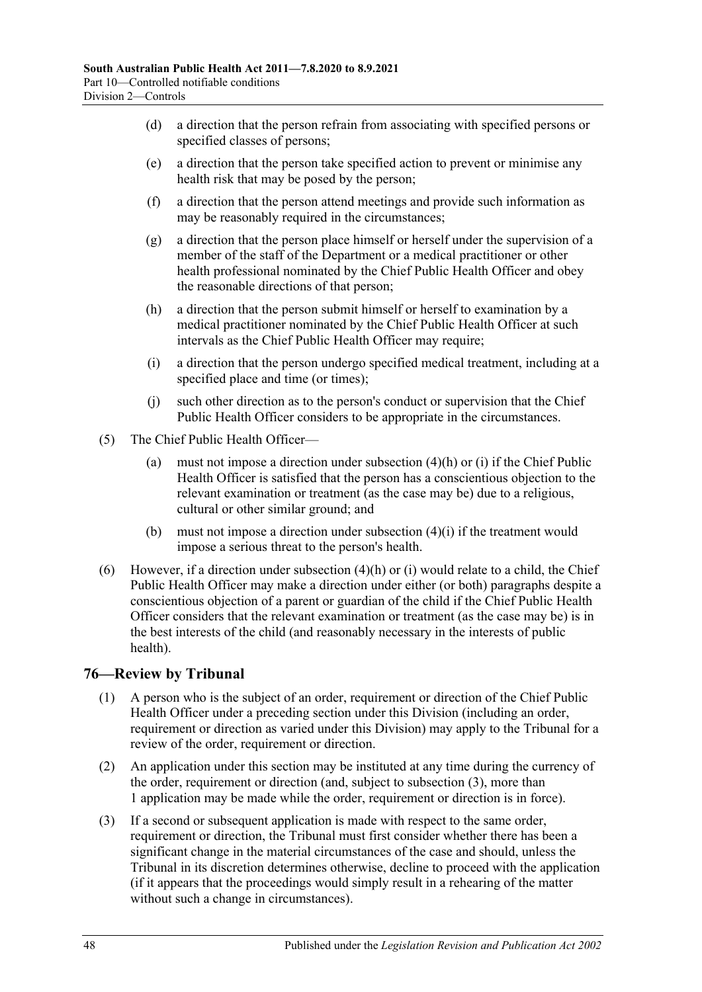- (d) a direction that the person refrain from associating with specified persons or specified classes of persons;
- (e) a direction that the person take specified action to prevent or minimise any health risk that may be posed by the person;
- (f) a direction that the person attend meetings and provide such information as may be reasonably required in the circumstances;
- (g) a direction that the person place himself or herself under the supervision of a member of the staff of the Department or a medical practitioner or other health professional nominated by the Chief Public Health Officer and obey the reasonable directions of that person;
- <span id="page-47-0"></span>(h) a direction that the person submit himself or herself to examination by a medical practitioner nominated by the Chief Public Health Officer at such intervals as the Chief Public Health Officer may require;
- <span id="page-47-1"></span>(i) a direction that the person undergo specified medical treatment, including at a specified place and time (or times);
- (j) such other direction as to the person's conduct or supervision that the Chief Public Health Officer considers to be appropriate in the circumstances.
- (5) The Chief Public Health Officer—
	- (a) must not impose a direction under [subsection](#page-47-0) (4)(h) or [\(i\)](#page-47-1) if the Chief Public Health Officer is satisfied that the person has a conscientious objection to the relevant examination or treatment (as the case may be) due to a religious, cultural or other similar ground; and
	- (b) must not impose a direction under [subsection](#page-47-1) (4)(i) if the treatment would impose a serious threat to the person's health.
- (6) However, if a direction under [subsection](#page-47-0)  $(4)(h)$  or [\(i\)](#page-47-1) would relate to a child, the Chief Public Health Officer may make a direction under either (or both) paragraphs despite a conscientious objection of a parent or guardian of the child if the Chief Public Health Officer considers that the relevant examination or treatment (as the case may be) is in the best interests of the child (and reasonably necessary in the interests of public health).

# **76—Review by Tribunal**

- (1) A person who is the subject of an order, requirement or direction of the Chief Public Health Officer under a preceding section under this Division (including an order, requirement or direction as varied under this Division) may apply to the Tribunal for a review of the order, requirement or direction.
- (2) An application under this section may be instituted at any time during the currency of the order, requirement or direction (and, subject to [subsection](#page-47-2) (3), more than 1 application may be made while the order, requirement or direction is in force).
- <span id="page-47-2"></span>(3) If a second or subsequent application is made with respect to the same order, requirement or direction, the Tribunal must first consider whether there has been a significant change in the material circumstances of the case and should, unless the Tribunal in its discretion determines otherwise, decline to proceed with the application (if it appears that the proceedings would simply result in a rehearing of the matter without such a change in circumstances).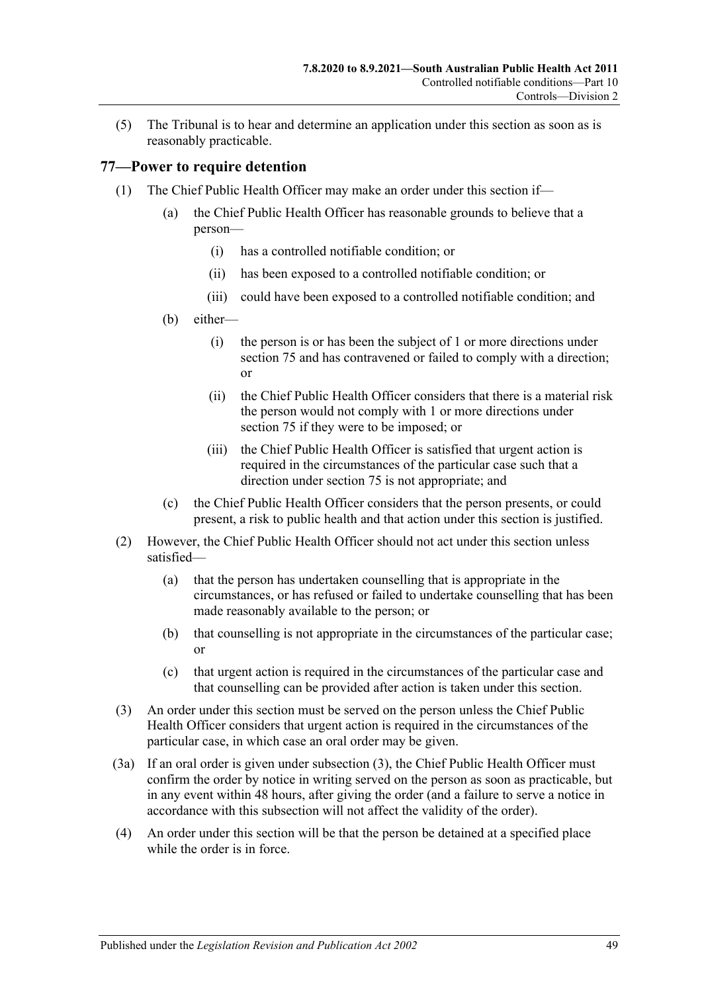(5) The Tribunal is to hear and determine an application under this section as soon as is reasonably practicable.

# <span id="page-48-4"></span>**77—Power to require detention**

- <span id="page-48-3"></span><span id="page-48-2"></span><span id="page-48-1"></span>(1) The Chief Public Health Officer may make an order under this section if—
	- (a) the Chief Public Health Officer has reasonable grounds to believe that a person—
		- (i) has a controlled notifiable condition; or
		- (ii) has been exposed to a controlled notifiable condition; or
		- (iii) could have been exposed to a controlled notifiable condition; and
	- (b) either—
		- (i) the person is or has been the subject of 1 or more directions under [section](#page-46-1) 75 and has contravened or failed to comply with a direction; or
		- (ii) the Chief Public Health Officer considers that there is a material risk the person would not comply with 1 or more directions under [section](#page-46-1) 75 if they were to be imposed; or
		- (iii) the Chief Public Health Officer is satisfied that urgent action is required in the circumstances of the particular case such that a direction under [section](#page-46-1) 75 is not appropriate; and
	- (c) the Chief Public Health Officer considers that the person presents, or could present, a risk to public health and that action under this section is justified.
- (2) However, the Chief Public Health Officer should not act under this section unless satisfied—
	- (a) that the person has undertaken counselling that is appropriate in the circumstances, or has refused or failed to undertake counselling that has been made reasonably available to the person; or
	- (b) that counselling is not appropriate in the circumstances of the particular case; or
	- (c) that urgent action is required in the circumstances of the particular case and that counselling can be provided after action is taken under this section.
- <span id="page-48-0"></span>(3) An order under this section must be served on the person unless the Chief Public Health Officer considers that urgent action is required in the circumstances of the particular case, in which case an oral order may be given.
- (3a) If an oral order is given under [subsection](#page-48-0) (3), the Chief Public Health Officer must confirm the order by notice in writing served on the person as soon as practicable, but in any event within 48 hours, after giving the order (and a failure to serve a notice in accordance with this subsection will not affect the validity of the order).
- (4) An order under this section will be that the person be detained at a specified place while the order is in force.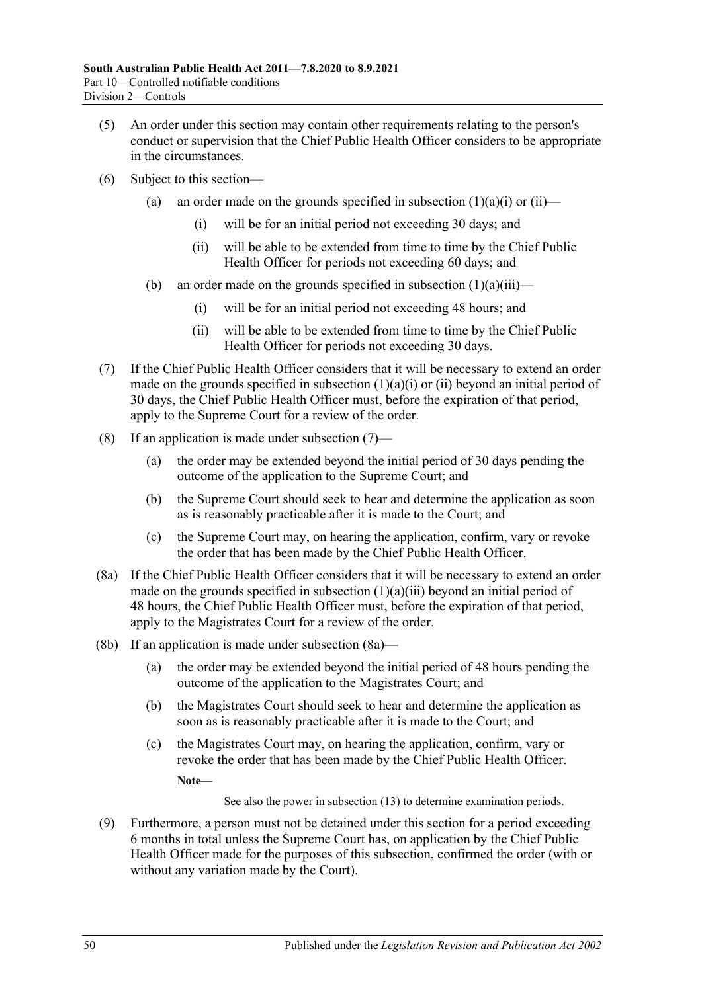- (5) An order under this section may contain other requirements relating to the person's conduct or supervision that the Chief Public Health Officer considers to be appropriate in the circumstances.
- (6) Subject to this section
	- (a) an order made on the grounds specified in [subsection](#page-48-1)  $(1)(a)(i)$  or  $(ii)$ 
		- (i) will be for an initial period not exceeding 30 days; and
		- (ii) will be able to be extended from time to time by the Chief Public Health Officer for periods not exceeding 60 days; and
	- (b) an order made on the grounds specified in [subsection](#page-48-3)  $(1)(a)(iii)$ 
		- (i) will be for an initial period not exceeding 48 hours; and
		- (ii) will be able to be extended from time to time by the Chief Public Health Officer for periods not exceeding 30 days.
- <span id="page-49-0"></span>(7) If the Chief Public Health Officer considers that it will be necessary to extend an order made on the grounds specified in [subsection](#page-48-1)  $(1)(a)(i)$  or  $(ii)$  beyond an initial period of 30 days, the Chief Public Health Officer must, before the expiration of that period, apply to the Supreme Court for a review of the order.
- <span id="page-49-2"></span>(8) If an application is made under [subsection](#page-49-0)  $(7)$ —
	- (a) the order may be extended beyond the initial period of 30 days pending the outcome of the application to the Supreme Court; and
	- (b) the Supreme Court should seek to hear and determine the application as soon as is reasonably practicable after it is made to the Court; and
	- (c) the Supreme Court may, on hearing the application, confirm, vary or revoke the order that has been made by the Chief Public Health Officer.
- <span id="page-49-1"></span>(8a) If the Chief Public Health Officer considers that it will be necessary to extend an order made on the grounds specified in [subsection](#page-48-3) (1)(a)(iii) beyond an initial period of 48 hours, the Chief Public Health Officer must, before the expiration of that period, apply to the Magistrates Court for a review of the order.
- (8b) If an application is made under [subsection](#page-49-1) (8a)—
	- (a) the order may be extended beyond the initial period of 48 hours pending the outcome of the application to the Magistrates Court; and
	- (b) the Magistrates Court should seek to hear and determine the application as soon as is reasonably practicable after it is made to the Court; and
	- (c) the Magistrates Court may, on hearing the application, confirm, vary or revoke the order that has been made by the Chief Public Health Officer.

**Note—**

See also the power in [subsection](#page-50-0) (13) to determine examination periods.

<span id="page-49-3"></span>(9) Furthermore, a person must not be detained under this section for a period exceeding 6 months in total unless the Supreme Court has, on application by the Chief Public Health Officer made for the purposes of this subsection, confirmed the order (with or without any variation made by the Court).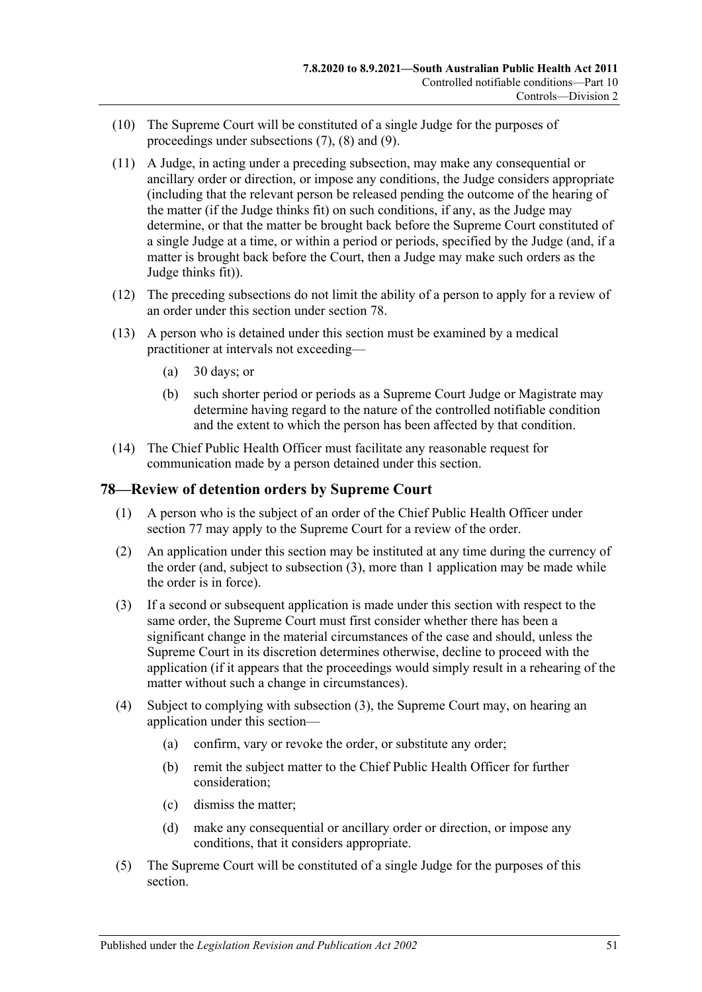- (10) The Supreme Court will be constituted of a single Judge for the purposes of proceedings under [subsections](#page-49-0) (7), [\(8\)](#page-49-2) and [\(9\).](#page-49-3)
- (11) A Judge, in acting under a preceding subsection, may make any consequential or ancillary order or direction, or impose any conditions, the Judge considers appropriate (including that the relevant person be released pending the outcome of the hearing of the matter (if the Judge thinks fit) on such conditions, if any, as the Judge may determine, or that the matter be brought back before the Supreme Court constituted of a single Judge at a time, or within a period or periods, specified by the Judge (and, if a matter is brought back before the Court, then a Judge may make such orders as the Judge thinks fit)).
- (12) The preceding subsections do not limit the ability of a person to apply for a review of an order under this section under [section](#page-50-1) 78.
- <span id="page-50-0"></span>(13) A person who is detained under this section must be examined by a medical practitioner at intervals not exceeding—
	- (a) 30 days; or
	- (b) such shorter period or periods as a Supreme Court Judge or Magistrate may determine having regard to the nature of the controlled notifiable condition and the extent to which the person has been affected by that condition.
- (14) The Chief Public Health Officer must facilitate any reasonable request for communication made by a person detained under this section.

### <span id="page-50-1"></span>**78—Review of detention orders by Supreme Court**

- (1) A person who is the subject of an order of the Chief Public Health Officer under [section](#page-48-4) 77 may apply to the Supreme Court for a review of the order.
- (2) An application under this section may be instituted at any time during the currency of the order (and, subject to [subsection](#page-50-2) (3), more than 1 application may be made while the order is in force).
- <span id="page-50-2"></span>(3) If a second or subsequent application is made under this section with respect to the same order, the Supreme Court must first consider whether there has been a significant change in the material circumstances of the case and should, unless the Supreme Court in its discretion determines otherwise, decline to proceed with the application (if it appears that the proceedings would simply result in a rehearing of the matter without such a change in circumstances).
- (4) Subject to complying with [subsection](#page-50-2) (3), the Supreme Court may, on hearing an application under this section—
	- (a) confirm, vary or revoke the order, or substitute any order;
	- (b) remit the subject matter to the Chief Public Health Officer for further consideration;
	- (c) dismiss the matter;
	- (d) make any consequential or ancillary order or direction, or impose any conditions, that it considers appropriate.
- (5) The Supreme Court will be constituted of a single Judge for the purposes of this section.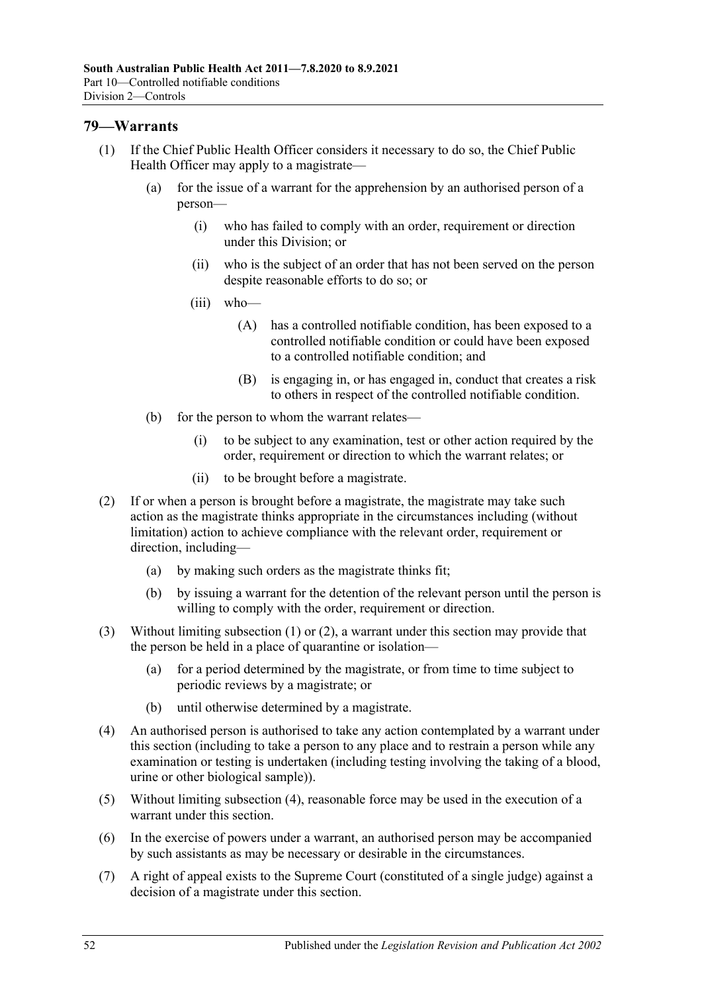# <span id="page-51-0"></span>**79—Warrants**

- (1) If the Chief Public Health Officer considers it necessary to do so, the Chief Public Health Officer may apply to a magistrate—
	- (a) for the issue of a warrant for the apprehension by an authorised person of a person—
		- (i) who has failed to comply with an order, requirement or direction under this Division; or
		- (ii) who is the subject of an order that has not been served on the person despite reasonable efforts to do so; or
		- (iii) who—
			- (A) has a controlled notifiable condition, has been exposed to a controlled notifiable condition or could have been exposed to a controlled notifiable condition; and
			- (B) is engaging in, or has engaged in, conduct that creates a risk to others in respect of the controlled notifiable condition.
	- (b) for the person to whom the warrant relates—
		- (i) to be subject to any examination, test or other action required by the order, requirement or direction to which the warrant relates; or
		- (ii) to be brought before a magistrate.
- <span id="page-51-1"></span>(2) If or when a person is brought before a magistrate, the magistrate may take such action as the magistrate thinks appropriate in the circumstances including (without limitation) action to achieve compliance with the relevant order, requirement or direction, including—
	- (a) by making such orders as the magistrate thinks fit;
	- (b) by issuing a warrant for the detention of the relevant person until the person is willing to comply with the order, requirement or direction.
- (3) Without limiting [subsection](#page-51-0) (1) or [\(2\),](#page-51-1) a warrant under this section may provide that the person be held in a place of quarantine or isolation—
	- (a) for a period determined by the magistrate, or from time to time subject to periodic reviews by a magistrate; or
	- (b) until otherwise determined by a magistrate.
- <span id="page-51-2"></span>(4) An authorised person is authorised to take any action contemplated by a warrant under this section (including to take a person to any place and to restrain a person while any examination or testing is undertaken (including testing involving the taking of a blood, urine or other biological sample)).
- (5) Without limiting [subsection](#page-51-2) (4), reasonable force may be used in the execution of a warrant under this section.
- (6) In the exercise of powers under a warrant, an authorised person may be accompanied by such assistants as may be necessary or desirable in the circumstances.
- (7) A right of appeal exists to the Supreme Court (constituted of a single judge) against a decision of a magistrate under this section.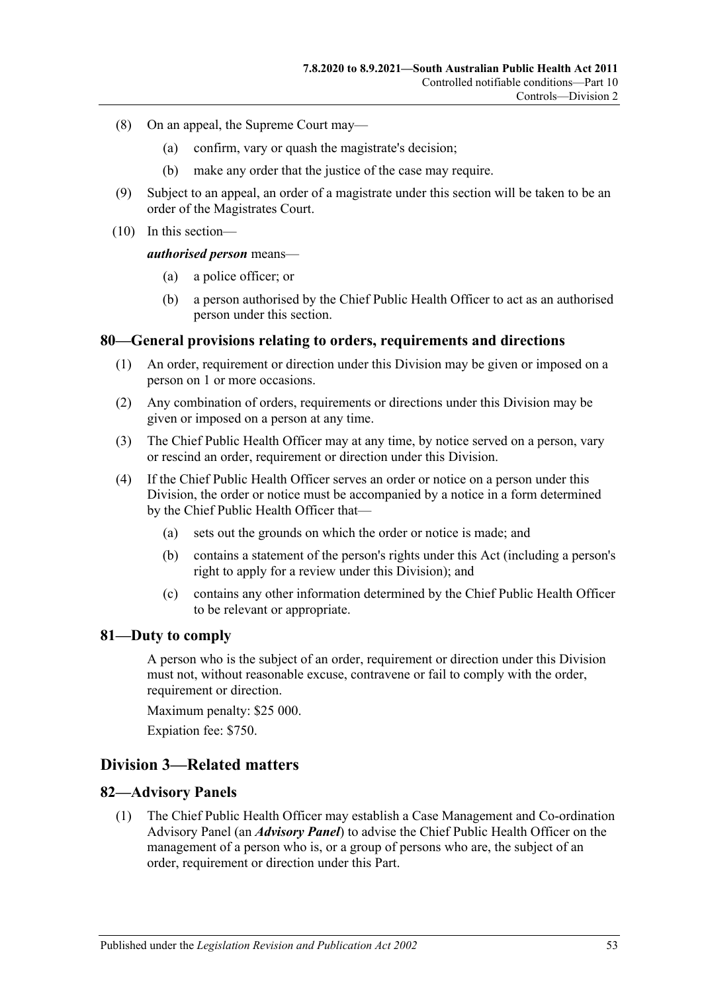- (8) On an appeal, the Supreme Court may—
	- (a) confirm, vary or quash the magistrate's decision;
	- (b) make any order that the justice of the case may require.
- (9) Subject to an appeal, an order of a magistrate under this section will be taken to be an order of the Magistrates Court.
- (10) In this section—

#### *authorised person* means—

- (a) a police officer; or
- (b) a person authorised by the Chief Public Health Officer to act as an authorised person under this section.

#### **80—General provisions relating to orders, requirements and directions**

- (1) An order, requirement or direction under this Division may be given or imposed on a person on 1 or more occasions.
- (2) Any combination of orders, requirements or directions under this Division may be given or imposed on a person at any time.
- (3) The Chief Public Health Officer may at any time, by notice served on a person, vary or rescind an order, requirement or direction under this Division.
- (4) If the Chief Public Health Officer serves an order or notice on a person under this Division, the order or notice must be accompanied by a notice in a form determined by the Chief Public Health Officer that—
	- (a) sets out the grounds on which the order or notice is made; and
	- (b) contains a statement of the person's rights under this Act (including a person's right to apply for a review under this Division); and
	- (c) contains any other information determined by the Chief Public Health Officer to be relevant or appropriate.

#### **81—Duty to comply**

A person who is the subject of an order, requirement or direction under this Division must not, without reasonable excuse, contravene or fail to comply with the order, requirement or direction.

Maximum penalty: \$25 000.

Expiation fee: \$750.

# **Division 3—Related matters**

#### **82—Advisory Panels**

(1) The Chief Public Health Officer may establish a Case Management and Co-ordination Advisory Panel (an *Advisory Panel*) to advise the Chief Public Health Officer on the management of a person who is, or a group of persons who are, the subject of an order, requirement or direction under this Part.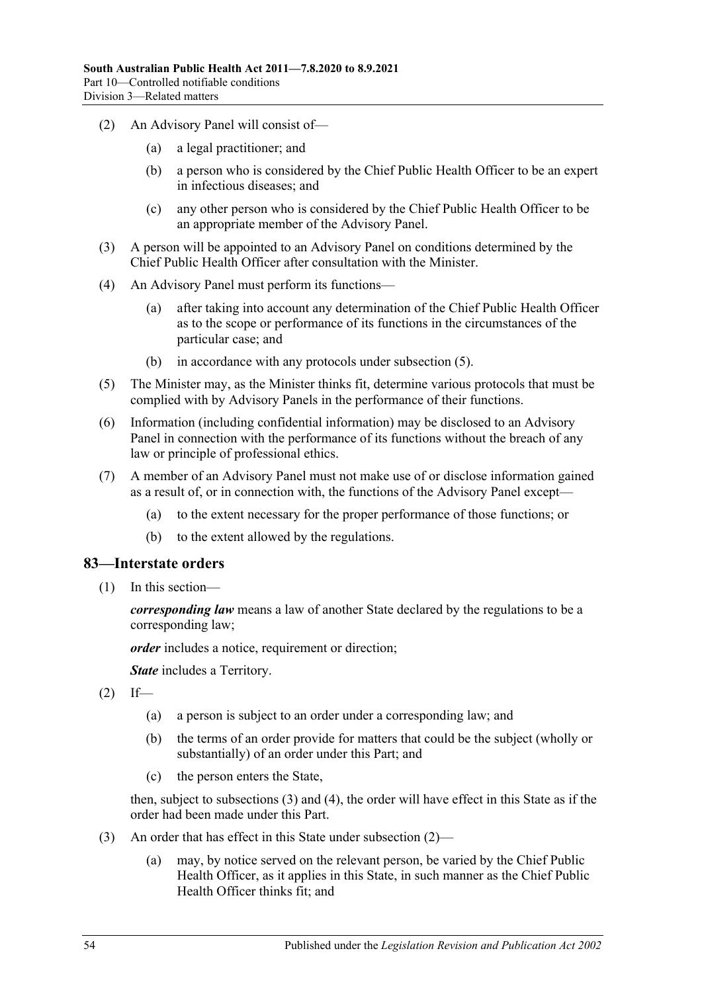- (2) An Advisory Panel will consist of—
	- (a) a legal practitioner; and
	- (b) a person who is considered by the Chief Public Health Officer to be an expert in infectious diseases; and
	- (c) any other person who is considered by the Chief Public Health Officer to be an appropriate member of the Advisory Panel.
- (3) A person will be appointed to an Advisory Panel on conditions determined by the Chief Public Health Officer after consultation with the Minister.
- (4) An Advisory Panel must perform its functions—
	- (a) after taking into account any determination of the Chief Public Health Officer as to the scope or performance of its functions in the circumstances of the particular case; and
	- (b) in accordance with any protocols under [subsection](#page-53-0) (5).
- <span id="page-53-0"></span>(5) The Minister may, as the Minister thinks fit, determine various protocols that must be complied with by Advisory Panels in the performance of their functions.
- (6) Information (including confidential information) may be disclosed to an Advisory Panel in connection with the performance of its functions without the breach of any law or principle of professional ethics.
- (7) A member of an Advisory Panel must not make use of or disclose information gained as a result of, or in connection with, the functions of the Advisory Panel except—
	- (a) to the extent necessary for the proper performance of those functions; or
	- (b) to the extent allowed by the regulations.

# **83—Interstate orders**

(1) In this section—

*corresponding law* means a law of another State declared by the regulations to be a corresponding law;

*order* includes a notice, requirement or direction;

*State* includes a Territory.

- <span id="page-53-2"></span> $(2)$  If—
	- (a) a person is subject to an order under a corresponding law; and
	- (b) the terms of an order provide for matters that could be the subject (wholly or substantially) of an order under this Part; and
	- (c) the person enters the State,

then, subject to [subsections](#page-53-1) (3) and [\(4\),](#page-54-0) the order will have effect in this State as if the order had been made under this Part.

- <span id="page-53-1"></span>(3) An order that has effect in this State under [subsection](#page-53-2) (2)—
	- (a) may, by notice served on the relevant person, be varied by the Chief Public Health Officer, as it applies in this State, in such manner as the Chief Public Health Officer thinks fit; and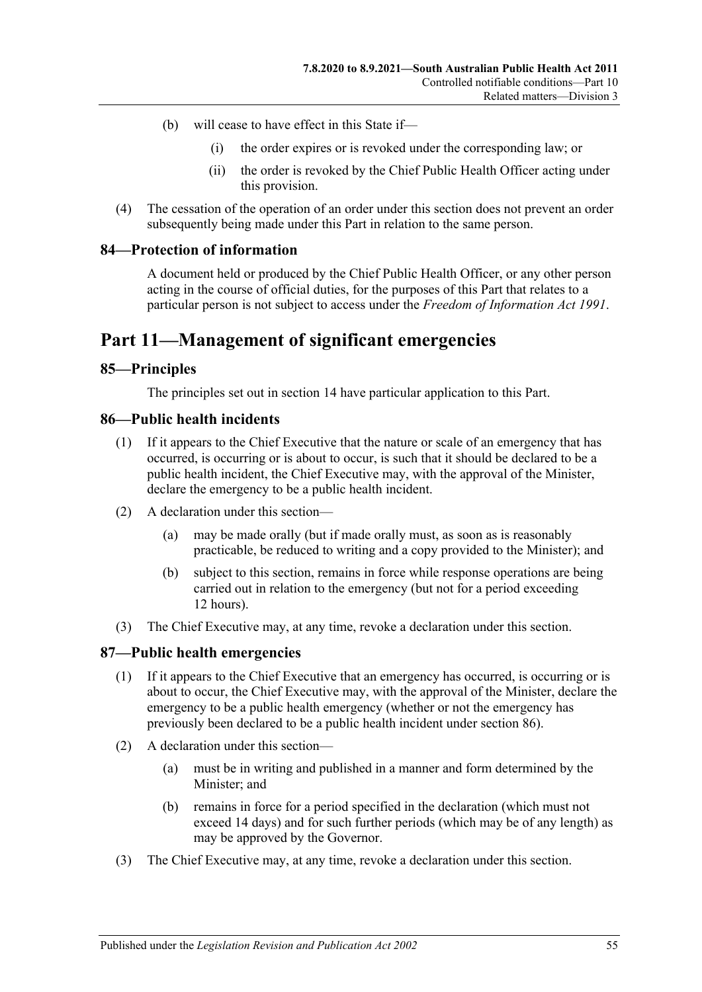- (b) will cease to have effect in this State if—
	- (i) the order expires or is revoked under the corresponding law; or
	- (ii) the order is revoked by the Chief Public Health Officer acting under this provision.
- <span id="page-54-0"></span>(4) The cessation of the operation of an order under this section does not prevent an order subsequently being made under this Part in relation to the same person.

#### **84—Protection of information**

A document held or produced by the Chief Public Health Officer, or any other person acting in the course of official duties, for the purposes of this Part that relates to a particular person is not subject to access under the *[Freedom of Information Act](http://www.legislation.sa.gov.au/index.aspx?action=legref&type=act&legtitle=Freedom%20of%20Information%20Act%201991) 1991*.

# **Part 11—Management of significant emergencies**

#### **85—Principles**

The principles set out in [section](#page-9-0) 14 have particular application to this Part.

#### <span id="page-54-1"></span>**86—Public health incidents**

- (1) If it appears to the Chief Executive that the nature or scale of an emergency that has occurred, is occurring or is about to occur, is such that it should be declared to be a public health incident, the Chief Executive may, with the approval of the Minister, declare the emergency to be a public health incident.
- (2) A declaration under this section—
	- (a) may be made orally (but if made orally must, as soon as is reasonably practicable, be reduced to writing and a copy provided to the Minister); and
	- (b) subject to this section, remains in force while response operations are being carried out in relation to the emergency (but not for a period exceeding 12 hours).
- (3) The Chief Executive may, at any time, revoke a declaration under this section.

# **87—Public health emergencies**

- (1) If it appears to the Chief Executive that an emergency has occurred, is occurring or is about to occur, the Chief Executive may, with the approval of the Minister, declare the emergency to be a public health emergency (whether or not the emergency has previously been declared to be a public health incident under [section](#page-54-1) 86).
- (2) A declaration under this section—
	- (a) must be in writing and published in a manner and form determined by the Minister; and
	- (b) remains in force for a period specified in the declaration (which must not exceed 14 days) and for such further periods (which may be of any length) as may be approved by the Governor.
- (3) The Chief Executive may, at any time, revoke a declaration under this section.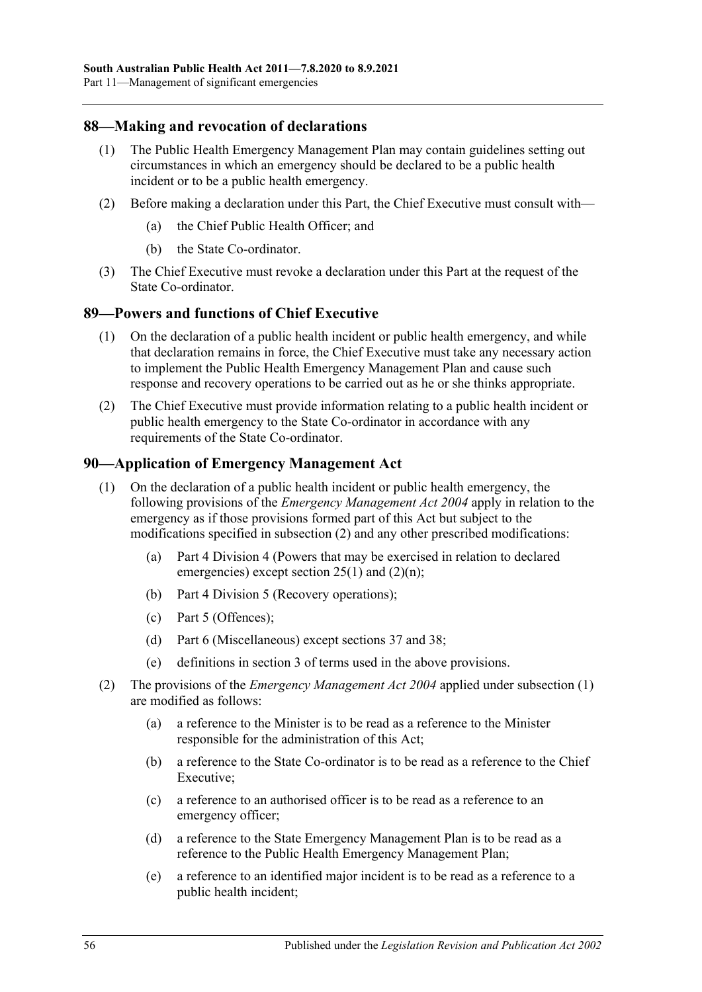# **88—Making and revocation of declarations**

- (1) The Public Health Emergency Management Plan may contain guidelines setting out circumstances in which an emergency should be declared to be a public health incident or to be a public health emergency.
- (2) Before making a declaration under this Part, the Chief Executive must consult with—
	- (a) the Chief Public Health Officer; and
	- (b) the State Co-ordinator.
- (3) The Chief Executive must revoke a declaration under this Part at the request of the State Co-ordinator.

#### <span id="page-55-2"></span>**89—Powers and functions of Chief Executive**

- (1) On the declaration of a public health incident or public health emergency, and while that declaration remains in force, the Chief Executive must take any necessary action to implement the Public Health Emergency Management Plan and cause such response and recovery operations to be carried out as he or she thinks appropriate.
- (2) The Chief Executive must provide information relating to a public health incident or public health emergency to the State Co-ordinator in accordance with any requirements of the State Co-ordinator.

#### <span id="page-55-1"></span>**90—Application of Emergency Management Act**

- (1) On the declaration of a public health incident or public health emergency, the following provisions of the *[Emergency Management Act](http://www.legislation.sa.gov.au/index.aspx?action=legref&type=act&legtitle=Emergency%20Management%20Act%202004) 2004* apply in relation to the emergency as if those provisions formed part of this Act but subject to the modifications specified in [subsection](#page-55-0) (2) and any other prescribed modifications:
	- (a) Part 4 Division 4 (Powers that may be exercised in relation to declared emergencies) except section 25(1) and (2)(n);
	- (b) Part 4 Division 5 (Recovery operations);
	- (c) Part 5 (Offences);
	- (d) Part 6 (Miscellaneous) except sections 37 and 38;
	- (e) definitions in section 3 of terms used in the above provisions.
- <span id="page-55-0"></span>(2) The provisions of the *[Emergency Management Act](http://www.legislation.sa.gov.au/index.aspx?action=legref&type=act&legtitle=Emergency%20Management%20Act%202004) 2004* applied under [subsection](#page-55-1) (1) are modified as follows:
	- (a) a reference to the Minister is to be read as a reference to the Minister responsible for the administration of this Act;
	- (b) a reference to the State Co-ordinator is to be read as a reference to the Chief Executive;
	- (c) a reference to an authorised officer is to be read as a reference to an emergency officer;
	- (d) a reference to the State Emergency Management Plan is to be read as a reference to the Public Health Emergency Management Plan;
	- (e) a reference to an identified major incident is to be read as a reference to a public health incident;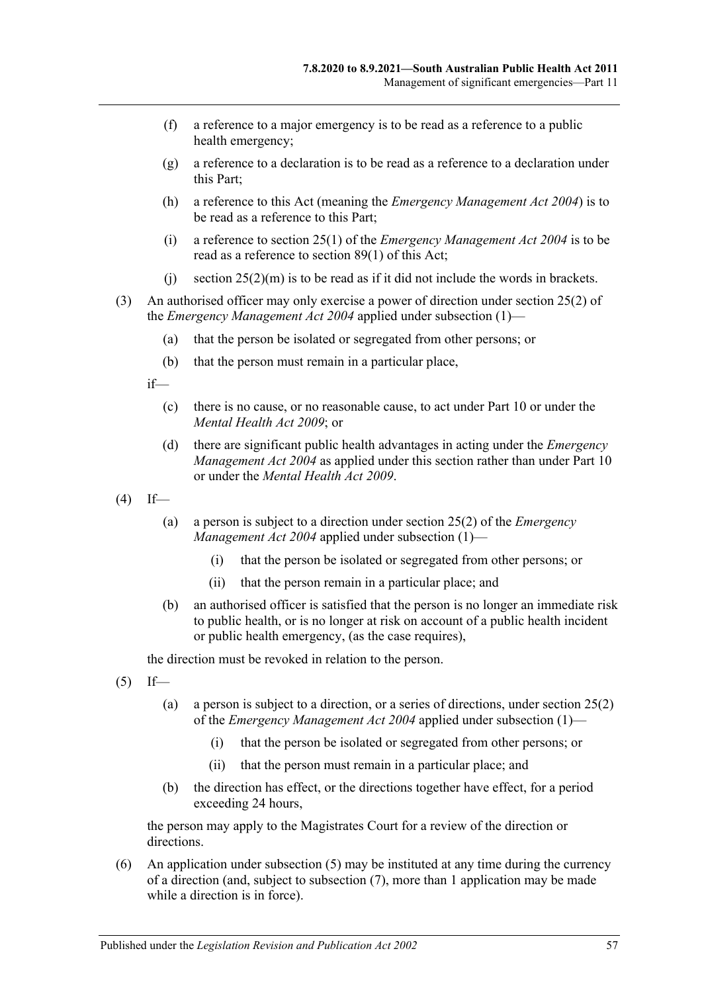- (f) a reference to a major emergency is to be read as a reference to a public health emergency;
- (g) a reference to a declaration is to be read as a reference to a declaration under this Part;
- (h) a reference to this Act (meaning the *[Emergency Management Act](http://www.legislation.sa.gov.au/index.aspx?action=legref&type=act&legtitle=Emergency%20Management%20Act%202004) 2004*) is to be read as a reference to this Part;
- (i) a reference to section 25(1) of the *[Emergency Management Act](http://www.legislation.sa.gov.au/index.aspx?action=legref&type=act&legtitle=Emergency%20Management%20Act%202004) 2004* is to be read as a reference to [section](#page-55-2) 89(1) of this Act;
- (i) section  $25(2)(m)$  is to be read as if it did not include the words in brackets.
- (3) An authorised officer may only exercise a power of direction under section 25(2) of the *[Emergency Management Act](http://www.legislation.sa.gov.au/index.aspx?action=legref&type=act&legtitle=Emergency%20Management%20Act%202004) 2004* applied under [subsection](#page-55-1) (1)—
	- (a) that the person be isolated or segregated from other persons; or
	- (b) that the person must remain in a particular place,

if—

- (c) there is no cause, or no reasonable cause, to act under [Part](#page-41-2) 10 or under the *[Mental Health Act](http://www.legislation.sa.gov.au/index.aspx?action=legref&type=act&legtitle=Mental%20Health%20Act%202009) 2009*; or
- (d) there are significant public health advantages in acting under the *[Emergency](http://www.legislation.sa.gov.au/index.aspx?action=legref&type=act&legtitle=Emergency%20Management%20Act%202004)  [Management Act](http://www.legislation.sa.gov.au/index.aspx?action=legref&type=act&legtitle=Emergency%20Management%20Act%202004) 2004* as applied under this section rather than under [Part](#page-41-2) 10 or under the *[Mental Health Act](http://www.legislation.sa.gov.au/index.aspx?action=legref&type=act&legtitle=Mental%20Health%20Act%202009) 2009*.
- $(4)$  If—
	- (a) a person is subject to a direction under section 25(2) of the *[Emergency](http://www.legislation.sa.gov.au/index.aspx?action=legref&type=act&legtitle=Emergency%20Management%20Act%202004)  [Management Act](http://www.legislation.sa.gov.au/index.aspx?action=legref&type=act&legtitle=Emergency%20Management%20Act%202004) 2004* applied under [subsection](#page-55-1) (1)—
		- (i) that the person be isolated or segregated from other persons; or
		- (ii) that the person remain in a particular place; and
	- (b) an authorised officer is satisfied that the person is no longer an immediate risk to public health, or is no longer at risk on account of a public health incident or public health emergency, (as the case requires),

the direction must be revoked in relation to the person.

- <span id="page-56-0"></span> $(5)$  If—
	- (a) a person is subject to a direction, or a series of directions, under section 25(2) of the *[Emergency Management Act](http://www.legislation.sa.gov.au/index.aspx?action=legref&type=act&legtitle=Emergency%20Management%20Act%202004) 2004* applied under [subsection](#page-55-1) (1)—
		- (i) that the person be isolated or segregated from other persons; or
		- (ii) that the person must remain in a particular place; and
	- (b) the direction has effect, or the directions together have effect, for a period exceeding 24 hours,

the person may apply to the Magistrates Court for a review of the direction or directions.

(6) An application under [subsection](#page-56-0) (5) may be instituted at any time during the currency of a direction (and, subject to [subsection](#page-57-0) (7), more than 1 application may be made while a direction is in force).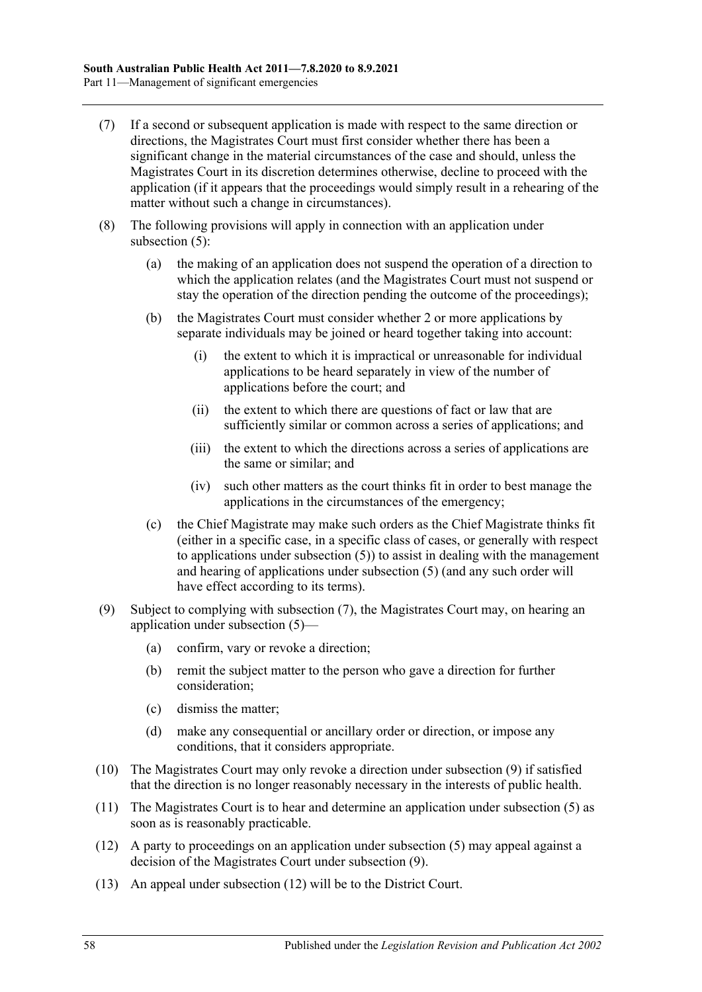- <span id="page-57-0"></span>(7) If a second or subsequent application is made with respect to the same direction or directions, the Magistrates Court must first consider whether there has been a significant change in the material circumstances of the case and should, unless the Magistrates Court in its discretion determines otherwise, decline to proceed with the application (if it appears that the proceedings would simply result in a rehearing of the matter without such a change in circumstances).
- (8) The following provisions will apply in connection with an application under [subsection](#page-56-0) (5):
	- (a) the making of an application does not suspend the operation of a direction to which the application relates (and the Magistrates Court must not suspend or stay the operation of the direction pending the outcome of the proceedings);
	- (b) the Magistrates Court must consider whether 2 or more applications by separate individuals may be joined or heard together taking into account:
		- (i) the extent to which it is impractical or unreasonable for individual applications to be heard separately in view of the number of applications before the court; and
		- (ii) the extent to which there are questions of fact or law that are sufficiently similar or common across a series of applications; and
		- (iii) the extent to which the directions across a series of applications are the same or similar; and
		- (iv) such other matters as the court thinks fit in order to best manage the applications in the circumstances of the emergency;
	- (c) the Chief Magistrate may make such orders as the Chief Magistrate thinks fit (either in a specific case, in a specific class of cases, or generally with respect to applications under [subsection](#page-56-0) (5)) to assist in dealing with the management and hearing of applications under [subsection](#page-56-0) (5) (and any such order will have effect according to its terms).
- <span id="page-57-1"></span>(9) Subject to complying with [subsection](#page-57-0) (7), the Magistrates Court may, on hearing an application under [subsection](#page-56-0) (5)—
	- (a) confirm, vary or revoke a direction;
	- (b) remit the subject matter to the person who gave a direction for further consideration;
	- (c) dismiss the matter;
	- (d) make any consequential or ancillary order or direction, or impose any conditions, that it considers appropriate.
- (10) The Magistrates Court may only revoke a direction under [subsection](#page-57-1) (9) if satisfied that the direction is no longer reasonably necessary in the interests of public health.
- (11) The Magistrates Court is to hear and determine an application under [subsection](#page-56-0) (5) as soon as is reasonably practicable.
- <span id="page-57-2"></span>(12) A party to proceedings on an application under [subsection](#page-56-0) (5) may appeal against a decision of the Magistrates Court under [subsection](#page-57-1) (9).
- (13) An appeal under [subsection](#page-57-2) (12) will be to the District Court.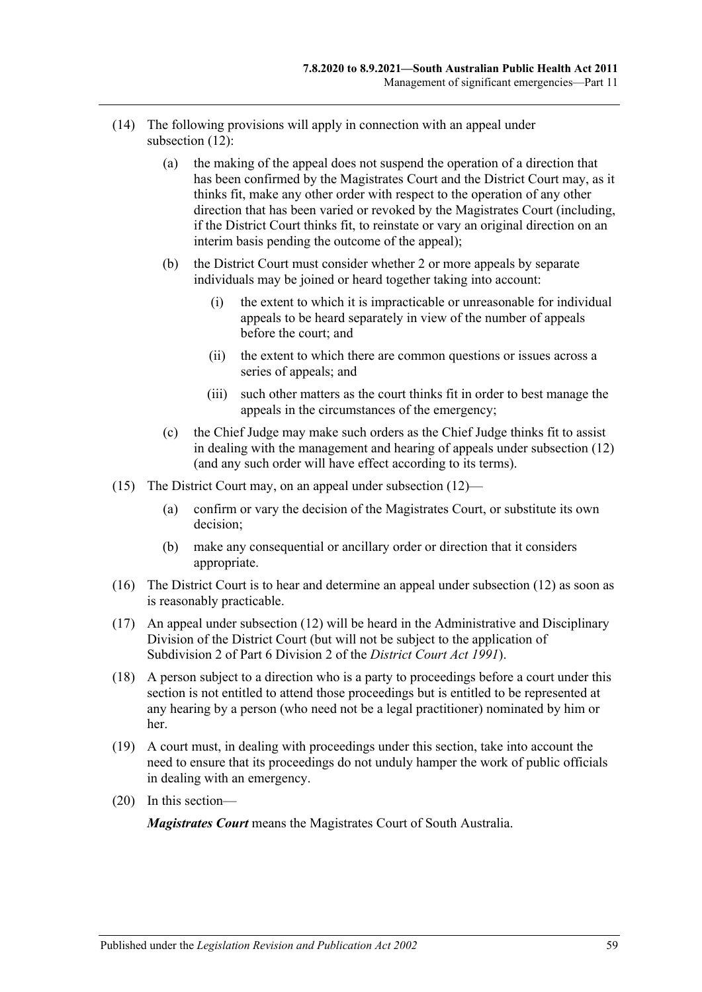- (14) The following provisions will apply in connection with an appeal under [subsection](#page-57-2) (12):
	- (a) the making of the appeal does not suspend the operation of a direction that has been confirmed by the Magistrates Court and the District Court may, as it thinks fit, make any other order with respect to the operation of any other direction that has been varied or revoked by the Magistrates Court (including, if the District Court thinks fit, to reinstate or vary an original direction on an interim basis pending the outcome of the appeal);
	- (b) the District Court must consider whether 2 or more appeals by separate individuals may be joined or heard together taking into account:
		- (i) the extent to which it is impracticable or unreasonable for individual appeals to be heard separately in view of the number of appeals before the court; and
		- (ii) the extent to which there are common questions or issues across a series of appeals; and
		- (iii) such other matters as the court thinks fit in order to best manage the appeals in the circumstances of the emergency;
	- (c) the Chief Judge may make such orders as the Chief Judge thinks fit to assist in dealing with the management and hearing of appeals under [subsection](#page-57-2) (12) (and any such order will have effect according to its terms).
- (15) The District Court may, on an appeal under [subsection](#page-57-2) (12)—
	- (a) confirm or vary the decision of the Magistrates Court, or substitute its own decision;
	- (b) make any consequential or ancillary order or direction that it considers appropriate.
- (16) The District Court is to hear and determine an appeal under [subsection](#page-57-2) (12) as soon as is reasonably practicable.
- (17) An appeal under [subsection](#page-57-2) (12) will be heard in the Administrative and Disciplinary Division of the District Court (but will not be subject to the application of Subdivision 2 of Part 6 Division 2 of the *[District Court Act](http://www.legislation.sa.gov.au/index.aspx?action=legref&type=act&legtitle=District%20Court%20Act%201991) 1991*).
- (18) A person subject to a direction who is a party to proceedings before a court under this section is not entitled to attend those proceedings but is entitled to be represented at any hearing by a person (who need not be a legal practitioner) nominated by him or her.
- (19) A court must, in dealing with proceedings under this section, take into account the need to ensure that its proceedings do not unduly hamper the work of public officials in dealing with an emergency.
- (20) In this section—

*Magistrates Court* means the Magistrates Court of South Australia.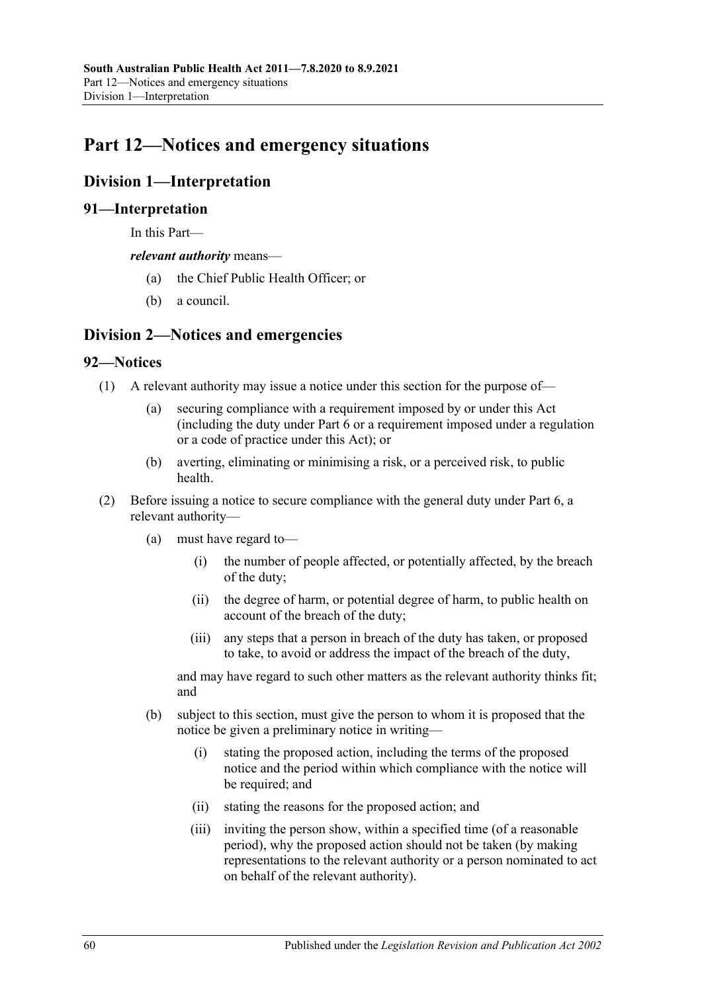# **Part 12—Notices and emergency situations**

# **Division 1—Interpretation**

# **91—Interpretation**

In this Part—

*relevant authority* means—

- (a) the Chief Public Health Officer; or
- (b) a council.

# **Division 2—Notices and emergencies**

# **92—Notices**

- (1) A relevant authority may issue a notice under this section for the purpose of—
	- (a) securing compliance with a requirement imposed by or under this Act (including the duty under [Part](#page-32-0) 6 or a requirement imposed under a regulation or a code of practice under this Act); or
	- (b) averting, eliminating or minimising a risk, or a perceived risk, to public health.
- (2) Before issuing a notice to secure compliance with the general duty under [Part](#page-32-0) 6, a relevant authority—
	- (a) must have regard to—
		- (i) the number of people affected, or potentially affected, by the breach of the duty;
		- (ii) the degree of harm, or potential degree of harm, to public health on account of the breach of the duty;
		- (iii) any steps that a person in breach of the duty has taken, or proposed to take, to avoid or address the impact of the breach of the duty,

and may have regard to such other matters as the relevant authority thinks fit; and

- <span id="page-59-0"></span>(b) subject to this section, must give the person to whom it is proposed that the notice be given a preliminary notice in writing—
	- (i) stating the proposed action, including the terms of the proposed notice and the period within which compliance with the notice will be required; and
	- (ii) stating the reasons for the proposed action; and
	- (iii) inviting the person show, within a specified time (of a reasonable period), why the proposed action should not be taken (by making representations to the relevant authority or a person nominated to act on behalf of the relevant authority).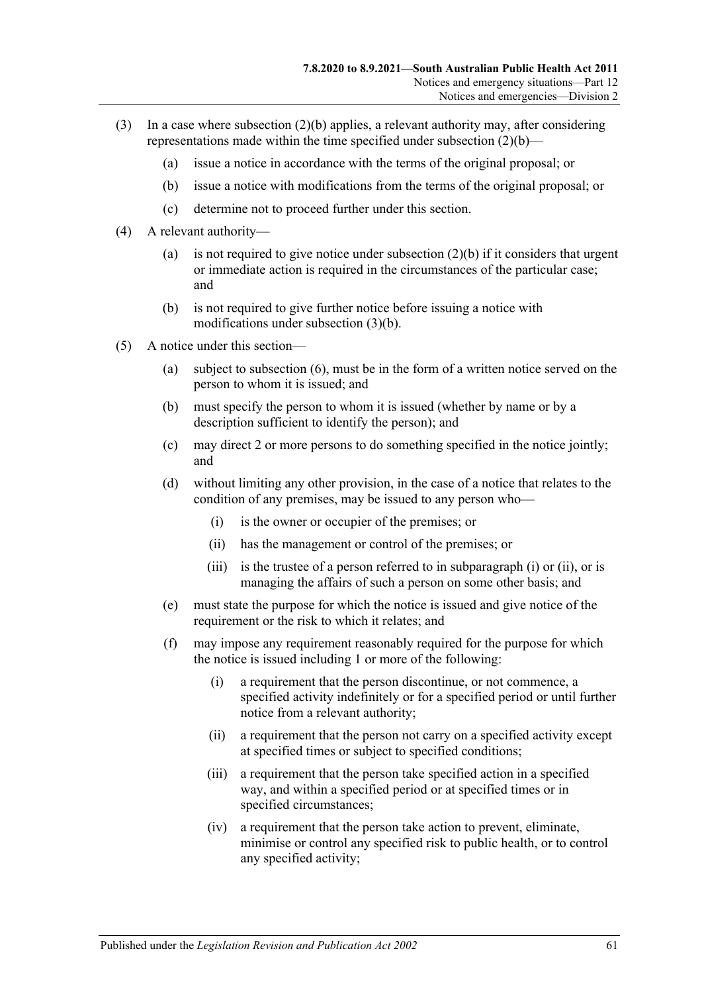- <span id="page-60-0"></span>(3) In a case where [subsection](#page-59-0) (2)(b) applies, a relevant authority may, after considering representations made within the time specified under [subsection](#page-59-0)  $(2)(b)$ —
	- (a) issue a notice in accordance with the terms of the original proposal; or
	- (b) issue a notice with modifications from the terms of the original proposal; or
	- (c) determine not to proceed further under this section.
- (4) A relevant authority
	- (a) is not required to give notice under [subsection](#page-59-0)  $(2)(b)$  if it considers that urgent or immediate action is required in the circumstances of the particular case; and
	- (b) is not required to give further notice before issuing a notice with modifications under [subsection](#page-60-0) (3)(b).
- <span id="page-60-3"></span><span id="page-60-2"></span><span id="page-60-1"></span>(5) A notice under this section—
	- (a) subject to [subsection](#page-61-0) (6), must be in the form of a written notice served on the person to whom it is issued; and
	- (b) must specify the person to whom it is issued (whether by name or by a description sufficient to identify the person); and
	- (c) may direct 2 or more persons to do something specified in the notice jointly; and
	- (d) without limiting any other provision, in the case of a notice that relates to the condition of any premises, may be issued to any person who—
		- (i) is the owner or occupier of the premises; or
		- (ii) has the management or control of the premises; or
		- (iii) is the trustee of a person referred to in [subparagraph](#page-60-1) (i) or [\(ii\),](#page-60-2) or is managing the affairs of such a person on some other basis; and
	- (e) must state the purpose for which the notice is issued and give notice of the requirement or the risk to which it relates; and
	- (f) may impose any requirement reasonably required for the purpose for which the notice is issued including 1 or more of the following:
		- (i) a requirement that the person discontinue, or not commence, a specified activity indefinitely or for a specified period or until further notice from a relevant authority;
		- (ii) a requirement that the person not carry on a specified activity except at specified times or subject to specified conditions;
		- (iii) a requirement that the person take specified action in a specified way, and within a specified period or at specified times or in specified circumstances;
		- (iv) a requirement that the person take action to prevent, eliminate, minimise or control any specified risk to public health, or to control any specified activity;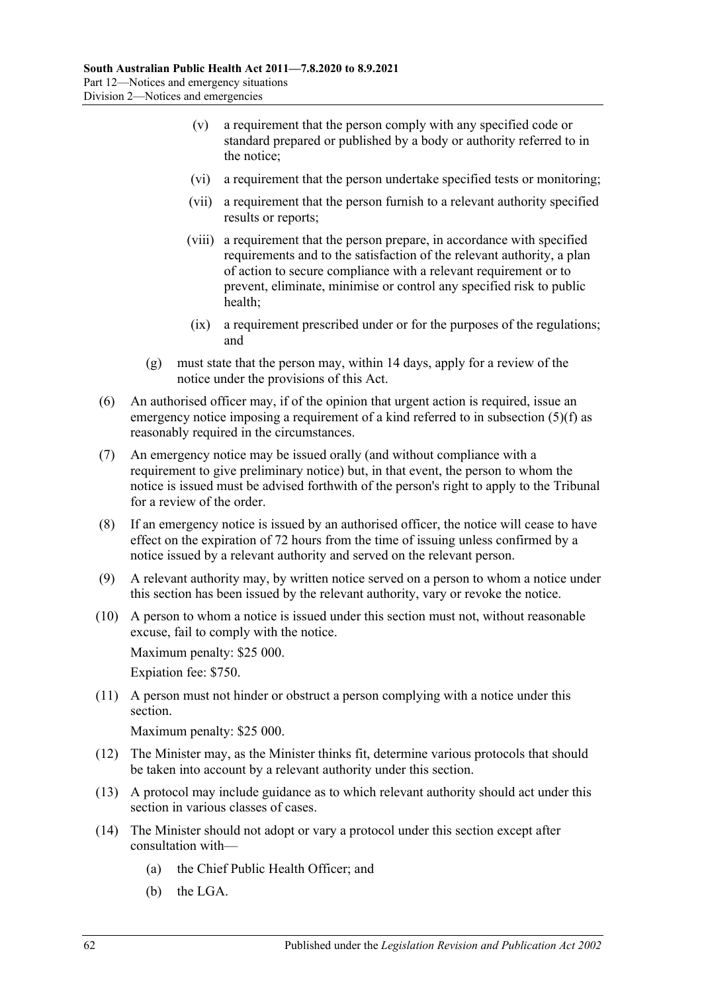- (v) a requirement that the person comply with any specified code or standard prepared or published by a body or authority referred to in the notice;
- (vi) a requirement that the person undertake specified tests or monitoring;
- (vii) a requirement that the person furnish to a relevant authority specified results or reports;
- (viii) a requirement that the person prepare, in accordance with specified requirements and to the satisfaction of the relevant authority, a plan of action to secure compliance with a relevant requirement or to prevent, eliminate, minimise or control any specified risk to public health;
- (ix) a requirement prescribed under or for the purposes of the regulations; and
- (g) must state that the person may, within 14 days, apply for a review of the notice under the provisions of this Act.
- <span id="page-61-0"></span>(6) An authorised officer may, if of the opinion that urgent action is required, issue an emergency notice imposing a requirement of a kind referred to in [subsection](#page-60-3) (5)(f) as reasonably required in the circumstances.
- (7) An emergency notice may be issued orally (and without compliance with a requirement to give preliminary notice) but, in that event, the person to whom the notice is issued must be advised forthwith of the person's right to apply to the Tribunal for a review of the order.
- (8) If an emergency notice is issued by an authorised officer, the notice will cease to have effect on the expiration of 72 hours from the time of issuing unless confirmed by a notice issued by a relevant authority and served on the relevant person.
- (9) A relevant authority may, by written notice served on a person to whom a notice under this section has been issued by the relevant authority, vary or revoke the notice.
- (10) A person to whom a notice is issued under this section must not, without reasonable excuse, fail to comply with the notice.

Maximum penalty: \$25 000.

Expiation fee: \$750.

(11) A person must not hinder or obstruct a person complying with a notice under this section.

Maximum penalty: \$25 000.

- (12) The Minister may, as the Minister thinks fit, determine various protocols that should be taken into account by a relevant authority under this section.
- (13) A protocol may include guidance as to which relevant authority should act under this section in various classes of cases.
- (14) The Minister should not adopt or vary a protocol under this section except after consultation with—
	- (a) the Chief Public Health Officer; and
	- (b) the LGA.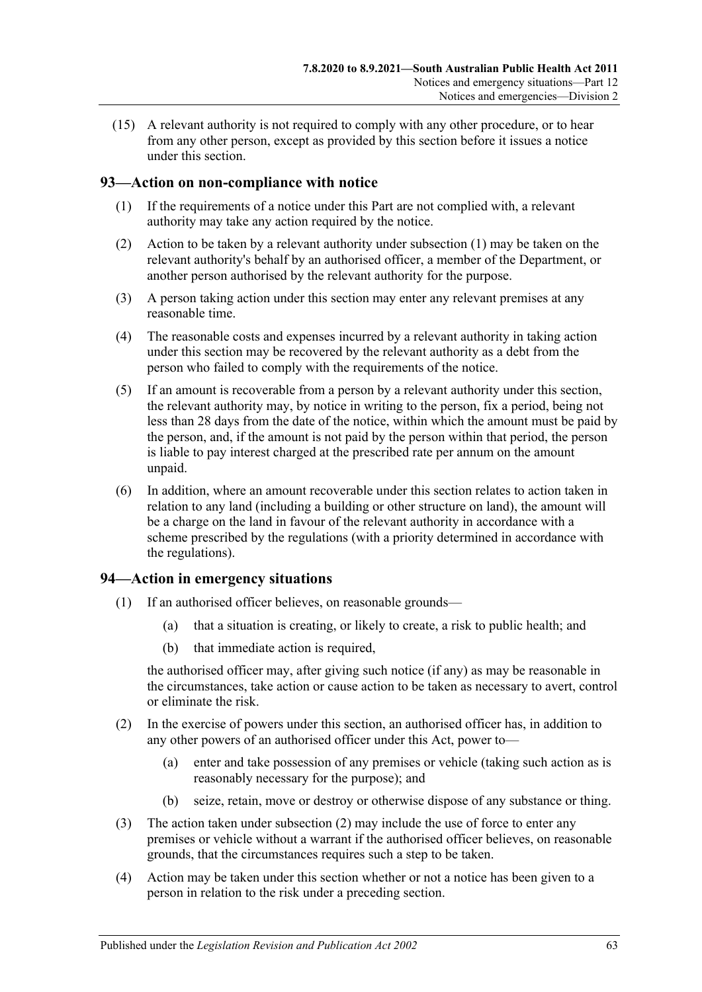(15) A relevant authority is not required to comply with any other procedure, or to hear from any other person, except as provided by this section before it issues a notice under this section.

# <span id="page-62-0"></span>**93—Action on non-compliance with notice**

- (1) If the requirements of a notice under this Part are not complied with, a relevant authority may take any action required by the notice.
- (2) Action to be taken by a relevant authority under [subsection](#page-62-0) (1) may be taken on the relevant authority's behalf by an authorised officer, a member of the Department, or another person authorised by the relevant authority for the purpose.
- (3) A person taking action under this section may enter any relevant premises at any reasonable time.
- (4) The reasonable costs and expenses incurred by a relevant authority in taking action under this section may be recovered by the relevant authority as a debt from the person who failed to comply with the requirements of the notice.
- (5) If an amount is recoverable from a person by a relevant authority under this section, the relevant authority may, by notice in writing to the person, fix a period, being not less than 28 days from the date of the notice, within which the amount must be paid by the person, and, if the amount is not paid by the person within that period, the person is liable to pay interest charged at the prescribed rate per annum on the amount unpaid.
- (6) In addition, where an amount recoverable under this section relates to action taken in relation to any land (including a building or other structure on land), the amount will be a charge on the land in favour of the relevant authority in accordance with a scheme prescribed by the regulations (with a priority determined in accordance with the regulations).

# **94—Action in emergency situations**

- (1) If an authorised officer believes, on reasonable grounds—
	- (a) that a situation is creating, or likely to create, a risk to public health; and
	- (b) that immediate action is required,

the authorised officer may, after giving such notice (if any) as may be reasonable in the circumstances, take action or cause action to be taken as necessary to avert, control or eliminate the risk.

- <span id="page-62-1"></span>(2) In the exercise of powers under this section, an authorised officer has, in addition to any other powers of an authorised officer under this Act, power to—
	- (a) enter and take possession of any premises or vehicle (taking such action as is reasonably necessary for the purpose); and
	- (b) seize, retain, move or destroy or otherwise dispose of any substance or thing.
- (3) The action taken under [subsection](#page-62-1) (2) may include the use of force to enter any premises or vehicle without a warrant if the authorised officer believes, on reasonable grounds, that the circumstances requires such a step to be taken.
- (4) Action may be taken under this section whether or not a notice has been given to a person in relation to the risk under a preceding section.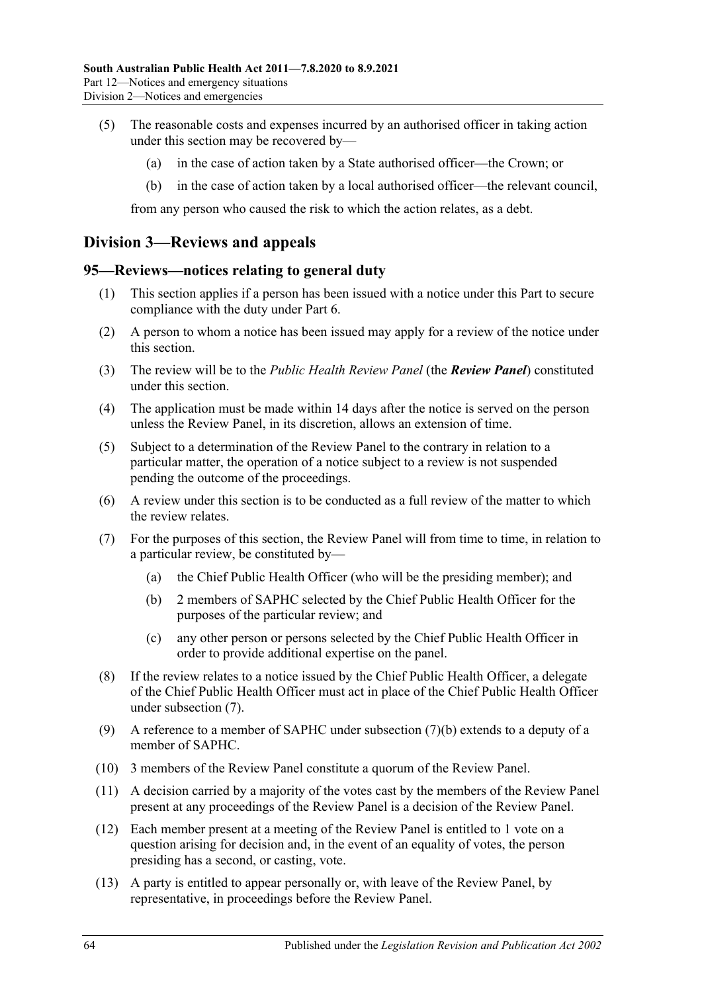- (5) The reasonable costs and expenses incurred by an authorised officer in taking action under this section may be recovered by—
	- (a) in the case of action taken by a State authorised officer—the Crown; or
	- (b) in the case of action taken by a local authorised officer—the relevant council,

from any person who caused the risk to which the action relates, as a debt.

# **Division 3—Reviews and appeals**

#### <span id="page-63-2"></span>**95—Reviews—notices relating to general duty**

- (1) This section applies if a person has been issued with a notice under this Part to secure compliance with the duty under [Part](#page-32-0) 6.
- (2) A person to whom a notice has been issued may apply for a review of the notice under this section.
- (3) The review will be to the *Public Health Review Panel* (the *Review Panel*) constituted under this section.
- (4) The application must be made within 14 days after the notice is served on the person unless the Review Panel, in its discretion, allows an extension of time.
- (5) Subject to a determination of the Review Panel to the contrary in relation to a particular matter, the operation of a notice subject to a review is not suspended pending the outcome of the proceedings.
- (6) A review under this section is to be conducted as a full review of the matter to which the review relates.
- <span id="page-63-1"></span><span id="page-63-0"></span>(7) For the purposes of this section, the Review Panel will from time to time, in relation to a particular review, be constituted by—
	- (a) the Chief Public Health Officer (who will be the presiding member); and
	- (b) 2 members of SAPHC selected by the Chief Public Health Officer for the purposes of the particular review; and
	- (c) any other person or persons selected by the Chief Public Health Officer in order to provide additional expertise on the panel.
- (8) If the review relates to a notice issued by the Chief Public Health Officer, a delegate of the Chief Public Health Officer must act in place of the Chief Public Health Officer under [subsection](#page-63-0) (7).
- (9) A reference to a member of SAPHC under [subsection](#page-63-1) (7)(b) extends to a deputy of a member of SAPHC.
- (10) 3 members of the Review Panel constitute a quorum of the Review Panel.
- (11) A decision carried by a majority of the votes cast by the members of the Review Panel present at any proceedings of the Review Panel is a decision of the Review Panel.
- (12) Each member present at a meeting of the Review Panel is entitled to 1 vote on a question arising for decision and, in the event of an equality of votes, the person presiding has a second, or casting, vote.
- (13) A party is entitled to appear personally or, with leave of the Review Panel, by representative, in proceedings before the Review Panel.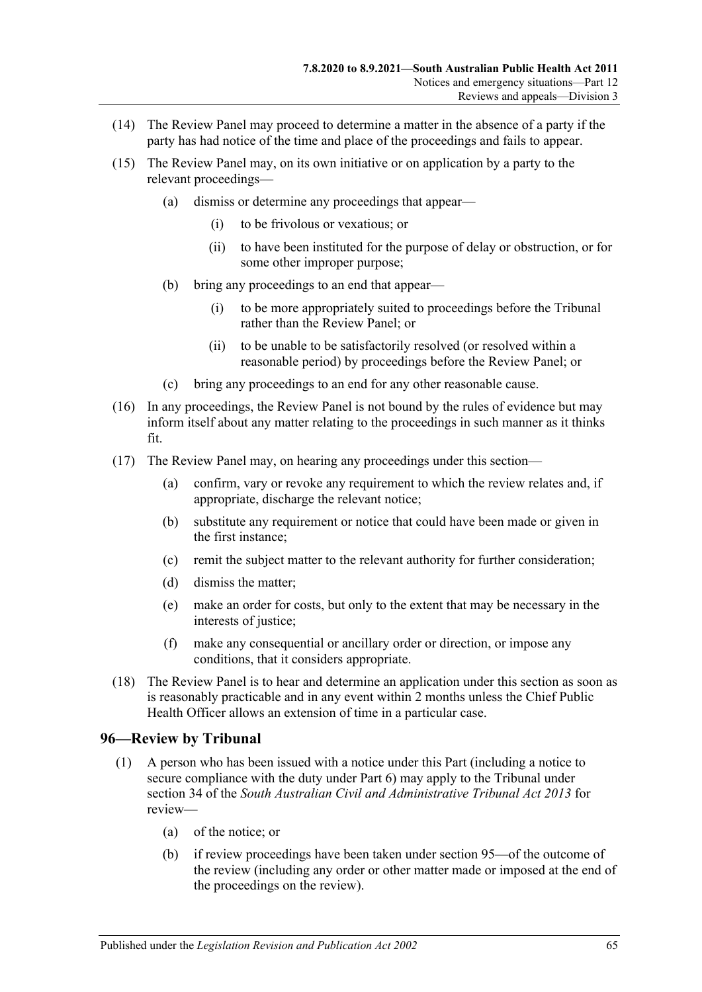- (14) The Review Panel may proceed to determine a matter in the absence of a party if the party has had notice of the time and place of the proceedings and fails to appear.
- (15) The Review Panel may, on its own initiative or on application by a party to the relevant proceedings—
	- (a) dismiss or determine any proceedings that appear—
		- (i) to be frivolous or vexatious; or
		- (ii) to have been instituted for the purpose of delay or obstruction, or for some other improper purpose;
	- (b) bring any proceedings to an end that appear—
		- (i) to be more appropriately suited to proceedings before the Tribunal rather than the Review Panel; or
		- (ii) to be unable to be satisfactorily resolved (or resolved within a reasonable period) by proceedings before the Review Panel; or
	- (c) bring any proceedings to an end for any other reasonable cause.
- (16) In any proceedings, the Review Panel is not bound by the rules of evidence but may inform itself about any matter relating to the proceedings in such manner as it thinks fit.
- (17) The Review Panel may, on hearing any proceedings under this section—
	- (a) confirm, vary or revoke any requirement to which the review relates and, if appropriate, discharge the relevant notice;
	- (b) substitute any requirement or notice that could have been made or given in the first instance;
	- (c) remit the subject matter to the relevant authority for further consideration;
	- (d) dismiss the matter;
	- (e) make an order for costs, but only to the extent that may be necessary in the interests of justice;
	- (f) make any consequential or ancillary order or direction, or impose any conditions, that it considers appropriate.
- (18) The Review Panel is to hear and determine an application under this section as soon as is reasonably practicable and in any event within 2 months unless the Chief Public Health Officer allows an extension of time in a particular case.

#### **96—Review by Tribunal**

- <span id="page-64-1"></span><span id="page-64-0"></span>(1) A person who has been issued with a notice under this Part (including a notice to secure compliance with the duty under [Part](#page-32-0) 6) may apply to the Tribunal under section 34 of the *[South Australian Civil and Administrative Tribunal Act](http://www.legislation.sa.gov.au/index.aspx?action=legref&type=act&legtitle=South%20Australian%20Civil%20and%20Administrative%20Tribunal%20Act%202013) 2013* for review—
	- (a) of the notice; or
	- (b) if review proceedings have been taken under [section](#page-63-2) 95—of the outcome of the review (including any order or other matter made or imposed at the end of the proceedings on the review).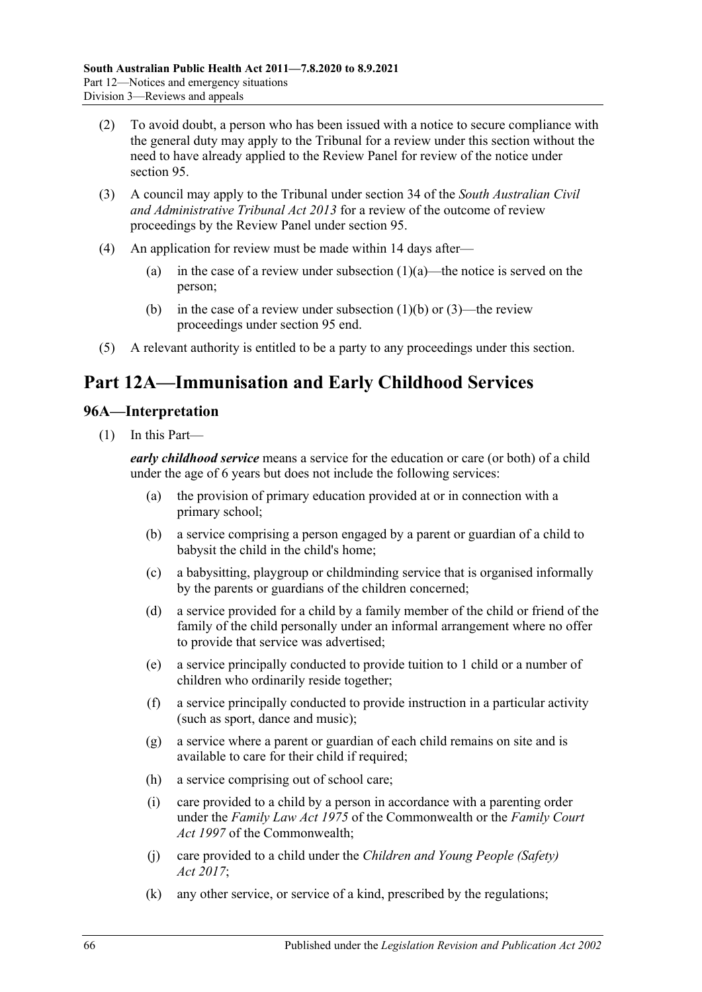- (2) To avoid doubt, a person who has been issued with a notice to secure compliance with the general duty may apply to the Tribunal for a review under this section without the need to have already applied to the Review Panel for review of the notice under [section](#page-63-2) 95.
- (3) A council may apply to the Tribunal under section 34 of the *[South Australian Civil](http://www.legislation.sa.gov.au/index.aspx?action=legref&type=act&legtitle=South%20Australian%20Civil%20and%20Administrative%20Tribunal%20Act%202013)  [and Administrative Tribunal Act](http://www.legislation.sa.gov.au/index.aspx?action=legref&type=act&legtitle=South%20Australian%20Civil%20and%20Administrative%20Tribunal%20Act%202013) 2013* for a review of the outcome of review proceedings by the Review Panel under [section](#page-63-2) 95.
- (4) An application for review must be made within 14 days after
	- (a) in the case of a review under [subsection](#page-64-0)  $(1)(a)$ —the notice is served on the person;
	- (b) in the case of a review under [subsection](#page-64-1)  $(1)(b)$  or  $(3)$ —the review proceedings under [section](#page-63-2) 95 end.
- (5) A relevant authority is entitled to be a party to any proceedings under this section.

# **Part 12A—Immunisation and Early Childhood Services**

# **96A—Interpretation**

(1) In this Part—

*early childhood service* means a service for the education or care (or both) of a child under the age of 6 years but does not include the following services:

- (a) the provision of primary education provided at or in connection with a primary school;
- (b) a service comprising a person engaged by a parent or guardian of a child to babysit the child in the child's home;
- (c) a babysitting, playgroup or childminding service that is organised informally by the parents or guardians of the children concerned;
- (d) a service provided for a child by a family member of the child or friend of the family of the child personally under an informal arrangement where no offer to provide that service was advertised;
- (e) a service principally conducted to provide tuition to 1 child or a number of children who ordinarily reside together;
- (f) a service principally conducted to provide instruction in a particular activity (such as sport, dance and music);
- (g) a service where a parent or guardian of each child remains on site and is available to care for their child if required;
- (h) a service comprising out of school care;
- (i) care provided to a child by a person in accordance with a parenting order under the *Family Law Act 1975* of the Commonwealth or the *Family Court Act 1997* of the Commonwealth;
- (j) care provided to a child under the *[Children and Young People \(Safety\)](http://www.legislation.sa.gov.au/index.aspx?action=legref&type=act&legtitle=Children%20and%20Young%20People%20(Safety)%20Act%202017)  Act [2017](http://www.legislation.sa.gov.au/index.aspx?action=legref&type=act&legtitle=Children%20and%20Young%20People%20(Safety)%20Act%202017)*;
- (k) any other service, or service of a kind, prescribed by the regulations;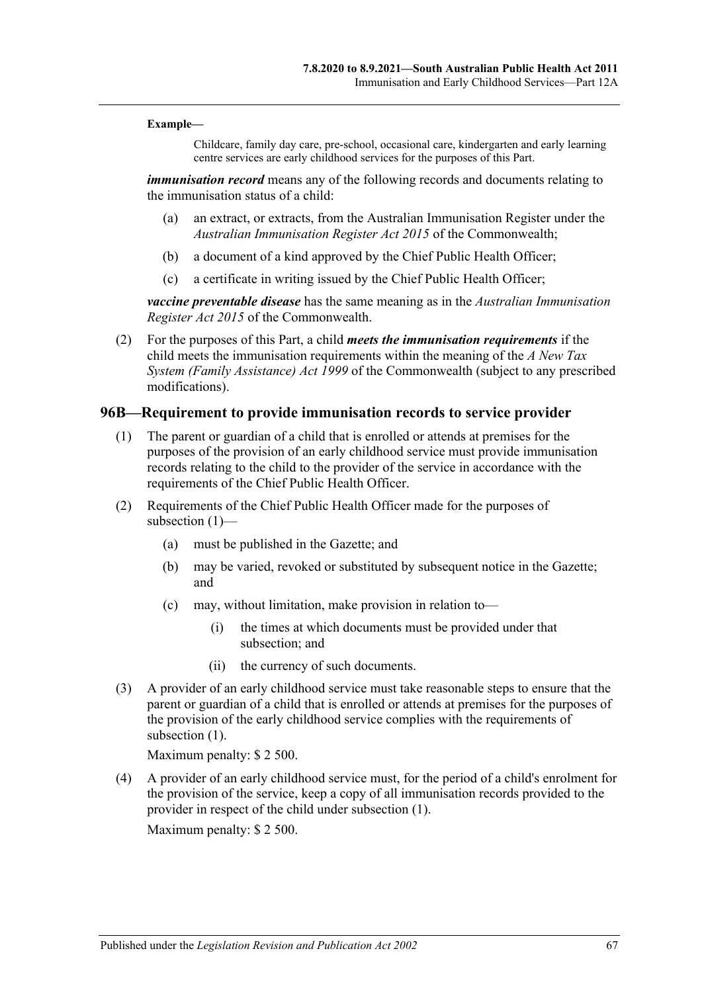#### **Example—**

Childcare, family day care, pre-school, occasional care, kindergarten and early learning centre services are early childhood services for the purposes of this Part.

*immunisation record* means any of the following records and documents relating to the immunisation status of a child:

- (a) an extract, or extracts, from the Australian Immunisation Register under the *Australian Immunisation Register Act 2015* of the Commonwealth;
- (b) a document of a kind approved by the Chief Public Health Officer;
- (c) a certificate in writing issued by the Chief Public Health Officer;

*vaccine preventable disease* has the same meaning as in the *Australian Immunisation Register Act 2015* of the Commonwealth.

(2) For the purposes of this Part, a child *meets the immunisation requirements* if the child meets the immunisation requirements within the meaning of the *A New Tax System (Family Assistance) Act 1999* of the Commonwealth (subject to any prescribed modifications).

#### <span id="page-66-0"></span>**96B—Requirement to provide immunisation records to service provider**

- (1) The parent or guardian of a child that is enrolled or attends at premises for the purposes of the provision of an early childhood service must provide immunisation records relating to the child to the provider of the service in accordance with the requirements of the Chief Public Health Officer.
- (2) Requirements of the Chief Public Health Officer made for the purposes of [subsection](#page-66-0) (1)—
	- (a) must be published in the Gazette; and
	- (b) may be varied, revoked or substituted by subsequent notice in the Gazette; and
	- (c) may, without limitation, make provision in relation to—
		- (i) the times at which documents must be provided under that subsection; and
		- (ii) the currency of such documents.
- (3) A provider of an early childhood service must take reasonable steps to ensure that the parent or guardian of a child that is enrolled or attends at premises for the purposes of the provision of the early childhood service complies with the requirements of [subsection](#page-66-0) (1).

Maximum penalty: \$ 2 500.

(4) A provider of an early childhood service must, for the period of a child's enrolment for the provision of the service, keep a copy of all immunisation records provided to the provider in respect of the child under [subsection](#page-66-0) (1).

Maximum penalty: \$ 2 500.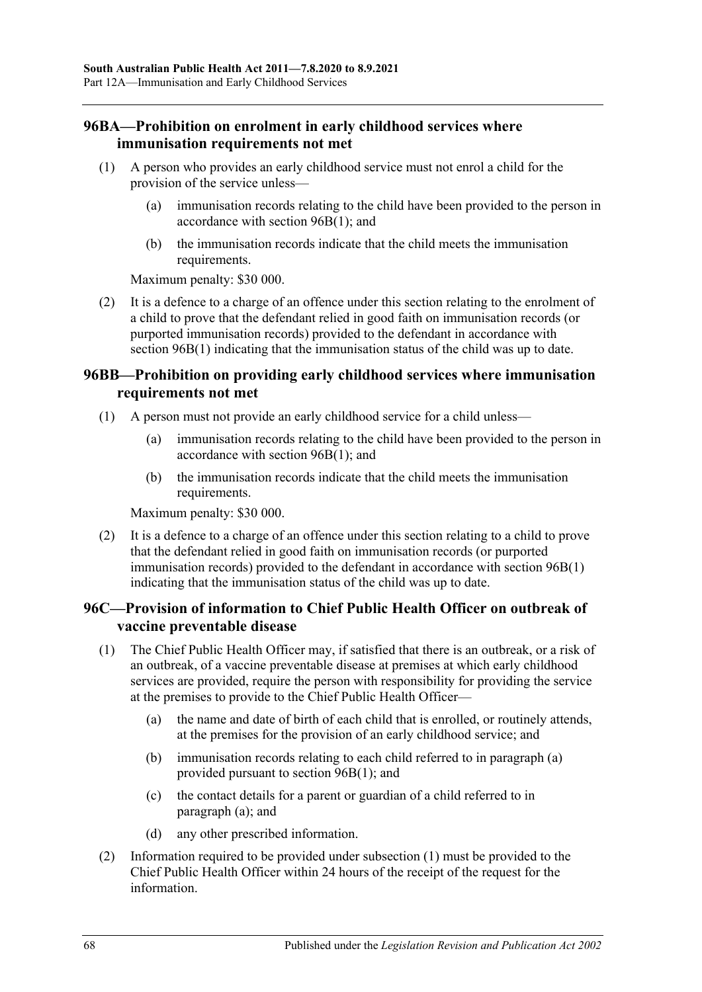# **96BA—Prohibition on enrolment in early childhood services where immunisation requirements not met**

- (1) A person who provides an early childhood service must not enrol a child for the provision of the service unless—
	- (a) immunisation records relating to the child have been provided to the person in accordance with [section](#page-66-0) 96B(1); and
	- (b) the immunisation records indicate that the child meets the immunisation requirements.

Maximum penalty: \$30 000.

(2) It is a defence to a charge of an offence under this section relating to the enrolment of a child to prove that the defendant relied in good faith on immunisation records (or purported immunisation records) provided to the defendant in accordance with section [96B\(1\)](#page-66-0) indicating that the immunisation status of the child was up to date.

# **96BB—Prohibition on providing early childhood services where immunisation requirements not met**

- (1) A person must not provide an early childhood service for a child unless—
	- (a) immunisation records relating to the child have been provided to the person in accordance with [section](#page-66-0) 96B(1); and
	- (b) the immunisation records indicate that the child meets the immunisation requirements.

Maximum penalty: \$30 000.

(2) It is a defence to a charge of an offence under this section relating to a child to prove that the defendant relied in good faith on immunisation records (or purported immunisation records) provided to the defendant in accordance with [section](#page-66-0) 96B(1) indicating that the immunisation status of the child was up to date.

# **96C—Provision of information to Chief Public Health Officer on outbreak of vaccine preventable disease**

- <span id="page-67-1"></span><span id="page-67-0"></span>(1) The Chief Public Health Officer may, if satisfied that there is an outbreak, or a risk of an outbreak, of a vaccine preventable disease at premises at which early childhood services are provided, require the person with responsibility for providing the service at the premises to provide to the Chief Public Health Officer—
	- (a) the name and date of birth of each child that is enrolled, or routinely attends, at the premises for the provision of an early childhood service; and
	- (b) immunisation records relating to each child referred to in [paragraph](#page-67-0) (a) provided pursuant to section [96B\(1\);](#page-66-0) and
	- (c) the contact details for a parent or guardian of a child referred to in [paragraph](#page-67-0) (a); and
	- (d) any other prescribed information.
- (2) Information required to be provided under [subsection](#page-67-1) (1) must be provided to the Chief Public Health Officer within 24 hours of the receipt of the request for the information.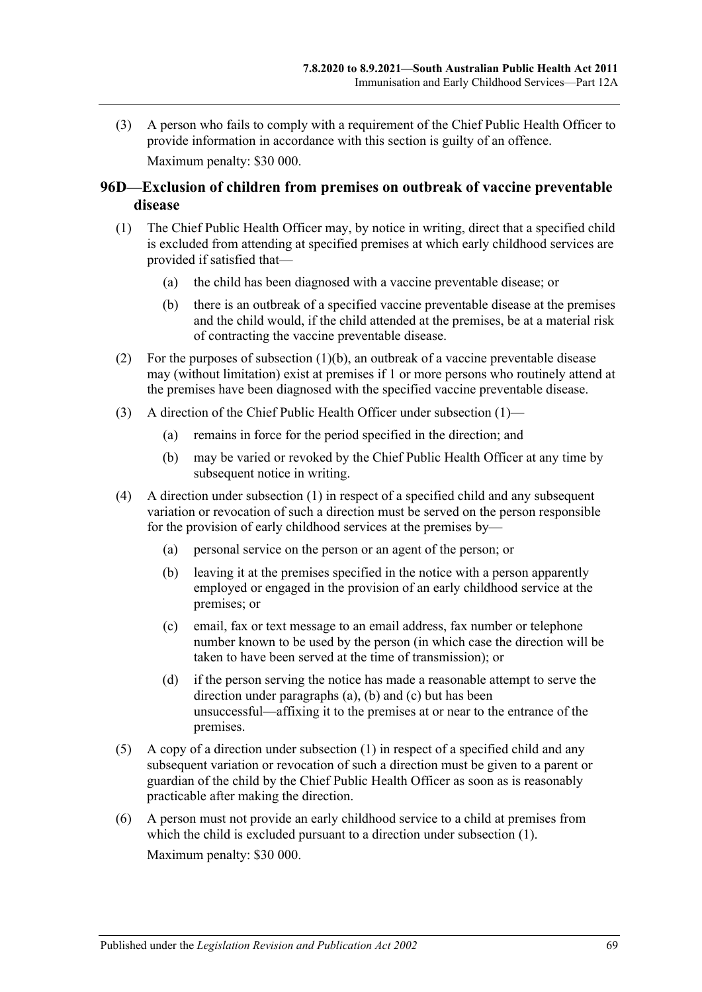(3) A person who fails to comply with a requirement of the Chief Public Health Officer to provide information in accordance with this section is guilty of an offence. Maximum penalty: \$30 000.

# **96D—Exclusion of children from premises on outbreak of vaccine preventable disease**

- <span id="page-68-1"></span>(1) The Chief Public Health Officer may, by notice in writing, direct that a specified child is excluded from attending at specified premises at which early childhood services are provided if satisfied that—
	- (a) the child has been diagnosed with a vaccine preventable disease; or
	- (b) there is an outbreak of a specified vaccine preventable disease at the premises and the child would, if the child attended at the premises, be at a material risk of contracting the vaccine preventable disease.
- <span id="page-68-0"></span>(2) For the purposes of [subsection](#page-68-0)  $(1)(b)$ , an outbreak of a vaccine preventable disease may (without limitation) exist at premises if 1 or more persons who routinely attend at the premises have been diagnosed with the specified vaccine preventable disease.
- (3) A direction of the Chief Public Health Officer under [subsection](#page-68-1) (1)—
	- (a) remains in force for the period specified in the direction; and
	- (b) may be varied or revoked by the Chief Public Health Officer at any time by subsequent notice in writing.
- <span id="page-68-4"></span><span id="page-68-3"></span><span id="page-68-2"></span>(4) A direction under [subsection](#page-68-1) (1) in respect of a specified child and any subsequent variation or revocation of such a direction must be served on the person responsible for the provision of early childhood services at the premises by—
	- (a) personal service on the person or an agent of the person; or
	- (b) leaving it at the premises specified in the notice with a person apparently employed or engaged in the provision of an early childhood service at the premises; or
	- (c) email, fax or text message to an email address, fax number or telephone number known to be used by the person (in which case the direction will be taken to have been served at the time of transmission); or
	- (d) if the person serving the notice has made a reasonable attempt to serve the direction under [paragraphs](#page-68-2) (a), [\(b\)](#page-68-3) and [\(c\)](#page-68-4) but has been unsuccessful—affixing it to the premises at or near to the entrance of the premises.
- (5) A copy of a direction under [subsection](#page-68-1) (1) in respect of a specified child and any subsequent variation or revocation of such a direction must be given to a parent or guardian of the child by the Chief Public Health Officer as soon as is reasonably practicable after making the direction.
- (6) A person must not provide an early childhood service to a child at premises from which the child is excluded pursuant to a direction under [subsection](#page-68-1) (1). Maximum penalty: \$30 000.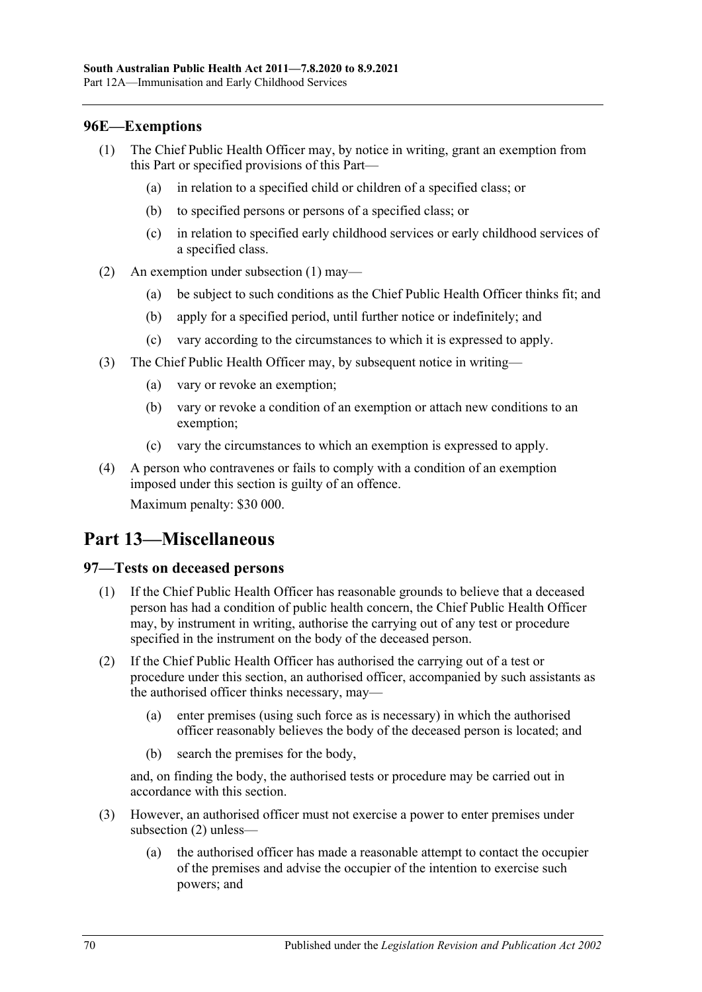# <span id="page-69-0"></span>**96E—Exemptions**

- (1) The Chief Public Health Officer may, by notice in writing, grant an exemption from this Part or specified provisions of this Part—
	- (a) in relation to a specified child or children of a specified class; or
	- (b) to specified persons or persons of a specified class; or
	- (c) in relation to specified early childhood services or early childhood services of a specified class.
- (2) An exemption under [subsection](#page-69-0) (1) may—
	- (a) be subject to such conditions as the Chief Public Health Officer thinks fit; and
	- (b) apply for a specified period, until further notice or indefinitely; and
	- (c) vary according to the circumstances to which it is expressed to apply.
- (3) The Chief Public Health Officer may, by subsequent notice in writing—
	- (a) vary or revoke an exemption;
	- (b) vary or revoke a condition of an exemption or attach new conditions to an exemption;
	- (c) vary the circumstances to which an exemption is expressed to apply.
- (4) A person who contravenes or fails to comply with a condition of an exemption imposed under this section is guilty of an offence. Maximum penalty: \$30 000.

# **Part 13—Miscellaneous**

# **97—Tests on deceased persons**

- (1) If the Chief Public Health Officer has reasonable grounds to believe that a deceased person has had a condition of public health concern, the Chief Public Health Officer may, by instrument in writing, authorise the carrying out of any test or procedure specified in the instrument on the body of the deceased person.
- <span id="page-69-1"></span>(2) If the Chief Public Health Officer has authorised the carrying out of a test or procedure under this section, an authorised officer, accompanied by such assistants as the authorised officer thinks necessary, may—
	- (a) enter premises (using such force as is necessary) in which the authorised officer reasonably believes the body of the deceased person is located; and
	- (b) search the premises for the body,

and, on finding the body, the authorised tests or procedure may be carried out in accordance with this section.

- (3) However, an authorised officer must not exercise a power to enter premises under [subsection](#page-69-1) (2) unless—
	- (a) the authorised officer has made a reasonable attempt to contact the occupier of the premises and advise the occupier of the intention to exercise such powers; and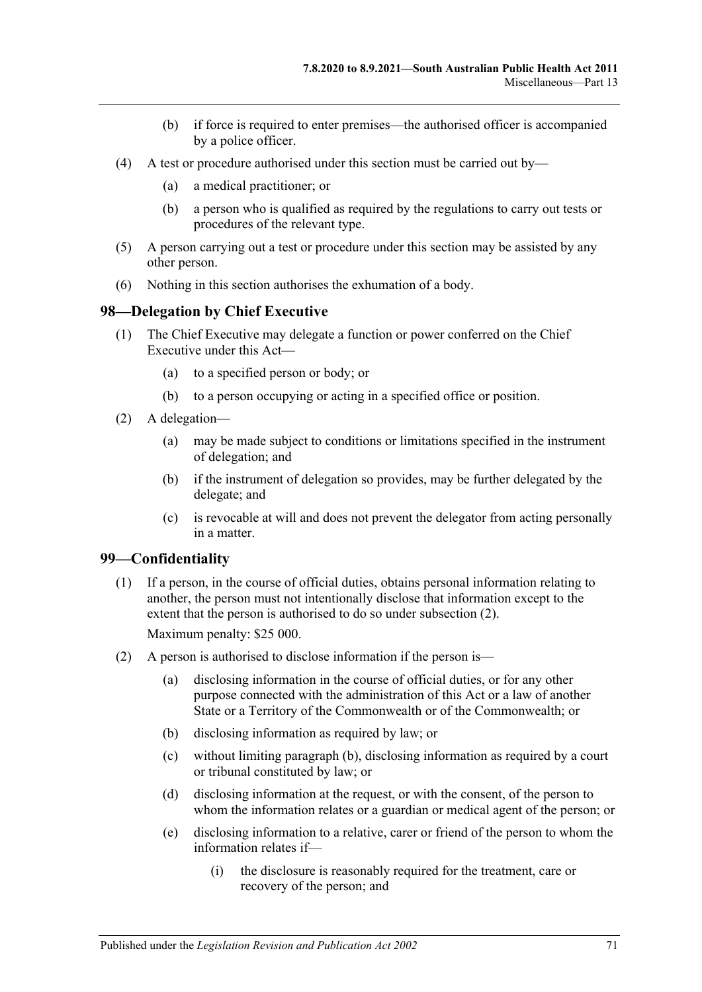- (b) if force is required to enter premises—the authorised officer is accompanied by a police officer.
- (4) A test or procedure authorised under this section must be carried out by—
	- (a) a medical practitioner; or
	- (b) a person who is qualified as required by the regulations to carry out tests or procedures of the relevant type.
- (5) A person carrying out a test or procedure under this section may be assisted by any other person.
- (6) Nothing in this section authorises the exhumation of a body.

#### **98—Delegation by Chief Executive**

- (1) The Chief Executive may delegate a function or power conferred on the Chief Executive under this Act—
	- (a) to a specified person or body; or
	- (b) to a person occupying or acting in a specified office or position.
- (2) A delegation—
	- (a) may be made subject to conditions or limitations specified in the instrument of delegation; and
	- (b) if the instrument of delegation so provides, may be further delegated by the delegate; and
	- (c) is revocable at will and does not prevent the delegator from acting personally in a matter.

#### **99—Confidentiality**

(1) If a person, in the course of official duties, obtains personal information relating to another, the person must not intentionally disclose that information except to the extent that the person is authorised to do so under [subsection](#page-70-0) (2).

Maximum penalty: \$25 000.

- <span id="page-70-2"></span><span id="page-70-1"></span><span id="page-70-0"></span>(2) A person is authorised to disclose information if the person is—
	- (a) disclosing information in the course of official duties, or for any other purpose connected with the administration of this Act or a law of another State or a Territory of the Commonwealth or of the Commonwealth; or
	- (b) disclosing information as required by law; or
	- (c) without limiting [paragraph](#page-70-1) (b), disclosing information as required by a court or tribunal constituted by law; or
	- (d) disclosing information at the request, or with the consent, of the person to whom the information relates or a guardian or medical agent of the person; or
	- (e) disclosing information to a relative, carer or friend of the person to whom the information relates if—
		- (i) the disclosure is reasonably required for the treatment, care or recovery of the person; and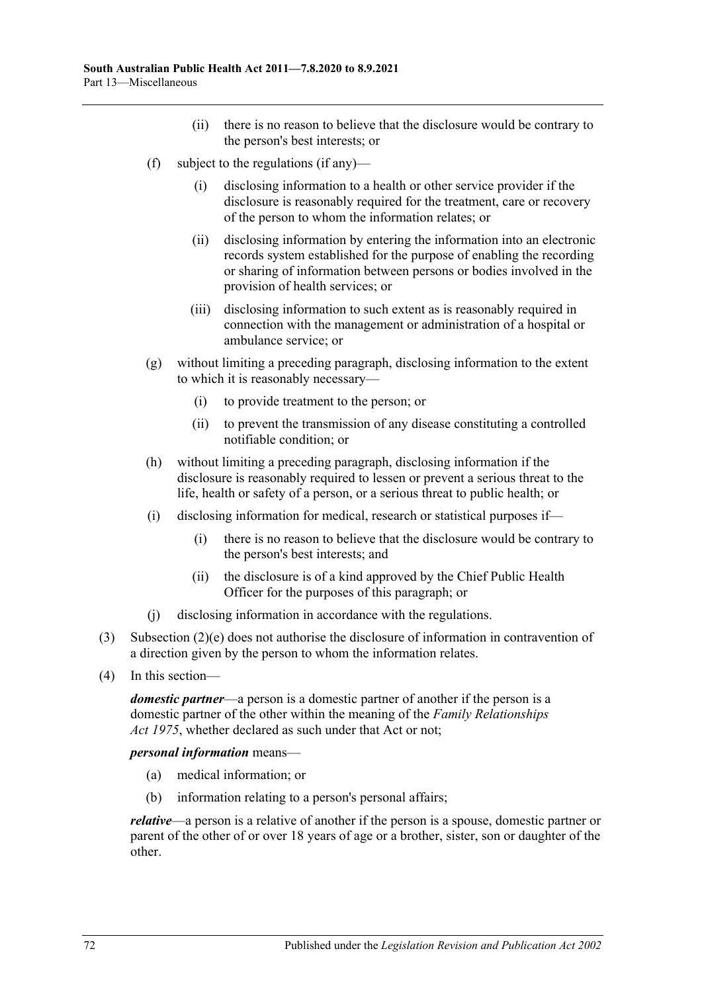- (ii) there is no reason to believe that the disclosure would be contrary to the person's best interests; or
- (f) subject to the regulations (if any)—
	- (i) disclosing information to a health or other service provider if the disclosure is reasonably required for the treatment, care or recovery of the person to whom the information relates; or
	- (ii) disclosing information by entering the information into an electronic records system established for the purpose of enabling the recording or sharing of information between persons or bodies involved in the provision of health services; or
	- (iii) disclosing information to such extent as is reasonably required in connection with the management or administration of a hospital or ambulance service; or
- (g) without limiting a preceding paragraph, disclosing information to the extent to which it is reasonably necessary—
	- (i) to provide treatment to the person; or
	- (ii) to prevent the transmission of any disease constituting a controlled notifiable condition; or
- (h) without limiting a preceding paragraph, disclosing information if the disclosure is reasonably required to lessen or prevent a serious threat to the life, health or safety of a person, or a serious threat to public health; or
- (i) disclosing information for medical, research or statistical purposes if—
	- (i) there is no reason to believe that the disclosure would be contrary to the person's best interests; and
	- (ii) the disclosure is of a kind approved by the Chief Public Health Officer for the purposes of this paragraph; or
- (j) disclosing information in accordance with the regulations.
- (3) [Subsection](#page-70-2) (2)(e) does not authorise the disclosure of information in contravention of a direction given by the person to whom the information relates.
- (4) In this section—

*domestic partner*—a person is a domestic partner of another if the person is a domestic partner of the other within the meaning of the *[Family Relationships](http://www.legislation.sa.gov.au/index.aspx?action=legref&type=act&legtitle=Family%20Relationships%20Act%201975)  Act [1975](http://www.legislation.sa.gov.au/index.aspx?action=legref&type=act&legtitle=Family%20Relationships%20Act%201975)*, whether declared as such under that Act or not;

*personal information* means—

- (a) medical information; or
- (b) information relating to a person's personal affairs;

*relative*—a person is a relative of another if the person is a spouse, domestic partner or parent of the other of or over 18 years of age or a brother, sister, son or daughter of the other.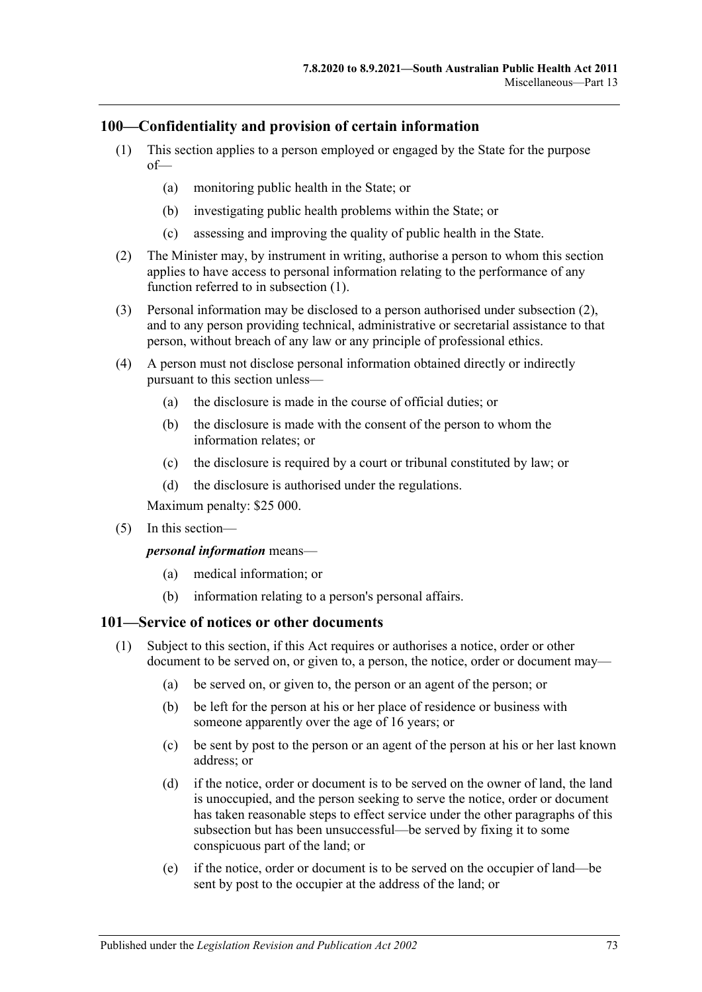# <span id="page-72-0"></span>**100—Confidentiality and provision of certain information**

- (1) This section applies to a person employed or engaged by the State for the purpose of—
	- (a) monitoring public health in the State; or
	- (b) investigating public health problems within the State; or
	- (c) assessing and improving the quality of public health in the State.
- <span id="page-72-1"></span>(2) The Minister may, by instrument in writing, authorise a person to whom this section applies to have access to personal information relating to the performance of any function referred to in [subsection](#page-72-0) (1).
- (3) Personal information may be disclosed to a person authorised under [subsection](#page-72-1) (2), and to any person providing technical, administrative or secretarial assistance to that person, without breach of any law or any principle of professional ethics.
- (4) A person must not disclose personal information obtained directly or indirectly pursuant to this section unless—
	- (a) the disclosure is made in the course of official duties; or
	- (b) the disclosure is made with the consent of the person to whom the information relates; or
	- (c) the disclosure is required by a court or tribunal constituted by law; or
	- (d) the disclosure is authorised under the regulations.

Maximum penalty: \$25 000.

(5) In this section—

*personal information* means—

- (a) medical information; or
- (b) information relating to a person's personal affairs.

# <span id="page-72-2"></span>**101—Service of notices or other documents**

- <span id="page-72-5"></span><span id="page-72-4"></span><span id="page-72-3"></span>(1) Subject to this section, if this Act requires or authorises a notice, order or other document to be served on, or given to, a person, the notice, order or document may—
	- (a) be served on, or given to, the person or an agent of the person; or
	- (b) be left for the person at his or her place of residence or business with someone apparently over the age of 16 years; or
	- (c) be sent by post to the person or an agent of the person at his or her last known address; or
	- (d) if the notice, order or document is to be served on the owner of land, the land is unoccupied, and the person seeking to serve the notice, order or document has taken reasonable steps to effect service under the other paragraphs of this subsection but has been unsuccessful—be served by fixing it to some conspicuous part of the land; or
	- (e) if the notice, order or document is to be served on the occupier of land—be sent by post to the occupier at the address of the land; or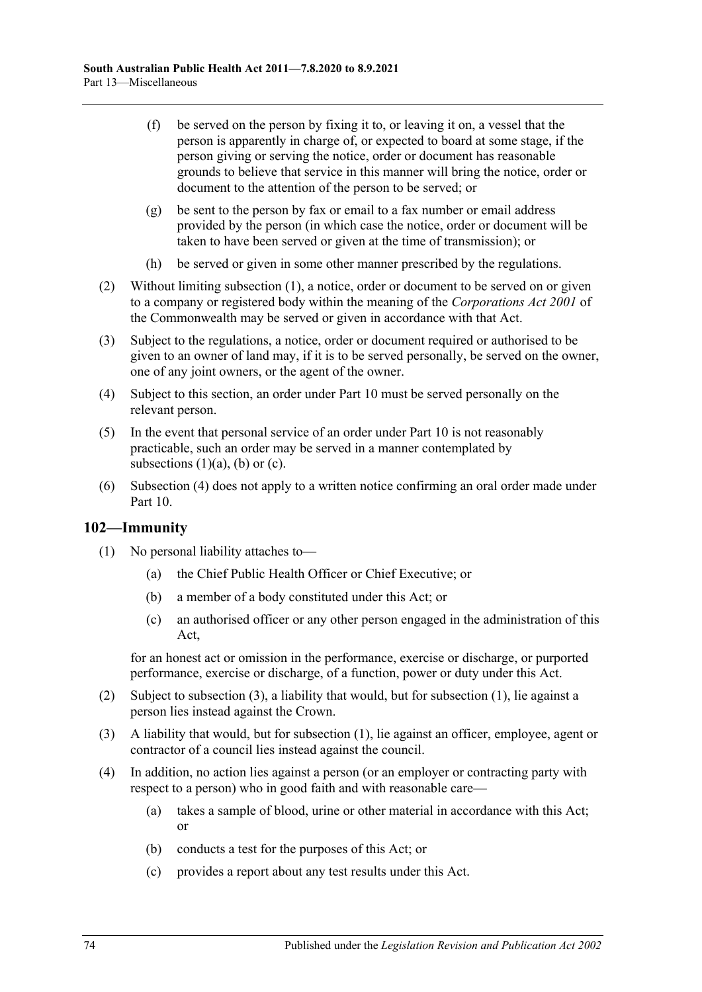- (f) be served on the person by fixing it to, or leaving it on, a vessel that the person is apparently in charge of, or expected to board at some stage, if the person giving or serving the notice, order or document has reasonable grounds to believe that service in this manner will bring the notice, order or document to the attention of the person to be served; or
- (g) be sent to the person by fax or email to a fax number or email address provided by the person (in which case the notice, order or document will be taken to have been served or given at the time of transmission); or
- (h) be served or given in some other manner prescribed by the regulations.
- (2) Without limiting [subsection](#page-72-2) (1), a notice, order or document to be served on or given to a company or registered body within the meaning of the *Corporations Act 2001* of the Commonwealth may be served or given in accordance with that Act.
- (3) Subject to the regulations, a notice, order or document required or authorised to be given to an owner of land may, if it is to be served personally, be served on the owner, one of any joint owners, or the agent of the owner.
- <span id="page-73-0"></span>(4) Subject to this section, an order under [Part](#page-41-0) 10 must be served personally on the relevant person.
- (5) In the event that personal service of an order under [Part](#page-41-0) 10 is not reasonably practicable, such an order may be served in a manner contemplated by [subsections](#page-72-3)  $(1)(a)$ ,  $(b)$  or  $(c)$ .
- (6) [Subsection](#page-73-0) (4) does not apply to a written notice confirming an oral order made under [Part](#page-41-0) 10.

# <span id="page-73-2"></span>**102—Immunity**

- (1) No personal liability attaches to—
	- (a) the Chief Public Health Officer or Chief Executive; or
	- (b) a member of a body constituted under this Act; or
	- (c) an authorised officer or any other person engaged in the administration of this Act,

for an honest act or omission in the performance, exercise or discharge, or purported performance, exercise or discharge, of a function, power or duty under this Act.

- (2) Subject to [subsection](#page-73-1) (3), a liability that would, but for [subsection](#page-73-2) (1), lie against a person lies instead against the Crown.
- <span id="page-73-1"></span>(3) A liability that would, but for [subsection](#page-73-2) (1), lie against an officer, employee, agent or contractor of a council lies instead against the council.
- (4) In addition, no action lies against a person (or an employer or contracting party with respect to a person) who in good faith and with reasonable care—
	- (a) takes a sample of blood, urine or other material in accordance with this Act; or
	- (b) conducts a test for the purposes of this Act; or
	- (c) provides a report about any test results under this Act.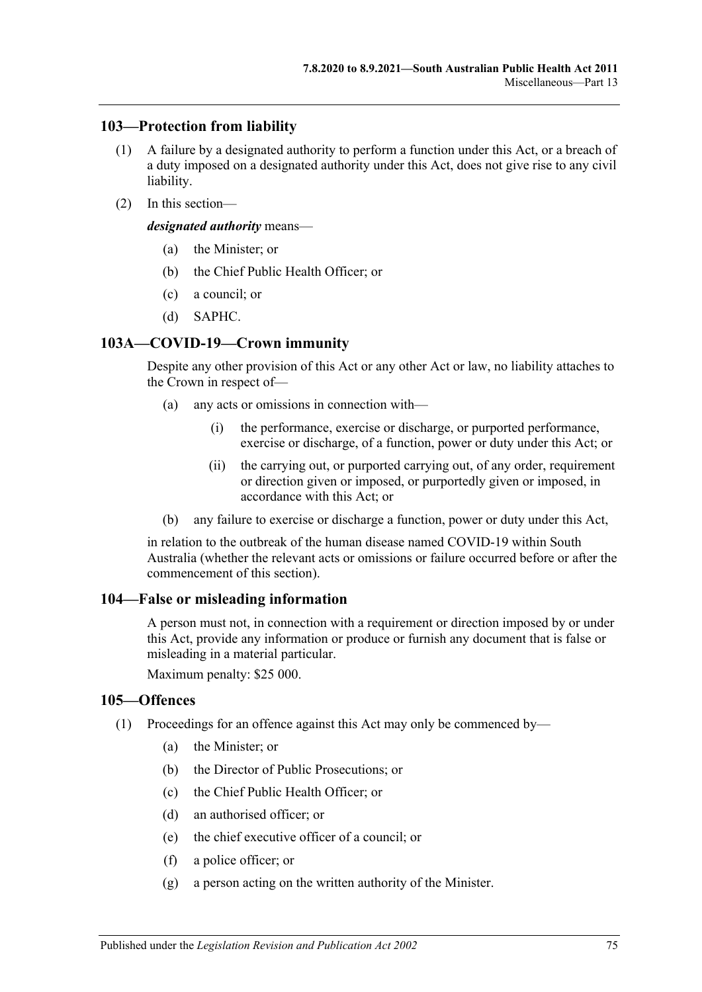#### **103—Protection from liability**

- (1) A failure by a designated authority to perform a function under this Act, or a breach of a duty imposed on a designated authority under this Act, does not give rise to any civil liability.
- (2) In this section—

*designated authority* means—

- (a) the Minister; or
- (b) the Chief Public Health Officer; or
- (c) a council; or
- (d) SAPHC.

#### **103A—COVID-19—Crown immunity**

Despite any other provision of this Act or any other Act or law, no liability attaches to the Crown in respect of—

- (a) any acts or omissions in connection with—
	- (i) the performance, exercise or discharge, or purported performance, exercise or discharge, of a function, power or duty under this Act; or
	- (ii) the carrying out, or purported carrying out, of any order, requirement or direction given or imposed, or purportedly given or imposed, in accordance with this Act; or
- (b) any failure to exercise or discharge a function, power or duty under this Act,

in relation to the outbreak of the human disease named COVID-19 within South Australia (whether the relevant acts or omissions or failure occurred before or after the commencement of this section).

#### **104—False or misleading information**

A person must not, in connection with a requirement or direction imposed by or under this Act, provide any information or produce or furnish any document that is false or misleading in a material particular.

Maximum penalty: \$25 000.

#### **105—Offences**

- <span id="page-74-0"></span>(1) Proceedings for an offence against this Act may only be commenced by—
	- (a) the Minister; or
	- (b) the Director of Public Prosecutions; or
	- (c) the Chief Public Health Officer; or
	- (d) an authorised officer; or
	- (e) the chief executive officer of a council; or
	- (f) a police officer; or
	- (g) a person acting on the written authority of the Minister.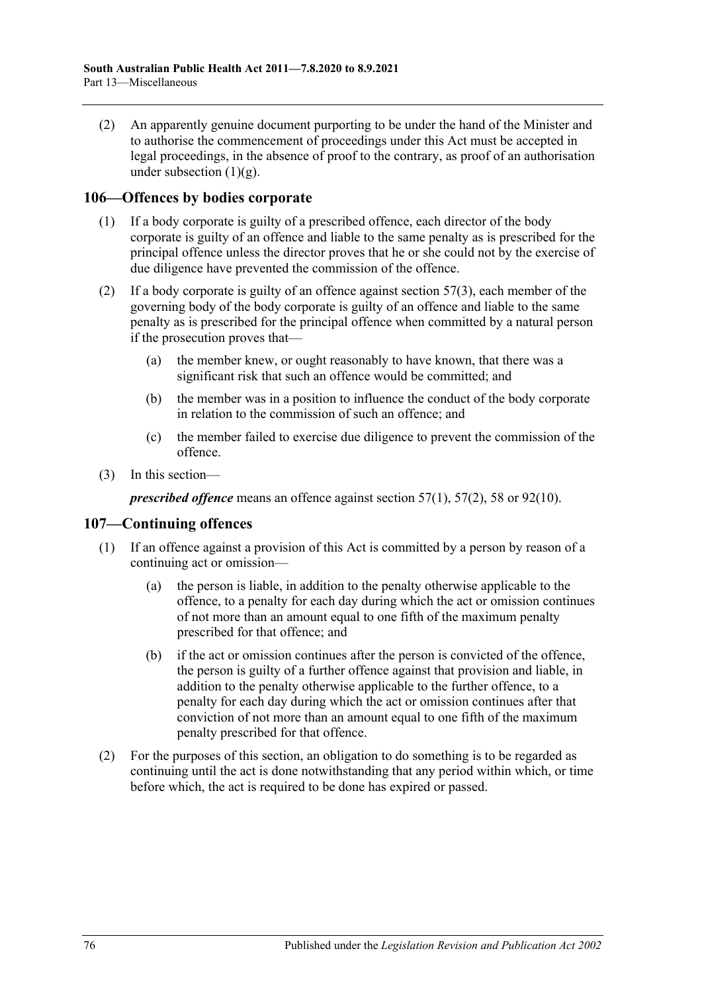(2) An apparently genuine document purporting to be under the hand of the Minister and to authorise the commencement of proceedings under this Act must be accepted in legal proceedings, in the absence of proof to the contrary, as proof of an authorisation under [subsection](#page-74-0)  $(1)(g)$ .

# **106—Offences by bodies corporate**

- (1) If a body corporate is guilty of a prescribed offence, each director of the body corporate is guilty of an offence and liable to the same penalty as is prescribed for the principal offence unless the director proves that he or she could not by the exercise of due diligence have prevented the commission of the offence.
- (2) If a body corporate is guilty of an offence against [section](#page-33-0)  $57(3)$ , each member of the governing body of the body corporate is guilty of an offence and liable to the same penalty as is prescribed for the principal offence when committed by a natural person if the prosecution proves that—
	- (a) the member knew, or ought reasonably to have known, that there was a significant risk that such an offence would be committed; and
	- (b) the member was in a position to influence the conduct of the body corporate in relation to the commission of such an offence; and
	- (c) the member failed to exercise due diligence to prevent the commission of the offence.
- (3) In this section—

*prescribed offence* means an offence against [section](#page-33-1) 57(1), [57\(2\),](#page-33-2) [58](#page-33-3) or [92\(10\).](#page-61-0)

# **107—Continuing offences**

- (1) If an offence against a provision of this Act is committed by a person by reason of a continuing act or omission—
	- (a) the person is liable, in addition to the penalty otherwise applicable to the offence, to a penalty for each day during which the act or omission continues of not more than an amount equal to one fifth of the maximum penalty prescribed for that offence; and
	- (b) if the act or omission continues after the person is convicted of the offence, the person is guilty of a further offence against that provision and liable, in addition to the penalty otherwise applicable to the further offence, to a penalty for each day during which the act or omission continues after that conviction of not more than an amount equal to one fifth of the maximum penalty prescribed for that offence.
- (2) For the purposes of this section, an obligation to do something is to be regarded as continuing until the act is done notwithstanding that any period within which, or time before which, the act is required to be done has expired or passed.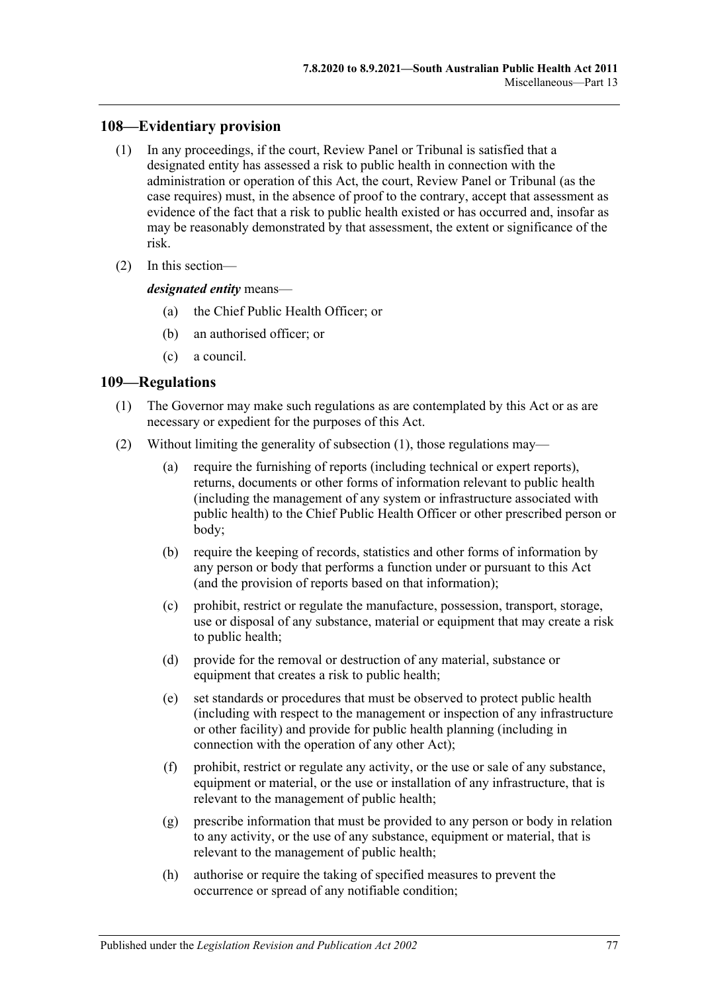# **108—Evidentiary provision**

- (1) In any proceedings, if the court, Review Panel or Tribunal is satisfied that a designated entity has assessed a risk to public health in connection with the administration or operation of this Act, the court, Review Panel or Tribunal (as the case requires) must, in the absence of proof to the contrary, accept that assessment as evidence of the fact that a risk to public health existed or has occurred and, insofar as may be reasonably demonstrated by that assessment, the extent or significance of the risk.
- (2) In this section—

*designated entity* means—

- (a) the Chief Public Health Officer; or
- (b) an authorised officer; or
- (c) a council.

# <span id="page-76-0"></span>**109—Regulations**

- (1) The Governor may make such regulations as are contemplated by this Act or as are necessary or expedient for the purposes of this Act.
- (2) Without limiting the generality of [subsection](#page-76-0) (1), those regulations may—
	- (a) require the furnishing of reports (including technical or expert reports), returns, documents or other forms of information relevant to public health (including the management of any system or infrastructure associated with public health) to the Chief Public Health Officer or other prescribed person or body;
	- (b) require the keeping of records, statistics and other forms of information by any person or body that performs a function under or pursuant to this Act (and the provision of reports based on that information);
	- (c) prohibit, restrict or regulate the manufacture, possession, transport, storage, use or disposal of any substance, material or equipment that may create a risk to public health;
	- (d) provide for the removal or destruction of any material, substance or equipment that creates a risk to public health;
	- (e) set standards or procedures that must be observed to protect public health (including with respect to the management or inspection of any infrastructure or other facility) and provide for public health planning (including in connection with the operation of any other Act);
	- (f) prohibit, restrict or regulate any activity, or the use or sale of any substance, equipment or material, or the use or installation of any infrastructure, that is relevant to the management of public health;
	- (g) prescribe information that must be provided to any person or body in relation to any activity, or the use of any substance, equipment or material, that is relevant to the management of public health;
	- (h) authorise or require the taking of specified measures to prevent the occurrence or spread of any notifiable condition;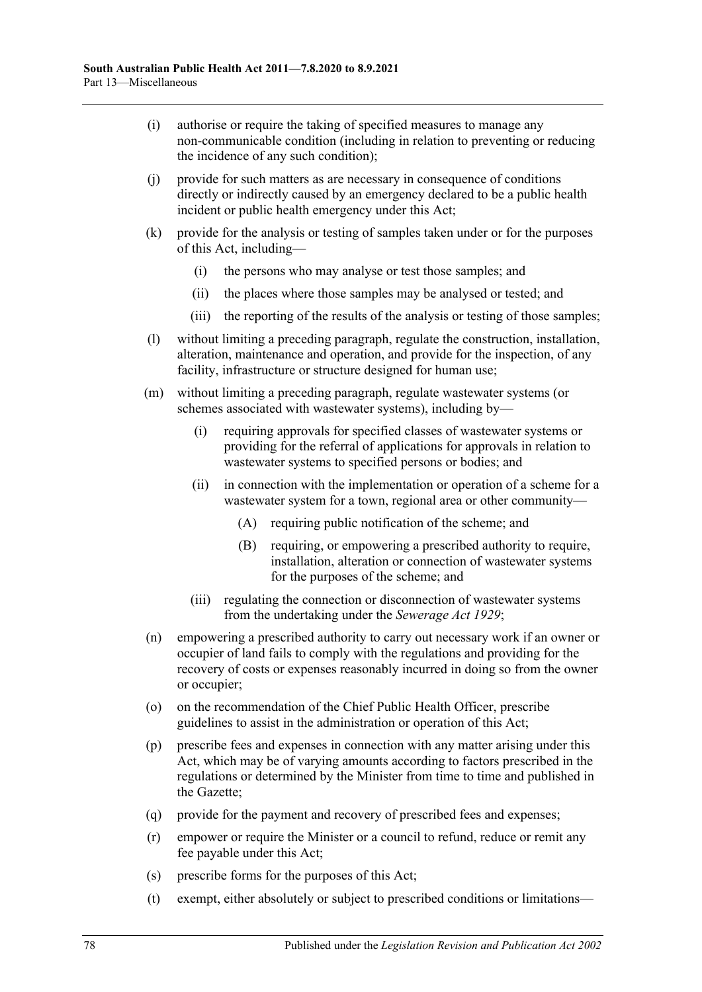- (i) authorise or require the taking of specified measures to manage any non-communicable condition (including in relation to preventing or reducing the incidence of any such condition);
- (j) provide for such matters as are necessary in consequence of conditions directly or indirectly caused by an emergency declared to be a public health incident or public health emergency under this Act;
- (k) provide for the analysis or testing of samples taken under or for the purposes of this Act, including—
	- (i) the persons who may analyse or test those samples; and
	- (ii) the places where those samples may be analysed or tested; and
	- (iii) the reporting of the results of the analysis or testing of those samples;
- (l) without limiting a preceding paragraph, regulate the construction, installation, alteration, maintenance and operation, and provide for the inspection, of any facility, infrastructure or structure designed for human use;
- (m) without limiting a preceding paragraph, regulate wastewater systems (or schemes associated with wastewater systems), including by—
	- (i) requiring approvals for specified classes of wastewater systems or providing for the referral of applications for approvals in relation to wastewater systems to specified persons or bodies; and
	- (ii) in connection with the implementation or operation of a scheme for a wastewater system for a town, regional area or other community—
		- (A) requiring public notification of the scheme; and
		- (B) requiring, or empowering a prescribed authority to require, installation, alteration or connection of wastewater systems for the purposes of the scheme; and
	- (iii) regulating the connection or disconnection of wastewater systems from the undertaking under the *[Sewerage Act](http://www.legislation.sa.gov.au/index.aspx?action=legref&type=act&legtitle=Sewerage%20Act%201929) 1929*;
- (n) empowering a prescribed authority to carry out necessary work if an owner or occupier of land fails to comply with the regulations and providing for the recovery of costs or expenses reasonably incurred in doing so from the owner or occupier;
- (o) on the recommendation of the Chief Public Health Officer, prescribe guidelines to assist in the administration or operation of this Act;
- (p) prescribe fees and expenses in connection with any matter arising under this Act, which may be of varying amounts according to factors prescribed in the regulations or determined by the Minister from time to time and published in the Gazette;
- (q) provide for the payment and recovery of prescribed fees and expenses;
- (r) empower or require the Minister or a council to refund, reduce or remit any fee payable under this Act;
- (s) prescribe forms for the purposes of this Act;
- (t) exempt, either absolutely or subject to prescribed conditions or limitations—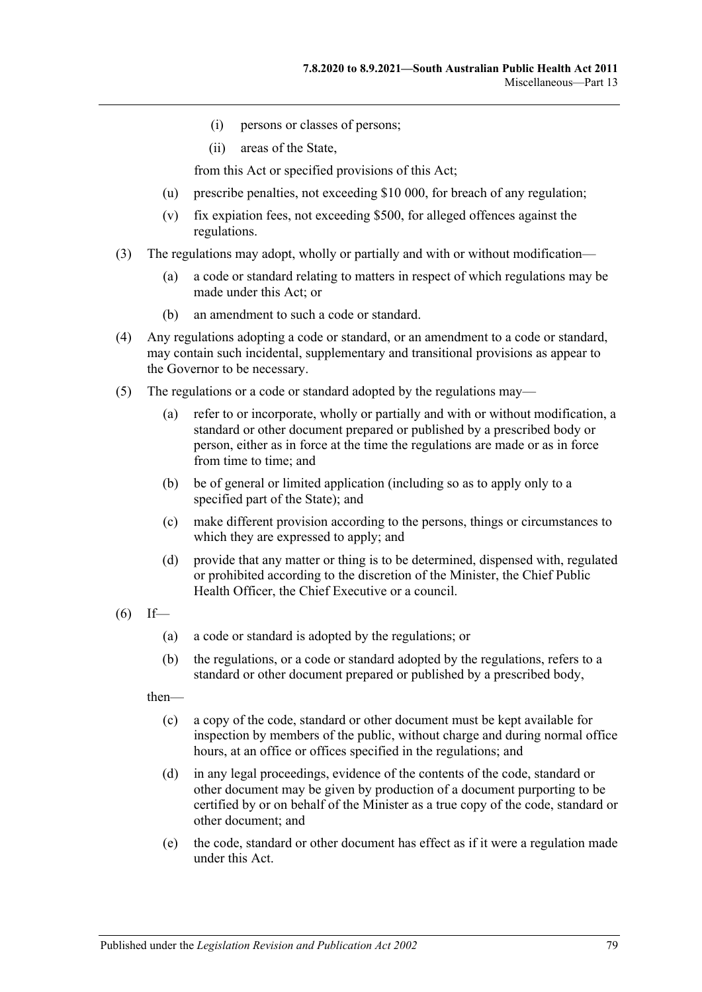- (i) persons or classes of persons;
- (ii) areas of the State,

from this Act or specified provisions of this Act;

- (u) prescribe penalties, not exceeding \$10 000, for breach of any regulation;
- (v) fix expiation fees, not exceeding \$500, for alleged offences against the regulations.
- (3) The regulations may adopt, wholly or partially and with or without modification—
	- (a) a code or standard relating to matters in respect of which regulations may be made under this Act; or
	- (b) an amendment to such a code or standard.
- (4) Any regulations adopting a code or standard, or an amendment to a code or standard, may contain such incidental, supplementary and transitional provisions as appear to the Governor to be necessary.
- (5) The regulations or a code or standard adopted by the regulations may—
	- (a) refer to or incorporate, wholly or partially and with or without modification, a standard or other document prepared or published by a prescribed body or person, either as in force at the time the regulations are made or as in force from time to time; and
	- (b) be of general or limited application (including so as to apply only to a specified part of the State); and
	- (c) make different provision according to the persons, things or circumstances to which they are expressed to apply; and
	- (d) provide that any matter or thing is to be determined, dispensed with, regulated or prohibited according to the discretion of the Minister, the Chief Public Health Officer, the Chief Executive or a council.
- $(6)$  If—
	- (a) a code or standard is adopted by the regulations; or
	- (b) the regulations, or a code or standard adopted by the regulations, refers to a standard or other document prepared or published by a prescribed body,

then—

- (c) a copy of the code, standard or other document must be kept available for inspection by members of the public, without charge and during normal office hours, at an office or offices specified in the regulations; and
- (d) in any legal proceedings, evidence of the contents of the code, standard or other document may be given by production of a document purporting to be certified by or on behalf of the Minister as a true copy of the code, standard or other document; and
- (e) the code, standard or other document has effect as if it were a regulation made under this Act.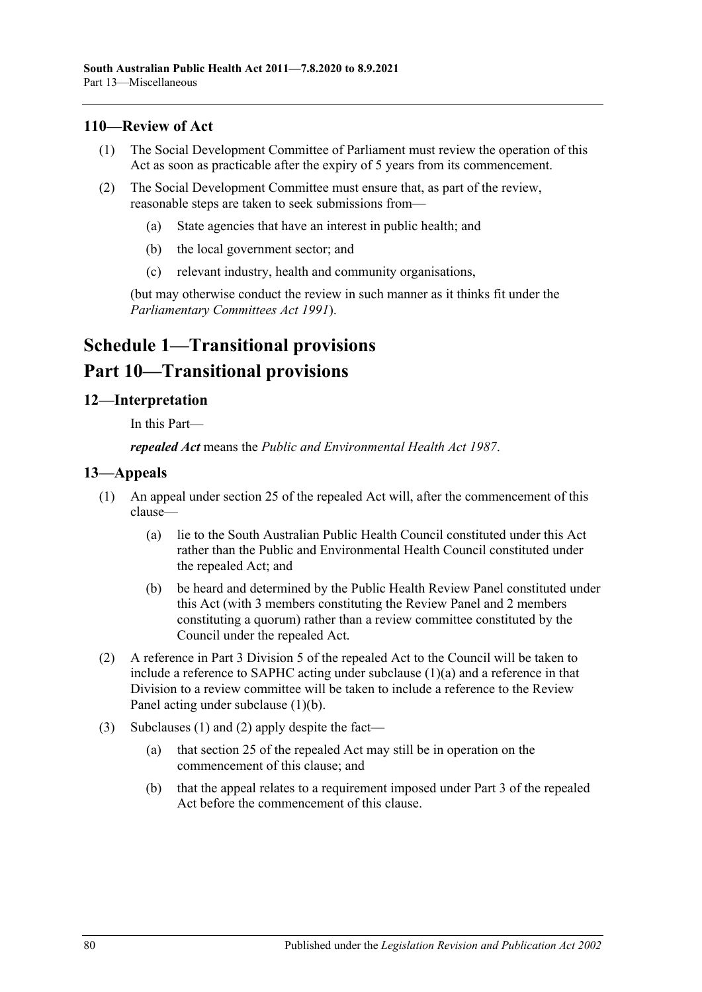# **110—Review of Act**

- (1) The Social Development Committee of Parliament must review the operation of this Act as soon as practicable after the expiry of 5 years from its commencement.
- (2) The Social Development Committee must ensure that, as part of the review, reasonable steps are taken to seek submissions from—
	- (a) State agencies that have an interest in public health; and
	- (b) the local government sector; and
	- (c) relevant industry, health and community organisations,

(but may otherwise conduct the review in such manner as it thinks fit under the *[Parliamentary Committees Act](http://www.legislation.sa.gov.au/index.aspx?action=legref&type=act&legtitle=Parliamentary%20Committees%20Act%201991) 1991*).

# **Schedule 1—Transitional provisions Part 10—Transitional provisions**

# **12—Interpretation**

In this Part—

*repealed Act* means the *[Public and Environmental Health Act](http://www.legislation.sa.gov.au/index.aspx?action=legref&type=act&legtitle=Public%20and%20Environmental%20Health%20Act%201987) 1987*.

#### <span id="page-79-2"></span>**13—Appeals**

- <span id="page-79-0"></span>(1) An appeal under section 25 of the repealed Act will, after the commencement of this clause—
	- (a) lie to the South Australian Public Health Council constituted under this Act rather than the Public and Environmental Health Council constituted under the repealed Act; and
	- (b) be heard and determined by the Public Health Review Panel constituted under this Act (with 3 members constituting the Review Panel and 2 members constituting a quorum) rather than a review committee constituted by the Council under the repealed Act.
- <span id="page-79-3"></span><span id="page-79-1"></span>(2) A reference in Part 3 Division 5 of the repealed Act to the Council will be taken to include a reference to SAPHC acting under [subclause](#page-79-0) (1)(a) and a reference in that Division to a review committee will be taken to include a reference to the Review Panel acting under [subclause](#page-79-1) (1)(b).
- (3) [Subclauses](#page-79-2) (1) and [\(2\)](#page-79-3) apply despite the fact—
	- (a) that section 25 of the repealed Act may still be in operation on the commencement of this clause; and
	- (b) that the appeal relates to a requirement imposed under Part 3 of the repealed Act before the commencement of this clause.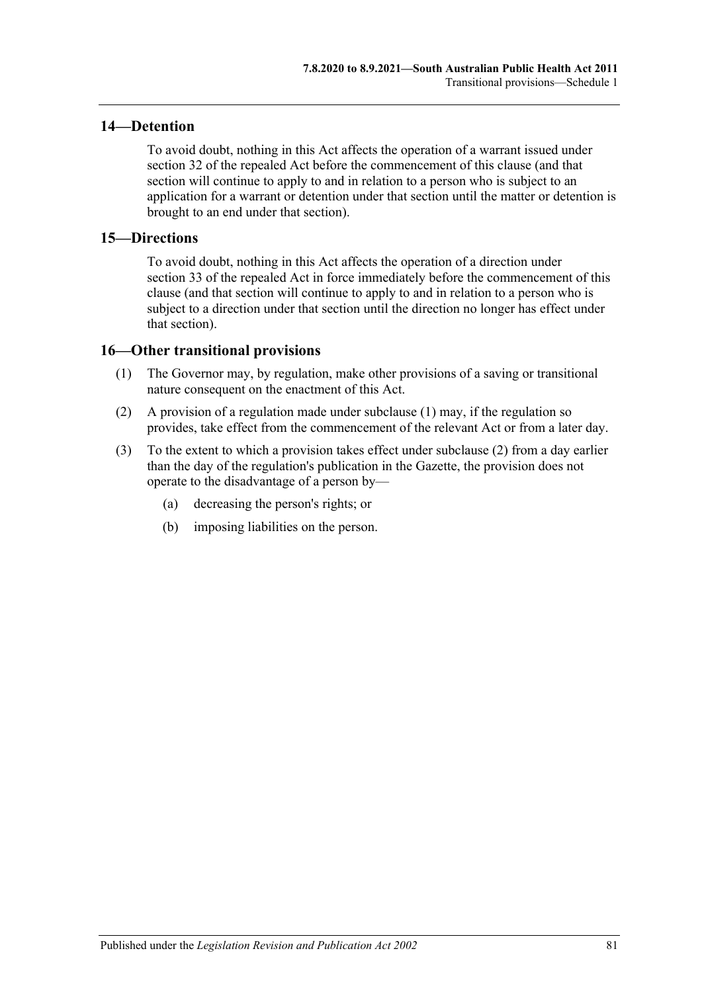# **14—Detention**

To avoid doubt, nothing in this Act affects the operation of a warrant issued under section 32 of the repealed Act before the commencement of this clause (and that section will continue to apply to and in relation to a person who is subject to an application for a warrant or detention under that section until the matter or detention is brought to an end under that section).

#### **15—Directions**

To avoid doubt, nothing in this Act affects the operation of a direction under section 33 of the repealed Act in force immediately before the commencement of this clause (and that section will continue to apply to and in relation to a person who is subject to a direction under that section until the direction no longer has effect under that section).

# <span id="page-80-0"></span>**16—Other transitional provisions**

- (1) The Governor may, by regulation, make other provisions of a saving or transitional nature consequent on the enactment of this Act.
- <span id="page-80-1"></span>(2) A provision of a regulation made under [subclause](#page-80-0) (1) may, if the regulation so provides, take effect from the commencement of the relevant Act or from a later day.
- (3) To the extent to which a provision takes effect under [subclause](#page-80-1) (2) from a day earlier than the day of the regulation's publication in the Gazette, the provision does not operate to the disadvantage of a person by—
	- (a) decreasing the person's rights; or
	- (b) imposing liabilities on the person.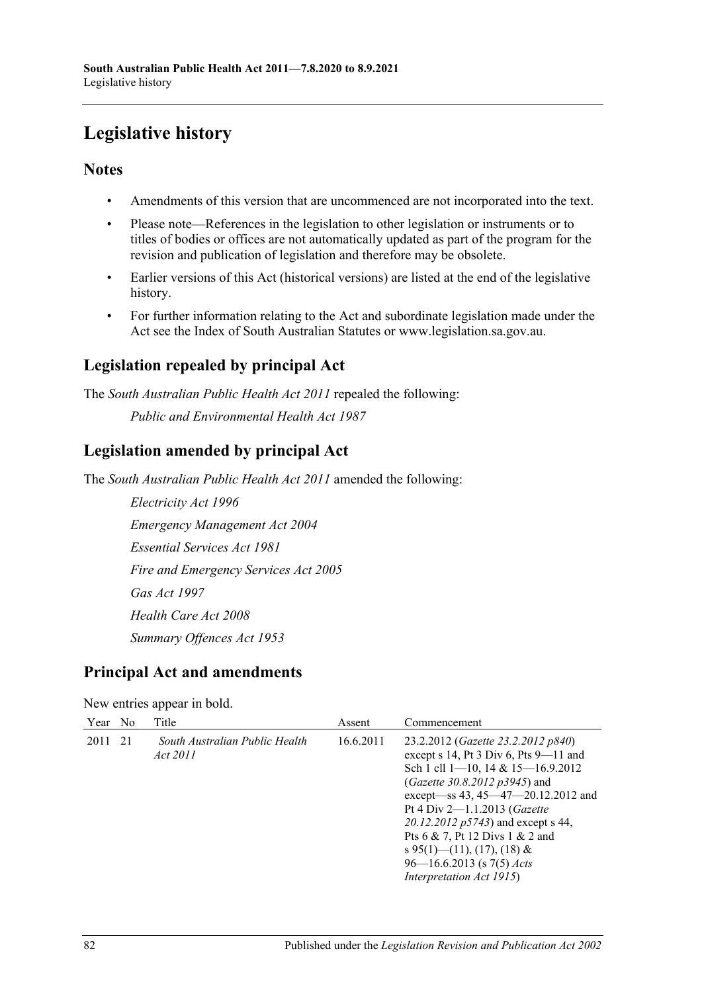# **Legislative history**

# **Notes**

- Amendments of this version that are uncommenced are not incorporated into the text.
- Please note—References in the legislation to other legislation or instruments or to titles of bodies or offices are not automatically updated as part of the program for the revision and publication of legislation and therefore may be obsolete.
- Earlier versions of this Act (historical versions) are listed at the end of the legislative history.
- For further information relating to the Act and subordinate legislation made under the Act see the Index of South Australian Statutes or www.legislation.sa.gov.au.

# **Legislation repealed by principal Act**

The *South Australian Public Health Act 2011* repealed the following: *Public and Environmental Health Act 1987*

# **Legislation amended by principal Act**

The *South Australian Public Health Act 2011* amended the following:

*Electricity Act 1996 Emergency Management Act 2004 Essential Services Act 1981 Fire and Emergency Services Act 2005 Gas Act 1997 Health Care Act 2008 Summary Offences Act 1953*

# **Principal Act and amendments**

# New entries appear in bold.

| Year No |    | Title                                      | Assent    | Commencement                                                                                                                                                                                                                                                                                                                                                                                                          |
|---------|----|--------------------------------------------|-----------|-----------------------------------------------------------------------------------------------------------------------------------------------------------------------------------------------------------------------------------------------------------------------------------------------------------------------------------------------------------------------------------------------------------------------|
| 2011    | 21 | South Australian Public Health<br>Act 2011 | 16.6.2011 | 23.2.2012 ( <i>Gazette 23.2.2012 p840</i> )<br>except s 14, Pt 3 Div 6, Pts $9-11$ and<br>Sch 1 cll 1–10, 14 & 15–16.9.2012<br>(Gazette 30.8.2012 p3945) and<br>except-ss 43, 45-47-20.12.2012 and<br>Pt 4 Div 2-1.1.2013 ( <i>Gazette</i><br>20.12.2012 p5743) and except s 44,<br>Pts 6 & 7, Pt 12 Divs 1 & 2 and<br>s 95(1)—(11), (17), (18) &<br>$96 - 16.6.2013$ (s 7(5) <i>Acts</i><br>Interpretation Act 1915) |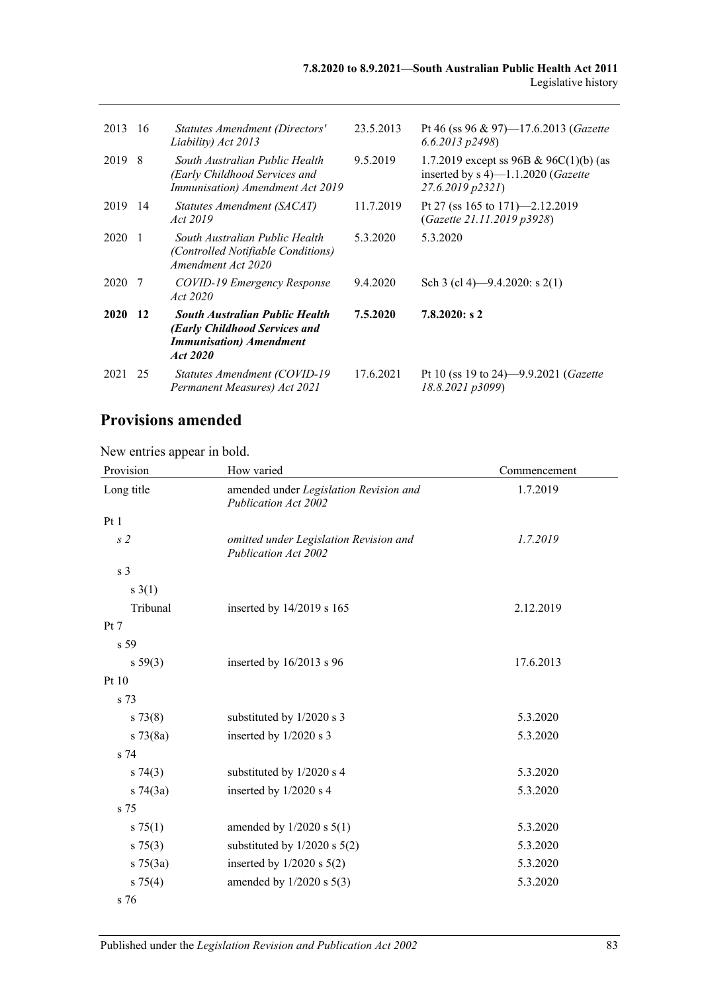| 2013        | -16            | Statutes Amendment (Directors'<br>Liability) Act 2013                                                                 | 23.5.2013 | Pt 46 (ss 96 & 97)—17.6.2013 ( <i>Gazette</i><br>$6.6.2013$ $p2498$ )                                      |
|-------------|----------------|-----------------------------------------------------------------------------------------------------------------------|-----------|------------------------------------------------------------------------------------------------------------|
| 2019 8      |                | South Australian Public Health<br>(Early Childhood Services and<br>Immunisation) Amendment Act 2019                   | 9.5.2019  | 1.7.2019 except ss 96B & 96C(1)(b) (as<br>inserted by $s$ 4)—1.1.2020 ( <i>Gazette</i><br>27.6.2019 p2321) |
| 2019 14     |                | Statutes Amendment (SACAT)<br>Act 2019                                                                                | 11.7.2019 | Pt 27 (ss 165 to 171)—2.12.2019<br>(Gazette 21.11.2019 p3928)                                              |
| 2020        | $\overline{1}$ | South Australian Public Health<br><i>(Controlled Notifiable Conditions)</i><br>Amendment Act 2020                     | 5.3.2020  | 5.3.2020                                                                                                   |
| 2020        | -7             | COVID-19 Emergency Response<br>Act 2020                                                                               | 9.4.2020  | Sch 3 (cl 4)—9.4.2020: s 2(1)                                                                              |
| <b>2020</b> | 12             | <b>South Australian Public Health</b><br>(Early Childhood Services and<br><b>Immunisation</b> ) Amendment<br>Act 2020 | 7.5.2020  | 7.8.2020: s2                                                                                               |
| 2021        | 25             | Statutes Amendment (COVID-19)<br>Permanent Measures) Act 2021                                                         | 17.6.2021 | Pt 10 (ss 19 to 24)—9.9.2021 ( <i>Gazette</i><br>18.8.2021 p3099)                                          |

# **Provisions amended**

# New entries appear in bold.

| Provision      | How varied                                                            | Commencement |
|----------------|-----------------------------------------------------------------------|--------------|
| Long title     | amended under Legislation Revision and<br><b>Publication Act 2002</b> | 1.7.2019     |
| Pt1            |                                                                       |              |
| s <sub>2</sub> | omitted under Legislation Revision and<br><b>Publication Act 2002</b> | 1.7.2019     |
| s <sub>3</sub> |                                                                       |              |
| $s \; 3(1)$    |                                                                       |              |
| Tribunal       | inserted by $14/2019$ s $165$                                         | 2.12.2019    |
| Pt 7           |                                                                       |              |
| s 59           |                                                                       |              |
| s 59(3)        | inserted by $16/2013$ s 96                                            | 17.6.2013    |
| Pt 10          |                                                                       |              |
| s 73           |                                                                       |              |
| $s \, 73(8)$   | substituted by 1/2020 s 3                                             | 5.3.2020     |
| $s \, 73(8a)$  | inserted by 1/2020 s 3                                                | 5.3.2020     |
| s 74           |                                                                       |              |
| s 74(3)        | substituted by 1/2020 s 4                                             | 5.3.2020     |
| $s \, 74(3a)$  | inserted by 1/2020 s 4                                                | 5.3.2020     |
| s 75           |                                                                       |              |
| s 75(1)        | amended by $1/2020$ s $5(1)$                                          | 5.3.2020     |
| $s \, 75(3)$   | substituted by $1/2020$ s $5(2)$                                      | 5.3.2020     |
| $s \, 75(3a)$  | inserted by $1/2020$ s $5(2)$                                         | 5.3.2020     |
| s 75(4)        | amended by $1/2020$ s $5(3)$                                          | 5.3.2020     |
| s 76           |                                                                       |              |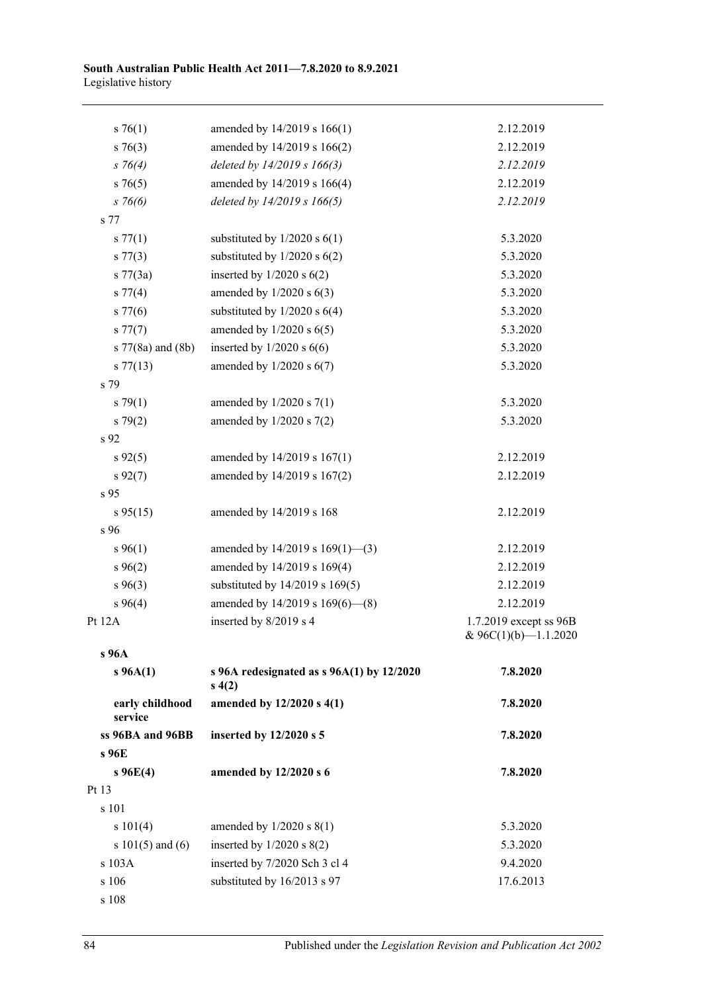| $s \, 76(1)$               | amended by 14/2019 s 166(1)                            | 2.12.2019                                         |
|----------------------------|--------------------------------------------------------|---------------------------------------------------|
| $s \; 76(3)$               | amended by 14/2019 s 166(2)                            | 2.12.2019                                         |
| $s \; 76(4)$               | deleted by 14/2019 s 166(3)                            | 2.12.2019                                         |
| $s \, 76(5)$               | amended by 14/2019 s 166(4)                            | 2.12.2019                                         |
| $s \, 76(6)$               | deleted by 14/2019 s 166(5)                            | 2.12.2019                                         |
| s 77                       |                                                        |                                                   |
| s 77(1)                    | substituted by $1/2020$ s $6(1)$                       | 5.3.2020                                          |
| $s\,77(3)$                 | substituted by $1/2020$ s $6(2)$                       | 5.3.2020                                          |
| s $77(3a)$                 | inserted by $1/2020$ s $6(2)$                          | 5.3.2020                                          |
| $s \, 77(4)$               | amended by $1/2020$ s $6(3)$                           | 5.3.2020                                          |
| $s\,77(6)$                 | substituted by $1/2020$ s $6(4)$                       | 5.3.2020                                          |
| $s\,77(7)$                 | amended by $1/2020$ s $6(5)$                           | 5.3.2020                                          |
| s 77(8a) and (8b)          | inserted by $1/2020$ s $6(6)$                          | 5.3.2020                                          |
| $s\,77(13)$                | amended by $1/2020$ s $6(7)$                           | 5.3.2020                                          |
| s 79                       |                                                        |                                                   |
| $s \, 79(1)$               | amended by $1/2020$ s $7(1)$                           | 5.3.2020                                          |
| $s \, 79(2)$               | amended by $1/2020$ s $7(2)$                           | 5.3.2020                                          |
| s 92                       |                                                        |                                                   |
| $s\,92(5)$                 | amended by 14/2019 s 167(1)                            | 2.12.2019                                         |
| $s\,92(7)$                 | amended by 14/2019 s 167(2)                            | 2.12.2019                                         |
| s 95                       |                                                        |                                                   |
| $s\,95(15)$                | amended by 14/2019 s 168                               | 2.12.2019                                         |
| s 96                       |                                                        |                                                   |
| $s\,96(1)$                 | amended by $14/2019$ s $169(1)$ —(3)                   | 2.12.2019                                         |
| $s\,96(2)$                 | amended by 14/2019 s 169(4)                            | 2.12.2019                                         |
| $s\,96(3)$                 | substituted by 14/2019 s 169(5)                        | 2.12.2019                                         |
| $s\,96(4)$                 | amended by 14/2019 s 169(6)-(8)                        | 2.12.2019                                         |
| Pt 12A                     | inserted by 8/2019 s 4                                 | 1.7.2019 except ss 96B<br>& $96C(1)(b)$ -1.1.2020 |
| s 96A                      |                                                        |                                                   |
| $s\,96A(1)$                | s 96A redesignated as $s$ 96A(1) by 12/2020<br>s(4(2)) | 7.8.2020                                          |
| early childhood<br>service | amended by 12/2020 s 4(1)                              | 7.8.2020                                          |
| ss 96BA and 96BB           | inserted by 12/2020 s 5                                | 7.8.2020                                          |
| s 96E                      |                                                        |                                                   |
| $s \, 96E(4)$              | amended by 12/2020 s 6                                 | 7.8.2020                                          |
| Pt 13                      |                                                        |                                                   |
| s 101                      |                                                        |                                                   |
| s 101(4)                   | amended by $1/2020$ s $8(1)$                           | 5.3.2020                                          |
| s $101(5)$ and $(6)$       | inserted by $1/2020$ s $8(2)$                          | 5.3.2020                                          |
| s 103A                     | inserted by 7/2020 Sch 3 cl 4                          | 9.4.2020                                          |
| s 106                      | substituted by 16/2013 s 97                            | 17.6.2013                                         |
| s 108                      |                                                        |                                                   |